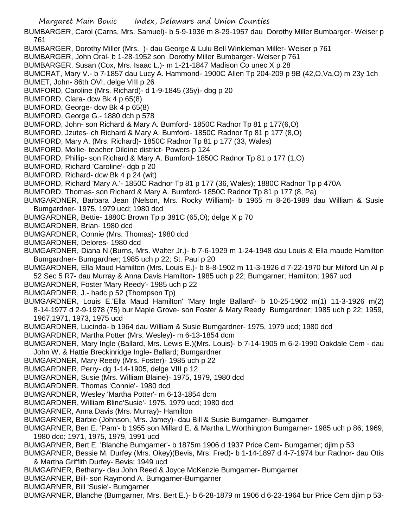BUMBARGER, Carol (Carns, Mrs. Samuel)- b 5-9-1936 m 8-29-1957 dau Dorothy Miller Bumbarger- Weiser p 761

- BUMBARGER, Dorothy Miller (Mrs. )- dau George & Lulu Bell Winkleman Miller- Weiser p 761
- BUMBARGER, John Oral- b 1-28-1952 son Dorothy Miller Bumbarger- Weiser p 761
- BUMBARGER, Susan (Cox, Mrs. Isaac L.)- m 1-21-1847 Madison Co unec X p 28

BUMCRAT, Mary V.- b 7-1857 dau Lucy A. Hammond- 1900C Allen Tp 204-209 p 9B (42,O,Va,O) m 23y 1ch

- BUMET, John- 86th OVI, delge VIII p 26
- BUMFORD, Caroline (Mrs. Richard)- d 1-9-1845 (35y)- dbg p 20
- BUMFORD, Clara- dcw Bk 4 p 65(8)
- BUMFORD, George- dcw Bk 4 p 65(8)
- BUMFORD, George G.- 1880 dch p 578
- BUMFORD, John- son Richard & Mary A. Bumford- 1850C Radnor Tp 81 p 177(6,O)
- BUMFORD, Jzutes- ch Richard & Mary A. Bumford- 1850C Radnor Tp 81 p 177 (8,O)
- BUMFORD, Mary A. (Mrs. Richard)- 1850C Radnor Tp 81 p 177 (33, Wales)
- BUMFORD, Mollie- teacher Dildine district- Powers p 124
- BUMFORD, Phillip- son Richard & Mary A. Bumford- 1850C Radnor Tp 81 p 177 (1,O)
- BUMFORD, Richard 'Caroline'- dgb p 20
- BUMFORD, Richard- dcw Bk 4 p 24 (wit)
- BUMFORD, Richard 'Mary A.'- 1850C Radnor Tp 81 p 177 (36, Wales); 1880C Radnor Tp p 470A
- BUMFORD, Thomas- son Richard & Mary A. Bumford- 1850C Radnor Tp 81 p 177 (8, Pa)
- BUMGARDNER, Barbara Jean (Nelson, Mrs. Rocky William)- b 1965 m 8-26-1989 dau William & Susie Bumgardner- 1975, 1979 ucd; 1980 dcd
- BUMGARDNER, Bettie- 1880C Brown Tp p 381C (65,O); delge X p 70
- BUMGARDNER, Brian- 1980 dcd
- BUMGARDNER, Connie (Mrs. Thomas)- 1980 dcd
- BUMGARDNER, Delores- 1980 dcd
- BUMGARDNER, Diana N.(Burns, Mrs. Walter Jr.)- b 7-6-1929 m 1-24-1948 dau Louis & Ella maude Hamilton Bumgardner- Bumgardner; 1985 uch p 22; St. Paul p 20
- BUMGARDNER, Ella Maud Hamilton (Mrs. Louis E.)- b 8-8-1902 m 11-3-1926 d 7-22-1970 bur Milford Un Al p 52 Sec 5 R7- dau Murray & Anna Davis Hamilton- 1985 uch p 22; Bumgarner; Hamilton; 1967 ucd
- BUMGARDNER, Foster 'Mary Reedy'- 1985 uch p 22
- BUMGARDNER, J.- hadc p 52 (Thompson Tp)
- BUMGARDNER, Louis E.'Ella Maud Hamilton' 'Mary Ingle Ballard'- b 10-25-1902 m(1) 11-3-1926 m(2) 8-14-1977 d 2-9-1978 (75) bur Maple Grove- son Foster & Mary Reedy Bumgardner; 1985 uch p 22; 1959, 1967,1971, 1973, 1975 ucd
- BUMGARDNER, Lucinda- b 1964 dau William & Susie Bumgardner- 1975, 1979 ucd; 1980 dcd
- BUMGARDNER, Martha Potter (Mrs. Wesley)- m 6-13-1854 dcm
- BUMGARDNER, Mary Ingle (Ballard, Mrs. Lewis E.)(Mrs. Louis)- b 7-14-1905 m 6-2-1990 Oakdale Cem dau John W. & Hattie Breckinridge Ingle- Ballard; Bumgardner
- BUMGARDNER, Mary Reedy (Mrs. Foster)- 1985 uch p 22
- BUMGARDNER, Perry- dg 1-14-1905, delge VIII p 12
- BUMGARDNER, Susie (Mrs. William Blaine)- 1975, 1979, 1980 dcd
- BUMGARDNER, Thomas 'Connie'- 1980 dcd
- BUMGARDNER, Wesley 'Martha Potter'- m 6-13-1854 dcm
- BUMGARDNER, William Bline'Susie'- 1975, 1979 ucd; 1980 dcd
- BUMGARNER, Anna Davis (Mrs. Murray)- Hamilton
- BUMGARNER, Barbie (Johnson, Mrs. Jamey)- dau Bill & Susie Bumgarner- Bumgarner
- BUMGARNER, Ben E. 'Pam'- b 1955 son Millard E. & Martha L.Worthington Bumgarner- 1985 uch p 86; 1969, 1980 dcd; 1971, 1975, 1979, 1991 ucd
- BUMGARNER, Bert E. 'Blanche Bumgarner'- b 1875m 1906 d 1937 Price Cem- Bumgarner; djlm p 53
- BUMGARNER, Bessie M. Durfey (Mrs. Okey)(Bevis, Mrs. Fred)- b 1-14-1897 d 4-7-1974 bur Radnor- dau Otis & Martha Griffith Durfey- Bevis; 1949 ucd
- BUMGARNER, Bethany- dau John Reed & Joyce McKenzie Bumgarner- Bumgarner
- BUMGARNER, Bill- son Raymond A. Bumgarner-Bumgarner
- BUMGARNER, Bill 'Susie'- Bumgarner
- BUMGARNER, Blanche (Bumgarner, Mrs. Bert E.)- b 6-28-1879 m 1906 d 6-23-1964 bur Price Cem djlm p 53-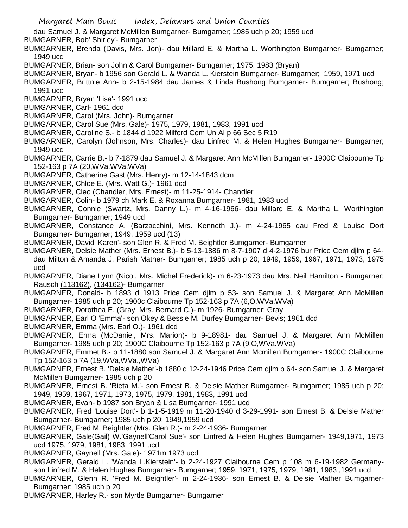dau Samuel J. & Margaret McMillen Bumgarner- Bumgarner; 1985 uch p 20; 1959 ucd

BUMGARNER, Bob' Shirley'- Bumgarner

- BUMGARNER, Brenda (Davis, Mrs. Jon)- dau Millard E. & Martha L. Worthington Bumgarner- Bumgarner; 1949 ucd
- BUMGARNER, Brian- son John & Carol Bumgarner- Bumgarner; 1975, 1983 (Bryan)
- BUMGARNER, Bryan- b 1956 son Gerald L. & Wanda L. Kierstein Bumgarner- Bumgarner; 1959, 1971 ucd
- BUMGARNER, Brittnie Ann- b 2-15-1984 dau James & Linda Bushong Bumgarner- Bumgarner; Bushong; 1991 ucd
- BUMGARNER, Bryan 'Lisa'- 1991 ucd
- BUMGARNER, Carl- 1961 dcd
- BUMGARNER, Carol (Mrs. John)- Bumgarner
- BUMGARNER, Carol Sue (Mrs. Gale)- 1975, 1979, 1981, 1983, 1991 ucd
- BUMGARNER, Caroline S.- b 1844 d 1922 Milford Cem Un Al p 66 Sec 5 R19
- BUMGARNER, Carolyn (Johnson, Mrs. Charles)- dau Linfred M. & Helen Hughes Bumgarner- Bumgarner; 1949 ucd
- BUMGARNER, Carrie B.- b 7-1879 dau Samuel J. & Margaret Ann McMillen Bumgarner- 1900C Claibourne Tp 152-163 p 7A (20,WVa,WVa,WVa)
- BUMGARNER, Catherine Gast (Mrs. Henry)- m 12-14-1843 dcm
- BUMGARNER, Chloe E. (Mrs. Watt G.)- 1961 dcd
- BUMGARNER, Cleo (Chandler, Mrs. Ernest)- m 11-25-1914- Chandler
- BUMGARNER, Colin- b 1979 ch Mark E. & Roxanna Bumgarner- 1981, 1983 ucd
- BUMGARNER, Connie (Swartz, Mrs. Danny L.)- m 4-16-1966- dau Millard E. & Martha L. Worthington Bumgarner- Bumgarner; 1949 ucd
- BUMGARNER, Constance A. (Barzacchini, Mrs. Kenneth J.)- m 4-24-1965 dau Fred & Louise Dort Bumgarner- Bumgarner; 1949, 1959 ucd (13)
- BUMGARNER, David 'Karen'- son Glen R. & Fred M. Beightler Bumgarner- Bumgarner
- BUMGARNER, Delsie Mather (Mrs. Ernest B.)- b 5-13-1886 m 8-7-1907 d 4-2-1976 bur Price Cem djlm p 64 dau Milton & Amanda J. Parish Mather- Bumgarner; 1985 uch p 20; 1949, 1959, 1967, 1971, 1973, 1975 ucd
- BUMGARNER, Diane Lynn (Nicol, Mrs. Michel Frederick)- m 6-23-1973 dau Mrs. Neil Hamilton Bumgarner; Rausch (113162), (134162)- Bumgarner
- BUMGARNER, Donald- b 1893 d 1913 Price Cem djlm p 53- son Samuel J. & Margaret Ann McMillen Bumgarner- 1985 uch p 20; 1900c Claibourne Tp 152-163 p 7A (6,O,WVa,WVa)
- BUMGARNER, Dorothea E. (Gray, Mrs. Bernard C.)- m 1926- Bumgarner; Gray
- BUMGARNER, Earl O 'Emma'- son Okey & Bessie M. Durfey Bumgarner- Bevis; 1961 dcd
- BUMGARNER, Emma (Mrs. Earl O.)- 1961 dcd
- BUMGARNER, Erma (McDaniel, Mrs. Marion)- b 9-18981- dau Samuel J. & Margaret Ann McMillen Bumgarner- 1985 uch p 20; 1900C Claibourne Tp 152-163 p 7A (9,O,WVa.WVa)
- BUMGARNER, Emmet B.- b 11-1880 son Samuel J. & Margaret Ann Mcmillen Bumgarner- 1900C Claibourne Tp 152-163 p 7A (19,WVa,WVa.,WVa)
- BUMGARNER, Ernest B. 'Delsie Mather'-b 1880 d 12-24-1946 Price Cem djlm p 64- son Samuel J. & Margaret McMillen Bumgarner- 1985 uch p 20
- BUMGARNER, Ernest B. 'Rieta M.'- son Ernest B. & Delsie Mather Bumgarner- Bumgarner; 1985 uch p 20; 1949, 1959, 1967, 1971, 1973, 1975, 1979, 1981, 1983, 1991 ucd
- BUMGARNER, Evan- b 1987 son Bryan & Lisa Bumgarner- 1991 ucd
- BUMGARNER, Fred 'Louise Dort'- b 1-1-5-1919 m 11-20-1940 d 3-29-1991- son Ernest B. & Delsie Mather Bumgarner- Bumgarner; 1985 uch p 20; 1949,1959 ucd
- BUMGARNER, Fred M. Beightler (Mrs. Glen R.)- m 2-24-1936- Bumgarner
- BUMGARNER, Gale(Gail) W.'Gaynell'Carol Sue'- son Linfred & Helen Hughes Bumgarner- 1949,1971, 1973 ucd 1975, 1979, 1981, 1983, 1991 ucd
- BUMGARNER, Gaynell (Mrs. Gale)- 1971m 1973 ucd
- BUMGARNER, Gerald L. 'Wanda L.Kierstein'- b 2-24-1927 Claibourne Cem p 108 m 6-19-1982 Germanyson Linfred M. & Helen Hughes Bumgarner- Bumgarner; 1959, 1971, 1975, 1979, 1981, 1983 ,1991 ucd
- BUMGARNER, Glenn R. 'Fred M. Beightler'- m 2-24-1936- son Ernest B. & Delsie Mather Bumgarner-Bumgarner; 1985 uch p 20
- BUMGARNER, Harley R.- son Myrtle Bumgarner- Bumgarner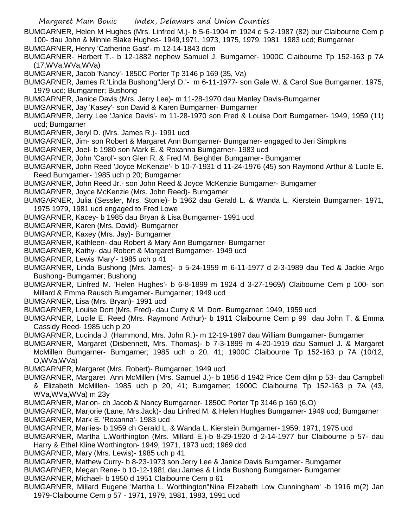BUMGARNER, Helen M Hughes (Mrs. Linfred M.)- b 5-6-1904 m 1924 d 5-2-1987 (82) bur Claibourne Cem p 100- dau John & Minnie Blake Hughes- 1949,1971, 1973, 1975, 1979, 1981 1983 ucd; Bumgarner

BUMGARNER, Henry 'Catherine Gast'- m 12-14-1843 dcm

BUMGARNER- Herbert T.- b 12-1882 nephew Samuel J. Bumgarner- 1900C Claibourne Tp 152-163 p 7A (17,WVa,WVa,WVa)

BUMGARNER, Jacob 'Nancy'- 1850C Porter Tp 3146 p 169 (35, Va)

- BUMGARNER, James R.'Linda Bushong''Jeryl D.'- m 6-11-1977- son Gale W. & Carol Sue Bumgarner; 1975, 1979 ucd; Bumgarner; Bushong
- BUMGARNER, Janice Davis (Mrs. Jerry Lee)- m 11-28-1970 dau Manley Davis-Bumgarner
- BUMGARNER, Jay 'Kasey'- son David & Karen Bumgarner- Bumgarner
- BUMGARNER, Jerry Lee 'Janice Davis'- m 11-28-1970 son Fred & Louise Dort Bumgarner- 1949, 1959 (11) ucd; Bumgarner
- BUMGARNER, Jeryl D. (Mrs. James R.)- 1991 ucd
- BUMGARNER, Jim- son Robert & Margaret Ann Bumgarner- Bumgarner- engaged to Jeri Simpkins
- BUMGARNER, Joel- b 1980 son Mark E. & Roxanna Bumgarner- 1983 ucd
- BUMGARNER, John 'Carol'- son Glen R. & Fred M. Beightler Bumgarner- Bumgarner
- BUMGARNER, John Reed 'Joyce McKenzie'- b 10-7-1931 d 11-24-1976 (45) son Raymond Arthur & Lucile E. Reed Bumgarner- 1985 uch p 20; Bumgarner
- BUMGARNER, John Reed Jr.- son John Reed & Joyce McKenzie Bumgarner- Bumgarner
- BUMGARNER, Joyce McKenzie (Mrs. John Reed)- Bumgarner
- BUMGARNER, Julia (Sessler, Mrs. Stonie)- b 1962 dau Gerald L. & Wanda L. Kierstein Bumgarner- 1971, 1975 1979, 1981 ucd engaged to Fred Lowe
- BUMGARNER, Kacey- b 1985 dau Bryan & Lisa Bumgarner- 1991 ucd
- BUMGARNER, Karen (Mrs. David)- Bumgarner
- BUMGARNER, Kaxey (Mrs. Jay)- Bumgarner
- BUMGARNER, Kathleen- dau Robert & Mary Ann Bumgarner- Bumgarner
- BUMGARNER, Kathy- dau Robert & Margaret Bumgarner- 1949 ucd
- BUMGARNER, Lewis 'Mary'- 1985 uch p 41
- BUMGARNER, Linda Bushong (Mrs. James)- b 5-24-1959 m 6-11-1977 d 2-3-1989 dau Ted & Jackie Argo Bushong- Bumgarner; Bushong
- BUMGARNER, Linfred M. 'Helen Hughes'- b 6-8-1899 m 1924 d 3-27-1969/) Claibourne Cem p 100- son Millard & Emma Rausch Bumgarner- Bumgarner; 1949 ucd
- BUMGARNER, Lisa (Mrs. Bryan)- 1991 ucd
- BUMGARNER, Louise Dort (Mrs. Fred)- dau Curry & M. Dort- Bumgarner; 1949, 1959 ucd
- BUMGARNER, Lucile E. Reed (Mrs. Raymond Arthur)- b 1911 Claibourne Cem p 99 dau John T. & Emma Cassidy Reed- 1985 uch p 20
- BUMGARNER, Lucinda J. (Hammond, Mrs. John R.)- m 12-19-1987 dau William Bumgarner- Bumgarner
- BUMGARNER, Margaret (Disbennett, Mrs. Thomas)- b 7-3-1899 m 4-20-1919 dau Samuel J. & Margaret McMillen Bumgarner- Bumgarner; 1985 uch p 20, 41; 1900C Claibourne Tp 152-163 p 7A (10/12, O,WVa,WVa)
- BUMGARNER, Margaret (Mrs. Robert)- Bumgarner; 1949 ucd
- BUMGARNER, Margaret Ann McMillen (Mrs. Samuel J.)- b 1856 d 1942 Price Cem djlm p 53- dau Campbell & Elizabeth McMillen- 1985 uch p 20, 41; Bumgarner; 1900C Claibourne Tp 152-163 p 7A (43, WVa,WVa,WVa) m 23y
- BUMGARNER, Marion- ch Jacob & Nancy Bumgarner- 1850C Porter Tp 3146 p 169 (6,O)
- BUMGARNER, Marjorie (Lane, Mrs.Jack)- dau Linfred M. & Helen Hughes Bumgarner- 1949 ucd; Bumgarner BUMGARNER, Mark E. 'Roxanna'- 1983 ucd
- BUMGARNER, Marlies- b 1959 ch Gerald L. & Wanda L. Kierstein Bumgarner- 1959, 1971, 1975 ucd
- BUMGARNER, Martha L.Worthington (Mrs. Millard E.)-b 8-29-1920 d 2-14-1977 bur Claibourne p 57- dau Harry & Ethel Kline Worthington- 1949, 1971, 1973 ucd; 1969 dcd
- BUMGARNER, Mary (Mrs. Lewis)- 1985 uch p 41
- BUMGARNER, Mathew Curry- b 8-23-1973 son Jerry Lee & Janice Davis Bumgarner- Bumgarner
- BUMGARNER, Megan Rene- b 10-12-1981 dau James & Linda Bushong Bumgarner- Bumgarner
- BUMGARNER, Michael- b 1950 d 1951 Claibourne Cem p 61
- BUMGARNER, Millard Eugene 'Martha L. Worthington''Nina Elizabeth Low Cunningham' -b 1916 m(2) Jan 1979-Claibourne Cem p 57 - 1971, 1979, 1981, 1983, 1991 ucd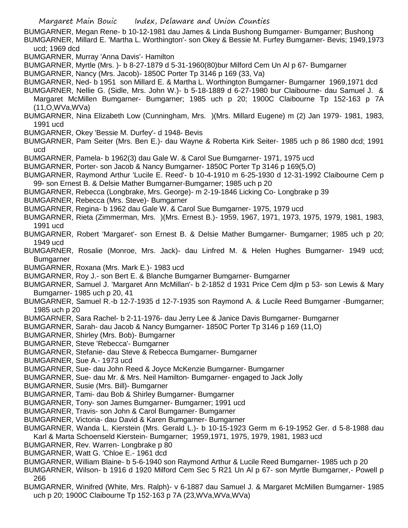Margaret Main Bouic Index, Delaware and Union Counties BUMGARNER, Megan Rene- b 10-12-1981 dau James & Linda Bushong Bumgarner- Bumgarner; Bushong BUMGARNER, Millard E. 'Martha L. Worthington'- son Okey & Bessie M. Furfey Bumgarner- Bevis; 1949,1973 ucd; 1969 dcd BUMGARNER, Murray 'Anna Davis'- Hamilton BUMGARNER, Myrtle (Mrs. )- b 8-27-1879 d 5-31-1960(80)bur Milford Cem Un Al p 67- Bumgarner BUMGARNER, Nancy (Mrs. Jacob)- 1850C Porter Tp 3146 p 169 (33, Va) BUMGARNER, Ned- b 1951 son Millard E. & Martha L. Worthington Bumgarner- Bumgarner 1969,1971 dcd BUMGARNER, Nellie G. (Sidle, Mrs. John W.)- b 5-18-1889 d 6-27-1980 bur Claibourne- dau Samuel J. & Margaret McMillen Bumgarner- Bumgarner; 1985 uch p 20; 1900C Claibourne Tp 152-163 p 7A (11,O,WVa,WVa) BUMGARNER, Nina Elizabeth Low (Cunningham, Mrs. )(Mrs. Millard Eugene) m (2) Jan 1979- 1981, 1983, 1991 ucd BUMGARNER, Okey 'Bessie M. Durfey'- d 1948- Bevis BUMGARNER, Pam Seiter (Mrs. Ben E.)- dau Wayne & Roberta Kirk Seiter- 1985 uch p 86 1980 dcd; 1991 ucd BUMGARNER, Pamela- b 1962(3) dau Gale W. & Carol Sue Bumgarner- 1971, 1975 ucd BUMGARNER, Porter- son Jacob & Nancy Bumgarner- 1850C Porter Tp 3146 p 169(5,O) BUMGARNER, Raymond Arthur 'Lucile E. Reed'- b 10-4-1910 m 6-25-1930 d 12-31-1992 Claibourne Cem p 99- son Ernest B. & Delsie Mather Bumgarner-Bumgarner; 1985 uch p 20 BUMGARNER, Rebecca (Longbrake, Mrs. George)- m 2-19-1846 Licking Co- Longbrake p 39 BUMGARNER, Rebecca (Mrs. Steve)- Bumgarner BUMGARNER, Regina- b 1962 dau Gale W. & Carol Sue Bumgarner- 1975, 1979 ucd BUMGARNER, Rieta (Zimmerman, Mrs. )(Mrs. Ernest B.)- 1959, 1967, 1971, 1973, 1975, 1979, 1981, 1983, 1991 ucd BUMGARNER, Robert 'Margaret'- son Ernest B. & Delsie Mather Bumgarner- Bumgarner; 1985 uch p 20; 1949 ucd BUMGARNER, Rosalie (Monroe, Mrs. Jack)- dau Linfred M. & Helen Hughes Bumgarner- 1949 ucd; Bumgarner BUMGARNER, Roxana (Mrs. Mark E.)- 1983 ucd BUMGARNER, Roy J.- son Bert E. & Blanche Bumgarner Bumgarner- Bumgarner BUMGARNER, Samuel J. 'Margaret Ann McMillan'- b 2-1852 d 1931 Price Cem djlm p 53- son Lewis & Mary Bumgarner- 1985 uch p 20, 41 BUMGARNER, Samuel R.-b 12-7-1935 d 12-7-1935 son Raymond A. & Lucile Reed Bumgarner -Bumgarner; 1985 uch p 20 BUMGARNER, Sara Rachel- b 2-11-1976- dau Jerry Lee & Janice Davis Bumgarner- Bumgarner BUMGARNER, Sarah- dau Jacob & Nancy Bumgarner- 1850C Porter Tp 3146 p 169 (11,O) BUMGARNER, Shirley (Mrs. Bob)- Bumgarner BUMGARNER, Steve 'Rebecca'- Bumgarner BUMGARNER, Stefanie- dau Steve & Rebecca Bumgarner- Bumgarner BUMGARNER, Sue A.- 1973 ucd BUMGARNER, Sue- dau John Reed & Joyce McKenzie Bumgarner- Bumgarner BUMGARNER, Sue- dau Mr. & Mrs. Neil Hamilton- Bumgarner- engaged to Jack Jolly BUMGARNER, Susie (Mrs. Bill)- Bumgarner BUMGARNER, Tami- dau Bob & Shirley Bumgarner- Bumgarner BUMGARNER, Tony- son James Bumgarner- Bumgarner; 1991 ucd BUMGARNER, Travis- son John & Carol Bumgarner- Bumgarner BUMGARNER, Victoria- dau David & Karen Bumgarner- Bumgarner BUMGARNER, Wanda L. Kierstein (Mrs. Gerald L.)- b 10-15-1923 Germ m 6-19-1952 Ger. d 5-8-1988 dau Karl & Marta Schoenseld Kierstein- Bumgarner; 1959,1971, 1975, 1979, 1981, 1983 ucd BUMGARNER, Rev. Warren- Longbrake p 80

- BUMGARNER, Watt G. 'Chloe E.- 1961 dcd
- BUMGARNER, William Blaine- b 5-6-1940 son Raymond Arthur & Lucile Reed Bumgarner- 1985 uch p 20

BUMGARNER, Wilson- b 1916 d 1920 Milford Cem Sec 5 R21 Un Al p 67- son Myrtle Bumgarner,- Powell p 266

BUMGARNER, Winifred (White, Mrs. Ralph)- v 6-1887 dau Samuel J. & Margaret McMillen Bumgarner- 1985 uch p 20; 1900C Claibourne Tp 152-163 p 7A (23,WVa,WVa,WVa)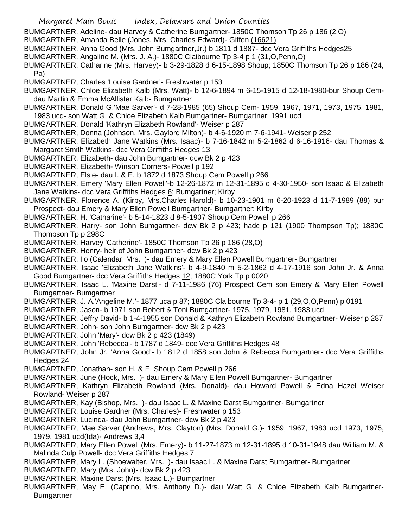- Margaret Main Bouic Index, Delaware and Union Counties
- BUMGARTNER, Adeline- dau Harvey & Catherine Bumgartner- 1850C Thomson Tp 26 p 186 (2,O)
- BUMGARTNER, Amanda Belle (Jones, Mrs. Charles Edward)- Giffen (16621)
- BUMGARTNER, Anna Good (Mrs. John Bumgartner,Jr.) b 1811 d 1887- dcc Vera Griffiths Hedges25
- BUMGARTNER, Angaline M. (Mrs. J. A.)- 1880C Claibourne Tp 3-4 p 1 (31,O,Penn,O)
- BUMGARTNER, Catharine (Mrs. Harvey)- b 3-29-1828 d 6-15-1898 Shoup; 1850C Thomson Tp 26 p 186 (24, Pa)
- BUMGARTNER, Charles 'Louise Gardner'- Freshwater p 153
- BUMGARTNER, Chloe Elizabeth Kalb (Mrs. Watt)- b 12-6-1894 m 6-15-1915 d 12-18-1980-bur Shoup Cemdau Martin & Emma McAllister Kalb- Bumgartner
- BUMGARTNER, Donald G.'Mae Sarver'- d 7-28-1985 (65) Shoup Cem- 1959, 1967, 1971, 1973, 1975, 1981, 1983 ucd- son Watt G. & Chloe Elizabeth Kalb Bumgartner- Bumgartner; 1991 ucd
- BUMGARTNER, Donald 'Kathryn Elizabeth Rowland'- Weiser p 287
- BUMGARTNER, Donna (Johnson, Mrs. Gaylord Milton)- b 4-6-1920 m 7-6-1941- Weiser p 252
- BUMGARTNER, Elizabeth Jane Watkins (Mrs. Isaac)- b 7-16-1842 m 5-2-1862 d 6-16-1916- dau Thomas & Margaret Smith Watkins- dcc Vera Griffiths Hedges 13
- BUMGARTNER, Elizabeth- dau John Bumgartner- dcw Bk 2 p 423
- BUMGARTNER, Elizabeth- Winson Corners- Powell p 192
- BUMGARTNER, Elsie- dau I. & E. b 1872 d 1873 Shoup Cem Powell p 266
- BUMGARTNER, Emery 'Mary Ellen Powell'-b 12-26-1872 m 12-31-1895 d 4-30-1950- son Isaac & Elizabeth Jane Watkins- dcc Vera Griffiths Hedges 6; Bumgartner; Kirby
- BUMGARTNER, Florence A. (Kirby, Mrs.Charles Harold)- b 10-23-1901 m 6-20-1923 d 11-7-1989 (88) bur Prospect- dau Emery & Mary Ellen Powell Bumgartner- Bumgartner; Kirby
- BUMGARTNER, H. 'Catharine'- b 5-14-1823 d 8-5-1907 Shoup Cem Powell p 266
- BUMGARTNER, Harry- son John Bumgartner- dcw Bk 2 p 423; hadc p 121 (1900 Thompson Tp); 1880C Thompson Tp p 298C
- BUMGARTNER, Harvey 'Catherine'- 1850C Thomson Tp 26 p 186 (28,O)
- BUMGARTNER, Henry- heir of John Bumgartner- dcw Bk 2 p 423
- BUMGARTNER, Ilo (Calendar, Mrs. )- dau Emery & Mary Ellen Powell Bumgartner- Bumgartner
- BUMGARTNER, Isaac 'Elizabeth Jane Watkins'- b 4-9-1840 m 5-2-1862 d 4-17-1916 son John Jr. & Anna Good Bumgartner- dcc Vera Griffiths Hedges 12; 1880C York Tp p 0020
- BUMGARTNER, Isaac L. 'Maxine Darst'- d 7-11-1986 (76) Prospect Cem son Emery & Mary Ellen Powell Bumgartner- Bumgartner
- BUMGARTNER, J. A.'Angeline M.'- 1877 uca p 87; 1880C Claibourne Tp 3-4- p 1 (29,O,O,Penn) p 0191
- BUMGARTNER, Jason- b 1971 son Robert & Toni Bumgartner- 1975, 1979, 1981, 1983 ucd
- BUMGARTNER, Jeffry David- b 1-4-1955 son Donald & Kathryn Elizabeth Rowland Bumgartner- Weiser p 287
- BUMGARTNER, John- son John Bumgartner- dcw Bk 2 p 423
- BUMGARTNER, John 'Mary'- dcw Bk 2 p 423 (1849)
- BUMGARTNER, John 'Rebecca'- b 1787 d 1849- dcc Vera Griffiths Hedges 48
- BUMGARTNER, John Jr. 'Anna Good'- b 1812 d 1858 son John & Rebecca Bumgartner- dcc Vera Griffiths Hedges 24
- BUMGARTNER, Jonathan- son H. & E. Shoup Cem Powell p 266
- BUMGARTNER, June (Hock, Mrs. )- dau Emery & Mary Ellen Powell Bumgartner- Bumgartner
- BUMGARTNER, Kathryn Elizabeth Rowland (Mrs. Donald)- dau Howard Powell & Edna Hazel Weiser Rowland- Weiser p 287
- BUMGARTNER, Kay (Bishop, Mrs. )- dau Isaac L. & Maxine Darst Bumgartner- Bumgartner
- BUMGARTNER, Louise Gardner (Mrs. Charles)- Freshwater p 153
- BUMGARTNER, Lucinda- dau John Bumgartner- dcw Bk 2 p 423
- BUMGARTNER, Mae Sarver (Andrews, Mrs. Clayton) (Mrs. Donald G.)- 1959, 1967, 1983 ucd 1973, 1975, 1979, 1981 ucd(Ida)- Andrews 3,4
- BUMGARTNER, Mary Ellen Powell (Mrs. Emery)- b 11-27-1873 m 12-31-1895 d 10-31-1948 dau William M. & Malinda Culp Powell- dcc Vera Griffiths Hedges 7
- BUMGARTNER, Mary L. (Shoewalter, Mrs. )- dau Isaac L. & Maxine Darst Bumgartner- Bumgartner
- BUMGARTNER, Mary (Mrs. John)- dcw Bk 2 p 423
- BUMGARTNER, Maxine Darst (Mrs. Isaac L.)- Bumgartner
- BUMGARTNER, May E. (Caprino, Mrs. Anthony D.)- dau Watt G. & Chloe Elizabeth Kalb Bumgartner-**Bumgartner**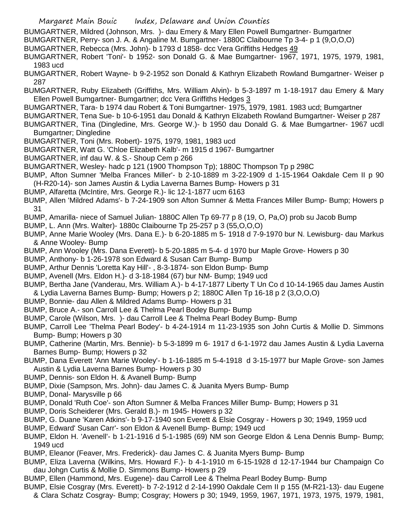- Margaret Main Bouic Index, Delaware and Union Counties
- BUMGARTNER, Mildred (Johnson, Mrs. )- dau Emery & Mary Ellen Powell Bumgartner- Bumgartner
- BUMGARTNER, Perry- son J. A. & Angaline M. Bumgartner- 1880C Claibourne Tp 3-4- p 1 (9,O,O,O)
- BUMGARTNER, Rebecca (Mrs. John)- b 1793 d 1858- dcc Vera Griffiths Hedges 49
- BUMGARTNER, Robert 'Toni'- b 1952- son Donald G. & Mae Bumgartner- 1967, 1971, 1975, 1979, 1981, 1983 ucd
- BUMGARTNER, Robert Wayne- b 9-2-1952 son Donald & Kathryn Elizabeth Rowland Bumgartner- Weiser p 287
- BUMGARTNER, Ruby Elizabeth (Griffiths, Mrs. William Alvin)- b 5-3-1897 m 1-18-1917 dau Emery & Mary Ellen Powell Bumgartner- Bumgartner; dcc Vera Griffiths Hedges 3
- BUMGARTNER, Tara- b 1974 dau Robert & Toni Bumgartner- 1975, 1979, 1981. 1983 ucd; Bumgartner
- BUMGARTNER, Tena Sue- b 10-6-1951 dau Donald & Kathryn Elizabeth Rowland Bumgartner- Weiser p 287
- BUMGARTNER, Tina (Dingledine, Mrs. George W.)- b 1950 dau Donald G. & Mae Bumgartner- 1967 ucdl Bumgartner; Dingledine
- BUMGARTNER, Toni (Mrs. Robert)- 1975, 1979, 1981, 1983 ucd
- BUMGARTNER, Watt G. 'Chloe Elizabeth Kalb'- m 1915 d 1967- Bumgartner
- BUMGARTNER, inf dau W. & S.- Shoup Cem p 266
- BUMGARTNER, Wesley- hadc p 121 (1900 Thompson Tp); 1880C Thompson Tp p 298C
- BUMP, Afton Sumner 'Melba Frances Miller'- b 2-10-1889 m 3-22-1909 d 1-15-1964 Oakdale Cem II p 90 (H-R20-14)- son James Austin & Lydia Laverna Barnes Bump- Howers p 31
- BUMP, Alfaretta (McIntire, Mrs. George R.)- lic 12-1-1877 ucm 6163
- BUMP, Allen 'Mildred Adams'- b 7-24-1909 son Afton Sumner & Metta Frances Miller Bump- Bump; Howers p 31
- BUMP, Amarilla- niece of Samuel Julian- 1880C Allen Tp 69-77 p 8 (19, O, Pa,O) prob su Jacob Bump
- BUMP, L. Ann (Mrs. Walter)- 1880c Claibourne Tp 25-257 p 3 (55,O,O,O)
- BUMP, Anne Marie Wooley (Mrs. Dana E.)- b 6-20-1885 m 5- 1918 d 7-9-1970 bur N. Lewisburg- dau Markus & Anne Wooley- Bump
- BUMP, Ann Wooley (Mrs. Dana Everett)- b 5-20-1885 m 5-4- d 1970 bur Maple Grove- Howers p 30
- BUMP, Anthony- b 1-26-1978 son Edward & Susan Carr Bump- Bump
- BUMP, Arthur Dennis 'Loretta Kay Hill'- , 8-3-1874- son Eldon Bump- Bump
- BUMP, Avenell (Mrs. Eldon H.)- d 3-18-1984 (67) bur NM- Bump; 1949 ucd
- BUMP, Bertha Jane (Vanderau, Mrs. William A.)- b 4-17-1877 Liberty T Un Co d 10-14-1965 dau James Austin & Lydia Laverna Barnes Bump- Bump; Howers p 2; 1880C Allen Tp 16-18 p 2 (3,O,O,O)
- BUMP, Bonnie- dau Allen & Mildred Adams Bump- Howers p 31
- BUMP, Bruce A.- son Carroll Lee & Thelma Pearl Bodey Bump- Bump
- BUMP, Carole (Wilson, Mrs. )- dau Carroll Lee & Thelma Pearl Bodey Bump- Bump
- BUMP, Carroll Lee 'Thelma Pearl Bodey'- b 4-24-1914 m 11-23-1935 son John Curtis & Mollie D. Simmons Bump- Bump; Howers p 30
- BUMP, Catherine (Martin, Mrs. Bennie)- b 5-3-1899 m 6- 1917 d 6-1-1972 dau James Austin & Lydia Laverna Barnes Bump- Bump; Howers p 32
- BUMP, Dana Everett 'Ann Marie Wooley'- b 1-16-1885 m 5-4-1918 d 3-15-1977 bur Maple Grove- son James Austin & Lydia Laverna Barnes Bump- Howers p 30
- BUMP, Dennis- son Eldon H. & Avanell Bump- Bump
- BUMP, Dixie (Sampson, Mrs. John)- dau James C. & Juanita Myers Bump- Bump
- BUMP, Donal- Marysville p 66
- BUMP, Donald 'Ruth Coe'- son Afton Sumner & Melba Frances Miller Bump- Bump; Howers p 31
- BUMP, Doris Scheiderer (Mrs. Gerald B.)- m 1945- Howers p 32
- BUMP, G. Duane 'Karen Atkins'- b 9-17-1940 son Everett & Elsie Cosgray Howers p 30; 1949, 1959 ucd
- BUMP, Edward' Susan Carr'- son Eldon & Avenell Bump- Bump; 1949 ucd
- BUMP, Eldon H. 'Avenell'- b 1-21-1916 d 5-1-1985 (69) NM son George Eldon & Lena Dennis Bump- Bump; 1949 ucd
- BUMP, Eleanor (Feaver, Mrs. Frederick)- dau James C. & Juanita Myers Bump- Bump
- BUMP, Eliza Laverna (Wilkins, Mrs. Howard F.)- b 4-1-1910 m 6-15-1928 d 12-17-1944 bur Champaign Co dau Johgn Curtis & Mollie D. Simmons Bump- Howers p 29
- BUMP, Ellen (Hammond, Mrs. Eugene)- dau Carroll Lee & Thelma Pearl Bodey Bump- Bump
- BUMP, Elsie Cosgray (Mrs. Everett)- b 7-2-1912 d 2-14-1990 Oakdale Cem II p 155 (M-R21-13)- dau Eugene & Clara Schatz Cosgray- Bump; Cosgray; Howers p 30; 1949, 1959, 1967, 1971, 1973, 1975, 1979, 1981,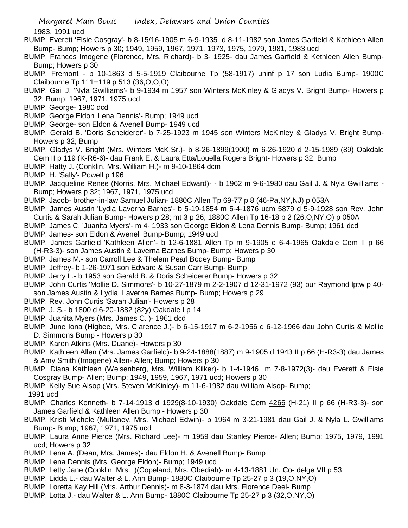1983, 1991 ucd

- BUMP, Everett 'Elsie Cosgray'- b 8-15/16-1905 m 6-9-1935 d 8-11-1982 son James Garfield & Kathleen Allen Bump- Bump; Howers p 30; 1949, 1959, 1967, 1971, 1973, 1975, 1979, 1981, 1983 ucd
- BUMP, Frances Imogene (Florence, Mrs. Richard)- b 3- 1925- dau James Garfield & Kethleen Allen Bump-Bump; Howers p 30
- BUMP, Fremont b 10-1863 d 5-5-1919 Claibourne Tp (58-1917) uninf p 17 son Ludia Bump- 1900C Claibourne Tp 111=119 p 513 (36,O,O,O)
- BUMP, Gail J. 'Nyla Gwilliams'- b 9-1934 m 1957 son Winters McKinley & Gladys V. Bright Bump- Howers p 32; Bump; 1967, 1971, 1975 ucd
- BUMP, George- 1980 dcd
- BUMP, George Eldon 'Lena Dennis'- Bump; 1949 ucd
- BUMP, George- son Eldon & Avenell Bump- 1949 ucd
- BUMP, Gerald B. 'Doris Scheiderer'- b 7-25-1923 m 1945 son Winters McKinley & Gladys V. Bright Bump-Howers p 32; Bump
- BUMP, Gladys V. Bright (Mrs. Winters McK.Sr.)- b 8-26-1899(1900) m 6-26-1920 d 2-15-1989 (89) Oakdale Cem II p 119 (K-R6-6)- dau Frank E. & Laura Etta/Louella Rogers Bright- Howers p 32; Bump
- BUMP, Hatty J. (Conklin, Mrs. William H.)- m 9-10-1864 dcm
- BUMP, H. 'Sally'- Powell p 196
- BUMP, Jacqueline Renee (Norris, Mrs. Michael Edward)- b 1962 m 9-6-1980 dau Gail J. & Nyla Gwilliams Bump; Howers p 32; 1967, 1971, 1975 ucd
- BUMP, Jacob- brother-in-law Samuel Julian- 1880C Allen Tp 69-77 p 8 (46-Pa,NY,NJ) p 053A
- BUMP, James Austin 'Lydia Laverna Barnes'- b 5-19-1854 m 5-4-1876 ucm 5879 d 5-9-1928 son Rev. John Curtis & Sarah Julian Bump- Howers p 28; mt 3 p 26; 1880C Allen Tp 16-18 p 2 (26,O,NY,O) p 050A
- BUMP, James C. 'Juanita Myers'- m 4- 1933 son George Eldon & Lena Dennis Bump- Bump; 1961 dcd
- BUMP, James- son Eldon & Avenell Bump-Bump; 1949 ucd
- BUMP, James Garfield 'Kathleen Allen'- b 12-6-1881 Allen Tp m 9-1905 d 6-4-1965 Oakdale Cem II p 66 (H-R3-3)- son James Austin & Laverna Barnes Bump- Bump; Howers p 30
- BUMP, James M.- son Carroll Lee & Thelem Pearl Bodey Bump- Bump
- BUMP, Jeffrey- b 1-26-1971 son Edward & Susan Carr Bump- Bump
- BUMP, Jerry L.- b 1953 son Gerald B. & Doris Scheiderer Bump- Howers p 32
- BUMP, John Curtis 'Mollie D. Simmons'- b 10-27-1879 m 2-2-1907 d 12-31-1972 (93) bur Raymond lptw p 40 son James Austin & Lydia Laverna Barnes Bump- Bump; Howers p 29
- BUMP, Rev. John Curtis 'Sarah Julian'- Howers p 28
- BUMP, J. S.- b 1800 d 6-20-1882 (82y) Oakdale I p 14
- BUMP, Juanita Myers (Mrs. James C. )- 1961 dcd
- BUMP, June Iona (Higbee, Mrs. Clarence J.)- b 6-15-1917 m 6-2-1956 d 6-12-1966 dau John Curtis & Mollie D. Simmons Bump - Howers p 30
- BUMP, Karen Atkins (Mrs. Duane)- Howers p 30
- BUMP, Kathleen Allen (Mrs. James Garfield)- b 9-24-1888(1887) m 9-1905 d 1943 II p 66 (H-R3-3) dau James & Amy Smith (Imogene) Allen- Allen; Bump; Howers p 30
- BUMP, Diana Kathleen (Weisenberg, Mrs. William Kilker)- b 1-4-1946 m 7-8-1972(3)- dau Everett & Elsie Cosgray Bump- Allen; Bump; 1949, 1959, 1967, 1971 ucd; Howers p 30
- BUMP, Kelly Sue Alsop (Mrs. Steven McKinley)- m 11-6-1982 dau William Alsop- Bump;

1991 ucd

- BUMP, Charles Kenneth- b 7-14-1913 d 1929(8-10-1930) Oakdale Cem 4266 (H-21) Il p 66 (H-R3-3)- son James Garfield & Kathleen Allen Bump - Howers p 30
- BUMP, Kristi Michele (Mullaney, Mrs. Michael Edwin)- b 1964 m 3-21-1981 dau Gail J. & Nyla L. Gwilliams Bump- Bump; 1967, 1971, 1975 ucd
- BUMP, Laura Anne Pierce (Mrs. Richard Lee)- m 1959 dau Stanley Pierce- Allen; Bump; 1975, 1979, 1991 ucd; Howers p 32
- BUMP, Lena A. (Dean, Mrs. James)- dau Eldon H. & Avenell Bump- Bump
- BUMP, Lena Dennis (Mrs. George Eldon)- Bump; 1949 ucd
- BUMP, Letty Jane (Conklin, Mrs. )(Copeland, Mrs. Obediah)- m 4-13-1881 Un. Co- delge VII p 53
- BUMP, Lidda L.- dau Walter & L. Ann Bump- 1880C Claibourne Tp 25-27 p 3 (19,O,NY,O)
- BUMP, Loretta Kay Hill (Mrs. Arthur Dennis)- m 8-3-1874 dau Mrs. Florence Deel- Bump
- BUMP, Lotta J.- dau Walter & L. Ann Bump- 1880C Claibourne Tp 25-27 p 3 (32,O,NY,O)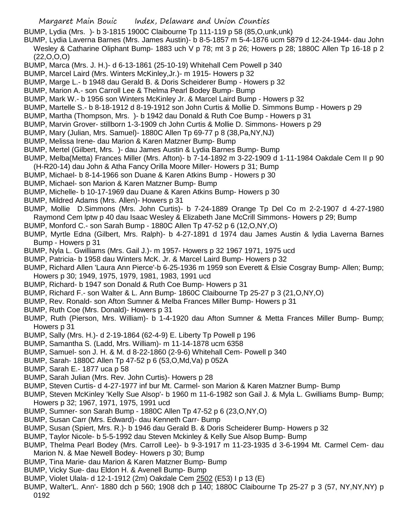- Margaret Main Bouic Index, Delaware and Union Counties
- BUMP, Lydia (Mrs. )- b 3-1815 1900C Claibourne Tp 111-119 p 58 (85,O,unk,unk)
- BUMP, Lydia Laverna Barnes (Mrs. James Austin)- b 8-5-1857 m 5-4-1876 ucm 5879 d 12-24-1944- dau John Wesley & Catharine Oliphant Bump- 1883 uch V p 78; mt 3 p 26; Howers p 28; 1880C Allen Tp 16-18 p 2 (22,O,O,O)
- BUMP, Marca (Mrs. J. H.)- d 6-13-1861 (25-10-19) Whitehall Cem Powell p 340
- BUMP, Marcel Laird (Mrs. Winters McKinley,Jr.)- m 1915- Howers p 32
- BUMP, Marge L.- b 1948 dau Gerald B. & Doris Scheiderer Bump Howers p 32
- BUMP, Marion A.- son Carroll Lee & Thelma Pearl Bodey Bump- Bump
- BUMP, Mark W.- b 1956 son Winters McKinley Jr. & Marcel Laird Bump Howers p 32
- BUMP, Martelle S.- b 8-18-1912 d 8-19-1912 son John Curtis & Mollie D. Simmons Bump Howers p 29
- BUMP, Martha (Thompson, Mrs. )- b 1942 dau Donald & Ruth Coe Bump Howers p 31
- BUMP, Marvin Grover- stillborn 1-3-1909 ch John Curtis & Mollie D. Simmons- Howers p 29
- BUMP, Mary (Julian, Mrs. Samuel)- 1880C Allen Tp 69-77 p 8 (38,Pa,NY,NJ)
- BUMP, Melissa Irene- dau Marion & Karen Matzner Bump- Bump
- BUMP, Mertel (Gilbert, Mrs. )- dau James Austin & Lydia Barnes Bump- Bump
- BUMP, Melba(Metta) Frances Miller (Mrs. Afton)- b 7-14-1892 m 3-22-1909 d 1-11-1984 Oakdale Cem II p 90 (H-R20-14) dau John & Atha Fancy Orilla Moore Miller- Howers p 31; Bump
- BUMP, Michael- b 8-14-1966 son Duane & Karen Atkins Bump Howers p 30
- BUMP, Michael- son Marion & Karen Matzner Bump- Bump
- BUMP, Michelle- b 10-17-1969 dau Duane & Karen Atkins Bump- Howers p 30
- BUMP, Mildred Adams (Mrs. Allen)- Howers p 31
- BUMP, Mollie D.Simmons (Mrs. John Curtis)- b 7-24-1889 Orange Tp Del Co m 2-2-1907 d 4-27-1980 Raymond Cem lptw p 40 dau Isaac Wesley & Elizabeth Jane McCrill Simmons- Howers p 29; Bump
- BUMP, Monford C.- son Sarah Bump 1880C Allen Tp 47-52 p 6 (12,O,NY,O)
- BUMP, Myrtle Edna (Gilbert, Mrs. Ralph)- b 4-27-1891 d 1974 dau James Austin & lydia Laverna Barnes Bump - Howers p 31
- BUMP, Nyla L. Gwilliams (Mrs. Gail J.)- m 1957- Howers p 32 1967 1971, 1975 ucd
- BUMP, Patricia- b 1958 dau Winters McK. Jr. & Marcel Laird Bump- Howers p 32
- BUMP, Richard Allen 'Laura Ann Pierce'-b 6-25-1936 m 1959 son Everett & Elsie Cosgray Bump- Allen; Bump; Howers p 30; 1949, 1975, 1979, 1981, 1983, 1991 ucd
- BUMP, Richard- b 1947 son Donald & Ruth Coe Bump- Howers p 31
- BUMP, Richard F.- son Walter & L. Ann Bump- 1860C Claibourne Tp 25-27 p 3 (21,O,NY,O)
- BUMP, Rev. Ronald- son Afton Sumner & Melba Frances Miller Bump- Howers p 31
- BUMP, Ruth Coe (Mrs. Donald)- Howers p 31
- BUMP, Ruth (Pierson, Mrs. William)- b 1-4-1920 dau Afton Sumner & Metta Frances Miller Bump- Bump; Howers p 31
- BUMP, Sally (Mrs. H.)- d 2-19-1864 (62-4-9) E. Liberty Tp Powell p 196
- BUMP, Samantha S. (Ladd, Mrs. William)- m 11-14-1878 ucm 6358
- BUMP, Samuel- son J. H. & M. d 8-22-1860 (2-9-6) Whitehall Cem- Powell p 340
- BUMP, Sarah- 1880C Allen Tp 47-52 p 6 (53,O,Md,Va) p 052A
- BUMP, Sarah E.- 1877 uca p 58
- BUMP, Sarah Julian (Mrs. Rev. John Curtis)- Howers p 28
- BUMP, Steven Curtis- d 4-27-1977 inf bur Mt. Carmel- son Marion & Karen Matzner Bump- Bump
- BUMP, Steven McKinley 'Kelly Sue Alsop'- b 1960 m 11-6-1982 son Gail J. & Myla L. Gwilliams Bump- Bump; Howers p 32; 1967, 1971, 1975, 1991 ucd
- BUMP, Sumner- son Sarah Bump 1880C Allen Tp 47-52 p 6 (23,O,NY,O)
- BUMP, Susan Carr (Mrs. Edward)- dau Kenneth Carr- Bump
- BUMP, Susan (Spiert, Mrs. R.)- b 1946 dau Gerald B. & Doris Scheiderer Bump- Howers p 32
- BUMP, Taylor Nicole- b 5-5-1992 dau Steven Mckinley & Kelly Sue Alsop Bump- Bump
- BUMP, Thelma Pearl Bodey (Mrs. Carroll Lee)- b 9-3-1917 m 11-23-1935 d 3-6-1994 Mt. Carmel Cem- dau Marion N. & Mae Newell Bodey- Howers p 30; Bump
- BUMP, Tina Marie- dau Marion & Karen Matzner Bump- Bump
- BUMP, Vicky Sue- dau Eldon H. & Avenell Bump- Bump
- BUMP, Violet Ulala- d 12-1-1912 (2m) Oakdale Cem 2502 (E53) I p 13 (E)
- BUMP, Walter'L. Ann'- 1880 dch p 560; 1908 dch p 140; 1880C Claibourne Tp 25-27 p 3 (57, NY,NY,NY) p 0192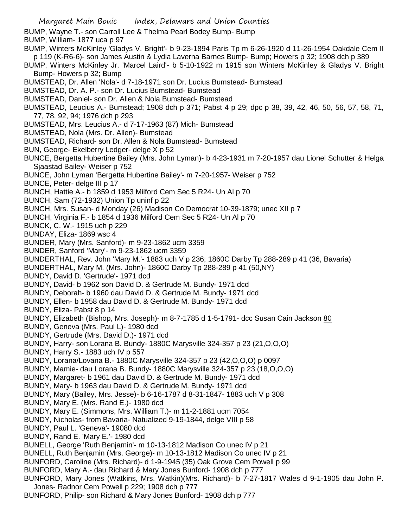Margaret Main Bouic Index, Delaware and Union Counties BUMP, Wayne T.- son Carroll Lee & Thelma Pearl Bodey Bump- Bump BUMP, William- 1877 uca p 97 BUMP, Winters McKinley 'Gladys V. Bright'- b 9-23-1894 Paris Tp m 6-26-1920 d 11-26-1954 Oakdale Cem II p 119 (K-R6-6)- son James Austin & Lydia Laverna Barnes Bump- Bump; Howers p 32; 1908 dch p 389 BUMP, Winters McKinley Jr. 'Marcel Laird'- b 5-10-1922 m 1915 son Winters McKinley & Gladys V. Bright Bump- Howers p 32; Bump BUMSTEAD, Dr. Allen 'Nola'- d 7-18-1971 son Dr. Lucius Bumstead- Bumstead BUMSTEAD, Dr. A. P.- son Dr. Lucius Bumstead- Bumstead BUMSTEAD, Daniel- son Dr. Allen & Nola Bumstead- Bumstead BUMSTEAD, Leucius A.- Bumstead; 1908 dch p 371; Pabst 4 p 29; dpc p 38, 39, 42, 46, 50, 56, 57, 58, 71, 77, 78, 92, 94; 1976 dch p 293 BUMSTEAD, Mrs. Leucius A.- d 7-17-1963 (87) Mich- Bumstead BUMSTEAD, Nola (Mrs. Dr. Allen)- Bumstead BUMSTEAD, Richard- son Dr. Allen & Nola Bumstead- Bumstead BUN, George- Ekelberry Ledger- delge X p 52 BUNCE, Bergetta Hubertine Bailey (Mrs. John Lyman)- b 4-23-1931 m 7-20-1957 dau Lionel Schutter & Helga Sjaastad Bailey- Weiser p 752 BUNCE, John Lyman 'Bergetta Hubertine Bailey'- m 7-20-1957- Weiser p 752 BUNCE, Peter- delge III p 17 BUNCH, Hattie A.- b 1859 d 1953 Milford Cem Sec 5 R24- Un Al p 70 BUNCH, Sam (72-1932) Union Tp uninf p 22 BUNCH, Mrs. Susan- d Monday (26) Madison Co Democrat 10-39-1879; unec XII p 7 BUNCH, Virginia F.- b 1854 d 1936 Milford Cem Sec 5 R24- Un Al p 70 BUNCK, C. W.- 1915 uch p 229 BUNDAY, Eliza- 1869 wsc 4 BUNDER, Mary (Mrs. Sanford)- m 9-23-1862 ucm 3359 BUNDER, Sanford 'Mary'- m 9-23-1862 ucm 3359 BUNDERTHAL, Rev. John 'Mary M.'- 1883 uch V p 236; 1860C Darby Tp 288-289 p 41 (36, Bavaria) BUNDERTHAL, Mary M. (Mrs. John)- 1860C Darby Tp 288-289 p 41 (50,NY) BUNDY, David D. 'Gertrude'- 1971 dcd BUNDY, David- b 1962 son David D. & Gertrude M. Bundy- 1971 dcd BUNDY, Deborah- b 1960 dau David D. & Gertrude M. Bundy- 1971 dcd BUNDY, Ellen- b 1958 dau David D. & Gertrude M. Bundy- 1971 dcd BUNDY, Eliza- Pabst 8 p 14 BUNDY, Elizabeth (Bishop, Mrs. Joseph)- m 8-7-1785 d 1-5-1791- dcc Susan Cain Jackson 80 BUNDY, Geneva (Mrs. Paul L)- 1980 dcd BUNDY, Gertrude (Mrs. David D.)- 1971 dcd BUNDY, Harry- son Lorana B. Bundy- 1880C Marysville 324-357 p 23 (21,O,O,O) BUNDY, Harry S.- 1883 uch IV p 557 BUNDY, Lorana/Lovana B.- 1880C Marysville 324-357 p 23 (42,O,O,O) p 0097 BUNDY, Mamie- dau Lorana B. Bundy- 1880C Marysville 324-357 p 23 (18,O,O,O) BUNDY, Margaret- b 1961 dau David D. & Gertrude M. Bundy- 1971 dcd BUNDY, Mary- b 1963 dau David D. & Gertrude M. Bundy- 1971 dcd BUNDY, Mary (Bailey, Mrs. Jesse)- b 6-16-1787 d 8-31-1847- 1883 uch V p 308 BUNDY, Mary E. (Mrs. Rand E.)- 1980 dcd BUNDY, Mary E. (Simmons, Mrs. William T.)- m 11-2-1881 ucm 7054 BUNDY, Nicholas- from Bavaria- Natualized 9-19-1844, delge VIII p 58 BUNDY, Paul L. 'Geneva'- 19080 dcd BUNDY, Rand E. 'Mary E.'- 1980 dcd BUNELL, George 'Ruth Benjamin'- m 10-13-1812 Madison Co unec IV p 21 BUNELL, Ruth Benjamin (Mrs. George)- m 10-13-1812 Madison Co unec IV p 21 BUNFORD, Caroline (Mrs. Richard)- d 1-9-1945 (35) Oak Grove Cem Powell p 99 BUNFORD, Mary A.- dau Richard & Mary Jones Bunford- 1908 dch p 777 BUNFORD, Mary Jones (Watkins, Mrs. Watkin)(Mrs. Richard)- b 7-27-1817 Wales d 9-1-1905 dau John P. Jones- Radnor Cem Powell p 229; 1908 dch p 777 BUNFORD, Philip- son Richard & Mary Jones Bunford- 1908 dch p 777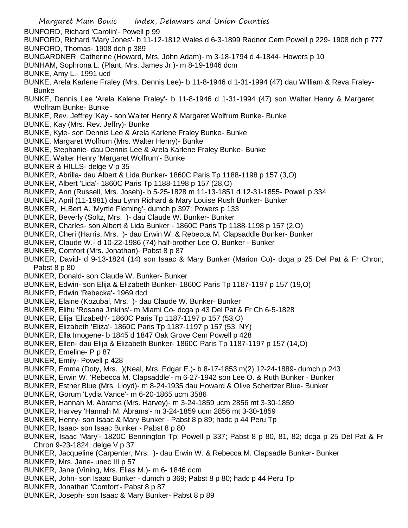BUNFORD, Richard 'Carolin'- Powell p 99

BUNFORD, Richard 'Mary Jones'- b 11-12-1812 Wales d 6-3-1899 Radnor Cem Powell p 229- 1908 dch p 777 BUNFORD, Thomas- 1908 dch p 389

- BUNGARDNER, Catherine (Howard, Mrs. John Adam)- m 3-18-1794 d 4-1844- Howers p 10
- BUNHAM, Sophrona L. (Plant, Mrs. James Jr.)- m 8-19-1846 dcm
- BUNKE, Amy L.- 1991 ucd
- BUNKE, Arela Karlene Fraley (Mrs. Dennis Lee)- b 11-8-1946 d 1-31-1994 (47) dau William & Reva Fraley-Bunke
- BUNKE, Dennis Lee 'Arela Kalene Fraley'- b 11-8-1946 d 1-31-1994 (47) son Walter Henry & Margaret Wolfram Bunke- Bunke
- BUNKE, Rev. Jeffrey 'Kay'- son Walter Henry & Margaret Wolfrum Bunke- Bunke
- BUNKE, Kay (Mrs. Rev. Jeffry)- Bunke
- BUNKE, Kyle- son Dennis Lee & Arela Karlene Fraley Bunke- Bunke
- BUNKE, Margaret Wolfrum (Mrs. Walter Henry)- Bunke
- BUNKE, Stephanie- dau Dennis Lee & Arela Karlene Fraley Bunke- Bunke
- BUNKE, Walter Henry 'Margaret Wolfrum'- Bunke
- BUNKER & HILLS- delge V p 35
- BUNKER, Abrilla- dau Albert & Lida Bunker- 1860C Paris Tp 1188-1198 p 157 (3,O)
- BUNKER, Albert 'Lida'- 1860C Paris Tp 1188-1198 p 157 (28,O)
- BUNKER, Ann (Russell, Mrs. Joseh)- b 5-25-1828 m 11-13-1851 d 12-31-1855- Powell p 334
- BUNKER, April (11-1981) dau Lynn Richard & Mary Louise Rush Bunker- Bunker
- BUNKER, H.Bert A. 'Myrtle Fleming'- dumch p 397; Powers p 133
- BUNKER, Beverly (Soltz, Mrs. )- dau Claude W. Bunker- Bunker
- BUNKER, Charles- son Albert & Lida Bunker 1860C Paris Tp 1188-1198 p 157 (2,O)
- BUNKER, Cheri (Harris, Mrs. )- dau Erwin W. & Rebecca M. Clapsaddle Bunker- Bunker
- BUNKER, Claude W.- d 10-22-1986 (74) half-brother Lee O. Bunker Bunker
- BUNKER, Comfort (Mrs. Jonathan)- Pabst 8 p 87
- BUNKER, David- d 9-13-1824 (14) son Isaac & Mary Bunker (Marion Co)- dcga p 25 Del Pat & Fr Chron; Pabst 8 p 80
- BUNKER, Donald- son Claude W. Bunker- Bunker
- BUNKER, Edwin- son Elija & Elizabeth Bunker- 1860C Paris Tp 1187-1197 p 157 (19,O)
- BUNKER, Edwin 'Rebecka'- 1969 dcd
- BUNKER, Elaine (Kozubal, Mrs. )- dau Claude W. Bunker- Bunker
- BUNKER, Elihu 'Rosana Jinkins'- m Miami Co- dcga p 43 Del Pat & Fr Ch 6-5-1828
- BUNKER, Elija 'Elizabeth'- 1860C Paris Tp 1187-1197 p 157 (53,O)
- BUNKER, Elizabeth 'Eliza'- 1860C Paris Tp 1187-1197 p 157 (53, NY)
- BUNKER, Ella Imogene- b 1845 d 1847 Oak Grove Cem Powell p 428
- BUNKER, Ellen- dau Elija & Elizabeth Bunker- 1860C Paris Tp 1187-1197 p 157 (14,O)
- BUNKER, Emeline- P p 87
- BUNKER, Emily- Powell p 428
- BUNKER, Emma (Doty, Mrs. )(Neal, Mrs. Edgar E.)- b 8-17-1853 m(2) 12-24-1889- dumch p 243
- BUNKER, Erwin W. 'Rebecca M. Clapsaddle'- m 6-27-1942 son Lee O. & Ruth Bunker Bunker
- BUNKER, Esther Blue (Mrs. Lloyd)- m 8-24-1935 dau Howard & Olive Schertzer Blue- Bunker
- BUNKER, Gorum 'Lydia Vance'- m 6-20-1865 ucm 3586
- BUNKER, Hannah M. Abrams (Mrs. Harvey)- m 3-24-1859 ucm 2856 mt 3-30-1859
- BUNKER, Harvey 'Hannah M. Abrams'- m 3-24-1859 ucm 2856 mt 3-30-1859
- BUNKER, Henry- son Isaac & Mary Bunker Pabst 8 p 89; hadc p 44 Peru Tp
- BUNKER, Isaac- son Isaac Bunker Pabst 8 p 80
- BUNKER, Isaac 'Mary'- 1820C Bennington Tp; Powell p 337; Pabst 8 p 80, 81, 82; dcga p 25 Del Pat & Fr Chron 9-23-1824; delge V p 37
- BUNKER, Jacqueline (Carpenter, Mrs. )- dau Erwin W. & Rebecca M. Clapsadle Bunker- Bunker
- BUNKER, Mrs. Jane- unec III p 57
- BUNKER, Jane (Vining, Mrs. Elias M.)- m 6- 1846 dcm
- BUNKER, John- son Isaac Bunker dumch p 369; Pabst 8 p 80; hadc p 44 Peru Tp
- BUNKER, Jonathan 'Comfort'- Pabst 8 p 87
- BUNKER, Joseph- son Isaac & Mary Bunker- Pabst 8 p 89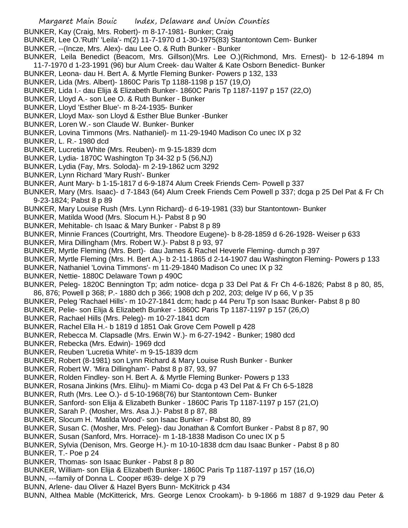- BUNKER, Kay (Craig, Mrs. Robert)- m 8-17-1981- Bunker; Craig
- BUNKER, Lee O.'Ruth' 'Leila'- m(2) 11-7-1970 d 1-30-1975(83) Stantontown Cem- Bunker
- BUNKER, --(Incze, Mrs. Alex)- dau Lee O. & Ruth Bunker Bunker
- BUNKER, Leila Benedict (Beacom, Mrs. Gillson)(Mrs. Lee O.)(Richmond, Mrs. Ernest)- b 12-6-1894 m 11-7-1970 d 1-23-1991 (96) bur Alum Creek- dau Walter & Kate Osborn Benedict- Bunker
- BUNKER, Leona- dau H. Bert A. & Myrtle Fleming Bunker- Powers p 132, 133
- BUNKER, Lida (Mrs. Albert)- 1860C Paris Tp 1188-1198 p 157 (19,O)
- BUNKER, Lida I.- dau Elija & Elizabeth Bunker- 1860C Paris Tp 1187-1197 p 157 (22,O)
- BUNKER, Lloyd A.- son Lee O. & Ruth Bunker Bunker
- BUNKER, Lloyd 'Esther Blue'- m 8-24-1935- Bunker
- BUNKER, Lloyd Max- son Lloyd & Esther Blue Bunker -Bunker
- BUNKER, Loren W.- son Claude W. Bunker- Bunker
- BUNKER, Lovina Timmons (Mrs. Nathaniel)- m 11-29-1940 Madison Co unec IX p 32
- BUNKER, L. R.- 1980 dcd
- BUNKER, Lucretia White (Mrs. Reuben)- m 9-15-1839 dcm
- BUNKER, Lydia- 1870C Washington Tp 34-32 p 5 (56,NJ)
- BUNKER, Lydia (Fay, Mrs. Soloda)- m 2-19-1862 ucm 3292
- BUNKER, Lynn Richard 'Mary Rush'- Bunker
- BUNKER, Aunt Mary- b 1-15-1817 d 6-9-1874 Alum Creek Friends Cem- Powell p 337
- BUNKER, Mary (Mrs. Isaac)- d 7-1843 (64) Alum Creek Friends Cem Powell p 337; dcga p 25 Del Pat & Fr Ch 9-23-1824; Pabst 8 p 89
- BUNKER, Mary Louise Rush (Mrs. Lynn Richard)- d 6-19-1981 (33) bur Stantontown- Bunker
- BUNKER, Matilda Wood (Mrs. Slocum H.)- Pabst 8 p 90
- BUNKER, Mehitable- ch Isaac & Mary Bunker Pabst 8 p 89
- BUNKER, Minnie Frances (Courtright, Mrs. Theodore Eugene)- b 8-28-1859 d 6-26-1928- Weiser p 633
- BUNKER, Mira Dillingham (Mrs. Robert W.)- Pabst 8 p 93, 97
- BUNKER, Myrtle Fleming (Mrs. Bert)- dau James & Rachel Heverle Fleming- dumch p 397
- BUNKER, Myrtle Fleming (Mrs. H. Bert A.)- b 2-11-1865 d 2-14-1907 dau Washington Fleming- Powers p 133
- BUNKER, Nathaniel 'Lovina Timmons'- m 11-29-1840 Madison Co unec IX p 32
- BUNKER, Nettie- 1880C Delaware Town p 490C
- BUNKER, Peleg- 1820C Bennington Tp; adm notice- dcga p 33 Del Pat & Fr Ch 4-6-1826; Pabst 8 p 80, 85, 86, 876; Powell p 368; P.- 1880 dch p 366; 1908 dch p 202, 203; delge IV p 66, V p 35
- BUNKER, Peleg 'Rachael Hills'- m 10-27-1841 dcm; hadc p 44 Peru Tp son Isaac Bunker- Pabst 8 p 80
- BUNKER, Pelie- son Elija & Elizabeth Bunker 1860C Paris Tp 1187-1197 p 157 (26,O)
- BUNKER, Rachael Hills (Mrs. Peleg)- m 10-27-1841 dcm
- BUNKER, Rachel Ella H.- b 1819 d 1851 Oak Grove Cem Powell p 428
- BUNKER, Rebecca M. Clapsadle (Mrs. Erwin W.)- m 6-27-1942 Bunker; 1980 dcd
- BUNKER, Rebecka (Mrs. Edwin)- 1969 dcd
- BUNKER, Reuben 'Lucretia White'- m 9-15-1839 dcm
- BUNKER, Robert (8-1981) son Lynn Richard & Mary Louise Rush Bunker Bunker
- BUNKER, Robert W. 'Mira Dillingham'- Pabst 8 p 87, 93, 97
- BUNKER, Rolden Findley- son H. Bert A. & Myrtle Fleming Bunker- Powers p 133
- BUNKER, Rosana Jinkins (Mrs. Elihu)- m Miami Co- dcga p 43 Del Pat & Fr Ch 6-5-1828
- BUNKER, Ruth (Mrs. Lee O.)- d 5-10-1968(76) bur Stantontown Cem- Bunker
- BUNKER, Sanford- son Elija & Elizabeth Bunker 1860C Paris Tp 1187-1197 p 157 (21,O)
- BUNKER, Sarah P. (Mosher, Mrs. Asa J.)- Pabst 8 p 87, 88
- BUNKER, Slocum H. 'Matilda Wood'- son Isaac Bunker Pabst 80, 89
- BUNKER, Susan C. (Mosher, Mrs. Peleg)- dau Jonathan & Comfort Bunker Pabst 8 p 87, 90
- BUNKER, Susan (Sanford, Mrs. Horrace)- m 1-18-1838 Madison Co unec IX p 5
- BUNKER, Sylvia (Denison, Mrs. George H.)- m 10-10-1838 dcm dau Isaac Bunker Pabst 8 p 80
- BUNKER, T.- Poe p 24
- BUNKER, Thomas- son Isaac Bunker Pabst 8 p 80
- BUNKER, William- son Elija & Elizabeth Bunker- 1860C Paris Tp 1187-1197 p 157 (16,O)
- BUNN, ---family of Donna L. Cooper #639- delge X p 79
- BUNN, Arlene- dau Oliver & Hazel Byers Bunn- McKitrick p 434
- BUNN, Althea Mable (McKitterick, Mrs. George Lenox Crookam)- b 9-1866 m 1887 d 9-1929 dau Peter &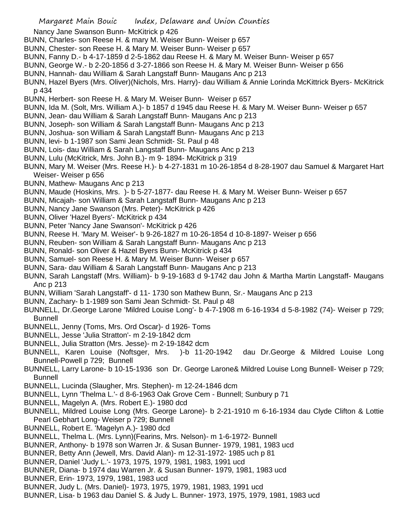Nancy Jane Swanson Bunn- McKitrick p 426

- BUNN, Charles- son Reese H. & mary M. Weiser Bunn- Weiser p 657
- BUNN, Chester- son Reese H. & Mary M. Weiser Bunn- Weiser p 657
- BUNN, Fanny D.- b 4-17-1859 d 2-5-1862 dau Reese H. & Mary M. Weiser Bunn- Weiser p 657
- BUNN, George W.- b 2-20-1856 d 3-27-1866 son Reese H. & Mary M. Weiser Bunn- Weiser p 656
- BUNN, Hannah- dau William & Sarah Langstaff Bunn- Maugans Anc p 213
- BUNN, Hazel Byers (Mrs. Oliver)(Nichols, Mrs. Harry)- dau William & Annie Lorinda McKittrick Byers- McKitrick p 434
- BUNN, Herbert- son Reese H. & Mary M. Weiser Bunn- Weiser p 657
- BUNN, Ida M. (Solt, Mrs. William A.)- b 1857 d 1945 dau Reese H. & Mary M. Weiser Bunn- Weiser p 657
- BUNN, Jean- dau William & Sarah Langstaff Bunn- Maugans Anc p 213
- BUNN, Joseph- son William & Sarah Langstaff Bunn- Maugans Anc p 213
- BUNN, Joshua- son William & Sarah Langstaff Bunn- Maugans Anc p 213
- BUNN, levi- b 1-1987 son Sami Jean Schmidt- St. Paul p 48
- BUNN, Lois- dau William & Sarah Langstaff Bunn- Maugans Anc p 213
- BUNN, Lulu (McKitrick, Mrs. John B.)- m 9- 1894- McKitrick p 319
- BUNN, Mary M. Weiser (Mrs. Reese H.)- b 4-27-1831 m 10-26-1854 d 8-28-1907 dau Samuel & Margaret Hart Weiser- Weiser p 656
- BUNN, Mathew- Maugans Anc p 213
- BUNN, Maude (Hoskins, Mrs. )- b 5-27-1877- dau Reese H. & Mary M. Weiser Bunn- Weiser p 657
- BUNN, Micajah- son William & Sarah Langstaff Bunn- Maugans Anc p 213
- BUNN, Nancy Jane Swanson (Mrs. Peter)- McKitrick p 426
- BUNN, Oliver 'Hazel Byers'- McKitrick p 434
- BUNN, Peter 'Nancy Jane Swanson'- McKitrick p 426
- BUNN, Reese H. 'Mary M. Weiser'- b 9-26-1827 m 10-26-1854 d 10-8-1897- Weiser p 656
- BUNN, Reuben- son William & Sarah Langstaff Bunn- Maugans Anc p 213
- BUNN, Ronald- son Oliver & Hazel Byers Bunn- McKitrick p 434
- BUNN, Samuel- son Reese H. & Mary M. Weiser Bunn- Weiser p 657
- BUNN, Sara- dau William & Sarah Langstaff Bunn- Maugans Anc p 213
- BUNN, Sarah Langstaff (Mrs. William)- b 9-19-1683 d 9-1742 dau John & Martha Martin Langstaff- Maugans Anc p 213
- BUNN, William 'Sarah Langstaff'- d 11- 1730 son Mathew Bunn, Sr.- Maugans Anc p 213
- BUNN, Zachary- b 1-1989 son Sami Jean Schmidt- St. Paul p 48
- BUNNELL, Dr.George Larone 'Mildred Louise Long'- b 4-7-1908 m 6-16-1934 d 5-8-1982 (74)- Weiser p 729; Bunnell
- BUNNELL, Jenny (Toms, Mrs. Ord Oscar)- d 1926- Toms
- BUNNELL, Jesse 'Julia Stratton'- m 2-19-1842 dcm
- BUNNELL, Julia Stratton (Mrs. Jesse)- m 2-19-1842 dcm
- BUNNELL, Karen Louise (Noftsger, Mrs. )-b 11-20-1942 dau Dr.George & Mildred Louise Long Bunnell-Powell p 729; Bunnell
- BUNNELL, Larry Larone- b 10-15-1936 son Dr. George Larone& Mildred Louise Long Bunnell- Weiser p 729; Bunnell
- BUNNELL, Lucinda (Slaugher, Mrs. Stephen)- m 12-24-1846 dcm
- BUNNELL, Lynn 'Thelma L.'- d 8-6-1963 Oak Grove Cem Bunnell; Sunbury p 71
- BUNNELL, Magelyn A. (Mrs. Robert E.)- 1980 dcd
- BUNNELL, Mildred Louise Long (Mrs. George Larone)- b 2-21-1910 m 6-16-1934 dau Clyde Clifton & Lottie Pearl Gebhart Long- Weiser p 729; Bunnell
- BUNNELL, Robert E. 'Magelyn A.)- 1980 dcd
- BUNNELL, Thelma L. (Mrs. Lynn)(Fearins, Mrs. Nelson)- m 1-6-1972- Bunnell
- BUNNER, Anthony- b 1978 son Warren Jr. & Susan Bunner- 1979, 1981, 1983 ucd
- BUNNER, Betty Ann (Jewell, Mrs. David Alan)- m 12-31-1972- 1985 uch p 81
- BUNNER, Daniel 'Judy L.'- 1973, 1975, 1979, 1981, 1983, 1991 ucd
- BUNNER, Diana- b 1974 dau Warren Jr. & Susan Bunner- 1979, 1981, 1983 ucd
- BUNNER, Erin- 1973, 1979, 1981, 1983 ucd
- BUNNER, Judy L. (Mrs. Daniel)- 1973, 1975, 1979, 1981, 1983, 1991 ucd
- BUNNER, Lisa- b 1963 dau Daniel S. & Judy L. Bunner- 1973, 1975, 1979, 1981, 1983 ucd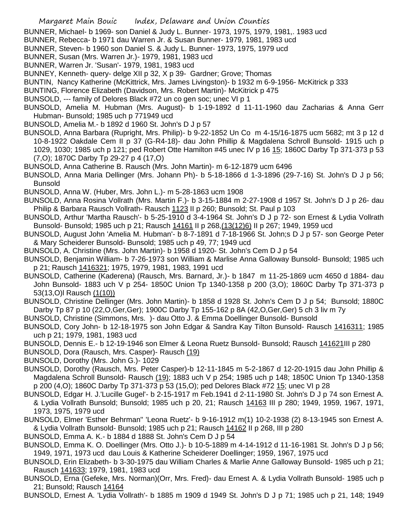- BUNNER, Michael- b 1969- son Daniel & Judy L. Bunner- 1973, 1975, 1979, 1981,. 1983 ucd
- BUNNER, Rebecca- b 1971 dau Warren Jr. & Susan Bunner- 1979, 1981, 1983 ucd
- BUNNER, Steven- b 1960 son Daniel S. & Judy L. Bunner- 1973, 1975, 1979 ucd
- BUNNER, Susan (Mrs. Warren Jr.)- 1979, 1981, 1983 ucd
- BUNNER, Warren Jr. 'Susan'- 1979, 1981, 1983 ucd
- BUNNEY, Kenneth- query- delge XII p 32, X p 39- Gardner; Grove; Thomas
- BUNTIN, Nancy Katherine (McKittrick, Mrs. James Livingston)- b 1932 m 6-9-1956- McKitrick p 333
- BUNTING, Florence Elizabeth (Davidson, Mrs. Robert Martin)- McKitrick p 475
- BUNSOLD, --- family of Delores Black #72 un co gen soc; unec VI p 1
- BUNSOLD, Amelia M. Hubman (Mrs. August)- b 1-19-1892 d 11-11-1960 dau Zacharias & Anna Gerr Hubman- Bunsold; 1985 uch p 771949 ucd
- BUNSOLD, Amelia M.- b 1892 d 1960 St. John's D J p 57
- BUNSOLD, Anna Barbara (Rupright, Mrs. Philip)- b 9-22-1852 Un Co m 4-15/16-1875 ucm 5682; mt 3 p 12 d 10-8-1922 Oakdale Cem II p 37 (G-R4-18)- dau John Phillip & Magdalena Schroll Bunsold- 1915 uch p 1029, 1030; 1985 uch p 121; ped Robert Otte Hamilton #45 unec IV p 16 15; 1860C Darby Tp 371-373 p 53 (7,O); 1870C Darby Tp 29-27 p 4 (17,O)
- BUNSOLD, Anna Catherine B. Rausch (Mrs. John Martin)- m 6-12-1879 ucm 6496
- BUNSOLD, Anna Maria Dellinger (Mrs. Johann Ph)- b 5-18-1866 d 1-3-1896 (29-7-16) St. John's D J p 56; Bunsold
- BUNSOLD, Anna W. (Huber, Mrs. John L.)- m 5-28-1863 ucm 1908
- BUNSOLD, Anna Rosina Vollrath (Mrs. Martin F.)- b 3-15-1884 m 2-27-1908 d 1957 St. John's D J p 26- dau Philip & Barbara Rausch Vollrath- Rausch 1123 II p 260; Bunsold; St. Paul p 103
- BUNSOLD, Arthur 'Martha Rausch'- b 5-25-1910 d 3-4-1964 St. John's D J p 72- son Ernest & Lydia Vollrath Bunsold- Bunsold; 1985 uch p 21; Rausch 14161 II p 268, (13 (12) 6) II p 267; 1949, 1959 ucd
- BUNSOLD, August John 'Amelia M. Hubman'- b 8-7-1891 d 7-18-1966 St. John;s D J p 57- son George Peter & Mary Scheiderer Bunsold- Bunsold; 1985 uch p 49, 77; 1949 ucd
- BUNSOLD, A. Christine (Mrs. John Martin)- b 1958 d 1920- St. John's Cem D J p 54
- BUNSOLD, Benjamin William- b 7-26-1973 son William & Marlise Anna Galloway Bunsold- Bunsold; 1985 uch p 21; Rausch 1416321; 1975, 1979, 1981, 1983, 1991 ucd
- BUNSOLD, Catherine (Kaderena) (Rausch, Mrs. Barnard, Jr.)- b 1847 m 11-25-1869 ucm 4650 d 1884- dau John Bunsold- 1883 uch V p 254- 1850C Union Tp 1340-1358 p 200 (3,O); 1860C Darby Tp 371-373 p 53(13,O)l Rausch (1(10))
- BUNSOLD, Christine Dellinger (Mrs. John Martin)- b 1858 d 1928 St. John's Cem D J p 54; Bunsold; 1880C Darby Tp 87 p 10 (22,O,Ger,Ger); 1900C Darby Tp 155-162 p 8A (42,O,Ger,Ger) 5 ch 3 liv m 7y
- BUNSOLD, Christine (Simmons, Mrs. )- dau Otto J. & Emma Doellinger Bunsold- Bunsold
- BUNSOLD, Cory John- b 12-18-1975 son John Edgar & Sandra Kay Tilton Bunsold- Rausch 1416311; 1985 uch p 21; 1979, 1981, 1983 ucd
- BUNSOLD, Dennis E.- b 12-19-1946 son Elmer & Leona Ruetz Bunsold- Bunsold; Rausch 141621III p 280
- BUNSOLD, Dora (Rausch, Mrs. Casper)- Rausch (19)
- BUNSOLD, Dorothy (Mrs. John G.)- 1029
- BUNSOLD, Dorothy (Rausch, Mrs. Peter Casper)-b 12-11-1845 m 5-2-1867 d 12-20-1915 dau John Phillip & Magdalena Schroll Bunsold- Rausch (19); 1883 uch V p 254; 1985 uch p 148; 1850C Union Tp 1340-1358 p 200 (4,O); 1860C Darby Tp 371-373 p 53 (15,O); ped Delores Black #72 15; unec VI p 28
- BUNSOLD, Edgar H. J.'Lucille Gugel'- b 2-15-1917 m Feb.1941 d 2-11-1980 St. John's D J p 74 son Ernest A. & Lydia Vollrath Bunsold; Bunsold; 1985 uch p 20, 21; Rausch 14163 III p 280; 1949, 1959, 1967, 1971, 1973, 1975, 1979 ucd
- BUNSOLD, Elmer 'Esther Behrman'' 'Leona Ruetz'- b 9-16-1912 m(1) 10-2-1938 (2) 8-13-1945 son Ernest A. & Lydia Vollrath Bunsold- Bunsold; 1985 uch p 21; Rausch 14162 II p 268, III p 280
- BUNSOLD, Emma A. K.- b 1884 d 1888 St. John's Cem D J p 54
- BUNSOLD, Emma K. O. Doellinger (Mrs. Otto J.)- b 10-5-1889 m 4-14-1912 d 11-16-1981 St. John's D J p 56; 1949, 1971, 1973 ucd dau Louis & Katherine Scheiderer Doellinger; 1959, 1967, 1975 ucd
- BUNSOLD, Erin Elizabeth- b 3-30-1975 dau William Charles & Marlie Anne Galloway Bunsold- 1985 uch p 21; Rausch 141633; 1979, 1981, 1983 ucd
- BUNSOLD, Erna (Gefeke, Mrs. Norman)(Orr, Mrs. Fred)- dau Ernest A. & Lydia Vollrath Bunsold- 1985 uch p 21; Bunsold; Rausch 14164
- BUNSOLD, Ernest A. 'Lydia Vollrath'- b 1885 m 1909 d 1949 St. John's D J p 71; 1985 uch p 21, 148; 1949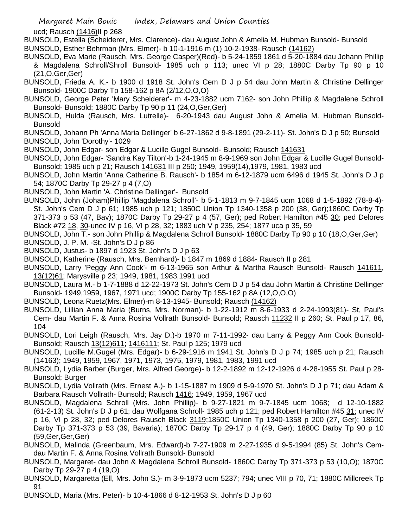ucd; Rausch (1416)II p 268

- BUNSOLD, Estella (Scheiderer, Mrs. Clarence)- dau August John & Amelia M. Hubman Bunsold- Bunsold BUNSOLD, Esther Behrman (Mrs. Elmer)- b 10-1-1916 m (1) 10-2-1938- Rausch (14162)
- BUNSOLD, Eva Marie (Rausch, Mrs. George Casper)(Red)- b 5-24-1859 1861 d 5-20-1884 dau Johann Phillip & Magdalena Schroll/Shroll Bunsold- 1985 uch p 113; unec VI p 28; 1880C Darby Tp 90 p 10 (21,O,Ger,Ger)
- BUNSOLD, Frieda A. K.- b 1900 d 1918 St. John's Cem D J p 54 dau John Martin & Christine Dellinger Bunsold- 1900C Darby Tp 158-162 p 8A (2/12,O,O,O)
- BUNSOLD, George Peter 'Mary Scheiderer'- m 4-23-1882 ucm 7162- son John Phillip & Magdalene Schroll Bunsold- Bunsold; 1880C Darby Tp 90 p 11 (24,O,Ger,Ger)
- BUNSOLD, Hulda (Rausch, Mrs. Lutrelle)- 6-20-1943 dau August John & Amelia M. Hubman Bunsold-**Bunsold**
- BUNSOLD, Johann Ph 'Anna Maria Dellinger' b 6-27-1862 d 9-8-1891 (29-2-11)- St. John's D J p 50; Bunsold
- BUNSOLD, John 'Dorothy'- 1029
- BUNSOLD, John Edgar- son Edgar & Lucille Gugel Bunsold- Bunsold; Rausch 141631
- BUNSOLD, John Edgar- 'Sandra Kay Tilton'-b 1-24-1945 m 8-9-1969 son John Edgar & Lucille Gugel Bunsold-Bunsold; 1985 uch p 21; Rausch 141631 III p 250; 1949, 1959(14),1979, 1981, 1983 ucd
- BUNSOLD, John Martin 'Anna Catherine B. Rausch'- b 1854 m 6-12-1879 ucm 6496 d 1945 St. John's D J p 54; 1870C Darby Tp 29-27 p 4 (7,O)
- BUNSOLD, John Martin 'A. Christine Dellinger'- Bunsold
- BUNSOLD, John (Joham)Phillip 'Magdalena Schroll'- b 5-1-1813 m 9-7-1845 ucm 1068 d 1-5-1892 (78-8-4)- St. John's Cem D J p 61; 1985 uch p 121; 1850C Union Tp 1340-1358 p 200 (38, Ger);1860C Darby Tp 371-373 p 53 (47, Bav); 1870C Darby Tp 29-27 p 4 (57, Ger); ped Robert Hamilton #45 30; ped Delores Black #72 18, 30-unec IV p 16, VI p 28, 32; 1883 uch V p 235, 254; 1877 uca p 35, 59
- BUNSOLD, John T.- son John Phillip & Magdalena Schroll Bunsold- 1880C Darby Tp 90 p 10 (18,O,Ger,Ger)
- BUNSOLD, J. P. M. -St. John's D J p 86
- BUNSOLD, Justus- b 1897 d 1923 St. John's D J p 63
- BUNSOLD, Katherine (Rausch, Mrs. Bernhard)- b 1847 m 1869 d 1884- Rausch II p 281
- BUNSOLD, Larry 'Peggy Ann Cook'- m 6-13-1965 son Arthur & Martha Rausch Bunsold- Rausch 141611, 13(12)61; Marysville p 23; 1949, 1981, 1983,1991 ucd
- BUNSOLD, Laura M.- b 1-7-1888 d 12-22-1973 St. John's Cem D J p 54 dau John Martin & Christine Dellinger Bunsold- 1949,1959, 1967, 1971 ucd; 1900C Darby Tp 155-162 p 8A (12,O,O,O)
- BUNSOLD, Leona Ruetz(Mrs. Elmer)-m 8-13-1945- Bunsold; Rausch (14162)
- BUNSOLD, Lillian Anna Maria (Burns, Mrs. Norman)- b 1-22-1912 m 8-6-1933 d 2-24-1993(81)- St, Paul's Cem- dau Martin F. & Anna Rosina Vollrath Bunsold- Bunsold; Rausch 11232 II p 260; St. Paul p 17, 86, 104
- BUNSOLD, Lori Leigh (Rausch, Mrs. Jay D.)-b 1970 m 7-11-1992- dau Larry & Peggy Ann Cook Bunsold-Bunsold; Rausch 13(12)611; 1416111; St. Paul p 125; 1979 ucd
- BUNSOLD, Lucille M.Gugel (Mrs. Edgar)- b 6-29-1916 m 1941 St. John's D J p 74; 1985 uch p 21; Rausch (14163); 1949, 1959, 1967, 1971, 1973, 1975, 1979, 1981, 1983, 1991 ucd
- BUNSOLD, Lydia Barber (Burger, Mrs. Alfred George)- b 12-2-1892 m 12-12-1926 d 4-28-1955 St. Paul p 28- Bunsold; Burger
- BUNSOLD, Lydia Vollrath (Mrs. Ernest A.)- b 1-15-1887 m 1909 d 5-9-1970 St. John's D J p 71; dau Adam & Barbara Rausch Vollrath- Bunsold; Rausch 1416; 1949, 1959, 1967 ucd
- BUNSOLD, Magdalena Schroll (Mrs. John Phillip)- b 9-27-1821 m 9-7-1845 ucm 1068; d 12-10-1882 (61-2-13) St. John's D J p 61; dau Wolfgana Schroll- 1985 uch p 121; ped Robert Hamilton #45 31; unec IV p 16, VI p 28, 32; ped Delores Rausch Black 3119;1850C Union Tp 1340-1358 p 200 (27, Ger); 1860C Darby Tp 371-373 p 53 (39, Bavaria); 1870C Darby Tp 29-17 p 4 (49, Ger); 1880C Darby Tp 90 p 10 (59,Ger,Ger,Ger)
- BUNSOLD, Malinda (Greenbaum, Mrs. Edward)-b 7-27-1909 m 2-27-1935 d 9-5-1994 (85) St. John's Cemdau Martin F. & Anna Rosina Vollrath Bunsold- Bunsold
- BUNSOLD, Margaret- dau John & Magdalena Schroll Bunsold- 1860C Darby Tp 371-373 p 53 (10,O); 1870C Darby Tp 29-27 p 4 (19,O)
- BUNSOLD, Margaretta (Ell, Mrs. John S.)- m 3-9-1873 ucm 5237; 794; unec VIII p 70, 71; 1880C Millcreek Tp 91
- BUNSOLD, Maria (Mrs. Peter)- b 10-4-1866 d 8-12-1953 St. John's D J p 60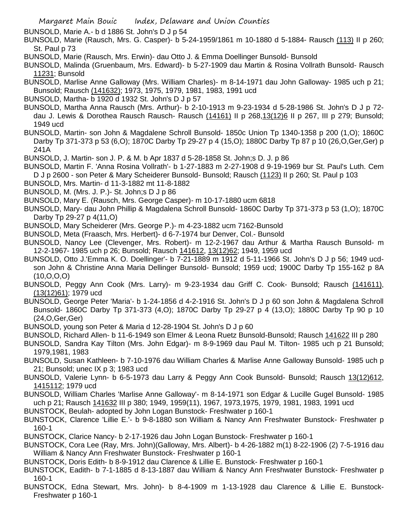BUNSOLD, Marie A.- b d 1886 St. John's D J p 54

BUNSOLD, Marie (Rausch, Mrs. G. Casper)- b 5-24-1959/1861 m 10-1880 d 5-1884- Rausch (113) II p 260; St. Paul p 73

- BUNSOLD, Marie (Rausch, Mrs. Erwin)- dau Otto J. & Emma Doellinger Bunsold- Bunsold
- BUNSOLD, Malinda (Gruenbaum, Mrs. Edward)- b 5-27-1909 dau Martin & Rosina Vollrath Bunsold- Rausch 11231; Bunsold
- BUNSOLD, Marlise Anne Galloway (Mrs. William Charles)- m 8-14-1971 dau John Galloway- 1985 uch p 21; Bunsold; Rausch (141632); 1973, 1975, 1979, 1981, 1983, 1991 ucd
- BUNSOLD, Martha- b 1920 d 1932 St. John's D J p 57
- BUNSOLD, Martha Anna Rausch (Mrs. Arthur)- b 2-10-1913 m 9-23-1934 d 5-28-1986 St. John's D J p 72 dau J. Lewis & Dorothea Rausch Rausch- Rausch (14161) II p 268,13(12)6 II p 267, III p 279; Bunsold; 1949 ucd
- BUNSOLD, Martin- son John & Magdalene Schroll Bunsold- 1850c Union Tp 1340-1358 p 200 (1,O); 1860C Darby Tp 371-373 p 53 (6,O); 1870C Darby Tp 29-27 p 4 (15,O); 1880C Darby Tp 87 p 10 (26,O,Ger,Ger) p 241A
- BUNSOLD, J. Martin- son J. P. & M. b Apr 1837 d 5-28-1858 St. John;s D. J. p 86
- BUNSOLD, Martin F. 'Anna Rosina Vollrath'- b 1-27-1883 m 2-27-1908 d 9-19-1969 bur St. Paul's Luth. Cem D J p 2600 - son Peter & Mary Scheiderer Bunsold- Bunsold; Rausch (1123) II p 260; St. Paul p 103
- BUNSOLD, Mrs. Martin- d 11-3-1882 mt 11-8-1882
- BUNSOLD, M. (Mrs. J. P.)- St. John;s D J p 86
- BUNSOLD, Mary E. (Rausch, Mrs. George Casper)- m 10-17-1880 ucm 6818
- BUNSOLD, Mary- dau John Phillip & Magdalena Schroll Bunsold- 1860C Darby Tp 371-373 p 53 (1,O); 1870C Darby Tp 29-27 p 4(11,O)
- BUNSOLD, Mary Scheiderer (Mrs. George P.)- m 4-23-1882 ucm 7162-Bunsold
- BUNSOLD, Meta (Fraasch, Mrs. Herbert)- d 6-7-1974 bur Denver, Col.- Bunsold
- BUNSOLD, Nancy Lee (Clevenger, Mrs. Robert)- m 12-2-1967 dau Arthur & Martha Rausch Bunsold- m 12-2-1967- 1985 uch p 26; Bunsold; Rausch 141612, 13(12)62; 1949, 1959 ucd
- BUNSOLD, Otto J.'Emma K. O. Doellinger'- b 7-21-1889 m 1912 d 5-11-1966 St. John's D J p 56; 1949 ucdson John & Christine Anna Maria Dellinger Bunsold- Bunsold; 1959 ucd; 1900C Darby Tp 155-162 p 8A (10,O,O,O)
- BUNSOLD, Peggy Ann Cook (Mrs. Larry)- m 9-23-1934 dau Griff C. Cook- Bunsold; Rausch (141611), (13(12)61); 1979 ucd
- BUNSOLD, George Peter 'Maria'- b 1-24-1856 d 4-2-1916 St. John's D J p 60 son John & Magdalena Schroll Bunsold- 1860C Darby Tp 371-373 (4,O); 1870C Darby Tp 29-27 p 4 (13,O); 1880C Darby Tp 90 p 10 (24,O,Ger,Ger)
- BUNSOLD, young son Peter & Maria d 12-28-1904 St. John's D J p 60
- BUNSOLD, Richard Allen- b 11-6-1949 son Elmer & Leona Ruetz Bunsold-Bunsold; Rausch 141622 III p 280
- BUNSOLD, Sandra Kay Tilton (Mrs. John Edgar)- m 8-9-1969 dau Paul M. Tilton- 1985 uch p 21 Bunsold; 1979,1981, 1983
- BUNSOLD, Susan Kathleen- b 7-10-1976 dau William Charles & Marlise Anne Galloway Bunsold- 1985 uch p 21; Bunsold; unec IX p 3; 1983 ucd
- BUNSOLD, Valerie Lynn- b 6-5-1973 dau Larry & Peggy Ann Cook Bunsold- Bunsold; Rausch 13(12)612, 1415112; 1979 ucd
- BUNSOLD, William Charles 'Marlise Anne Galloway'- m 8-14-1971 son Edgar & Lucille Gugel Bunsold- 1985 uch p 21; Rausch 141632 III p 380; 1949, 1959(11), 1967, 1973,1975, 1979, 1981, 1983, 1991 ucd
- BUNSTOCK, Beulah- adopted by John Logan Bunstock- Freshwater p 160-1
- BUNSTOCK, Clarence 'Lillie E.'- b 9-8-1880 son William & Nancy Ann Freshwater Bunstock- Freshwater p 160-1
- BUNSTOCK, Clarice Nancy- b 2-17-1926 dau John Logan Bunstock- Freshwater p 160-1
- BUNSTOCK, Cora Lee (Ray, Mrs. John)(Galloway, Mrs. Albert)- b 4-26-1882 m(1) 8-22-1906 (2) 7-5-1916 dau William & Nancy Ann Freshwater Bunstock- Freshwater p 160-1
- BUNSTOCK, Doris Edith- b 8-9-1912 dau Clarence & Lillie E. Bunstock- Freshwater p 160-1
- BUNSTOCK, Eadith- b 7-1-1885 d 8-13-1887 dau William & Nancy Ann Freshwater Bunstock- Freshwater p 160-1
- BUNSTOCK, Edna Stewart, Mrs. John)- b 8-4-1909 m 1-13-1928 dau Clarence & Lillie E. Bunstock-Freshwater p 160-1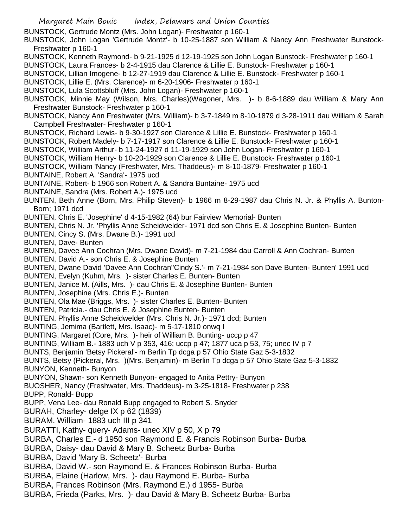BUNSTOCK, Gertrude Montz (Mrs. John Logan)- Freshwater p 160-1

BUNSTOCK, John Logan 'Gertrude Montz'- b 10-25-1887 son William & Nancy Ann Freshwater Bunstock-Freshwater p 160-1

BUNSTOCK, Kenneth Raymond- b 9-21-1925 d 12-19-1925 son John Logan Bunstock- Freshwater p 160-1

BUNSTOCK, Laura Frances- b 2-4-1915 dau Clarence & Lillie E. Bunstock- Freshwater p 160-1

- BUNSTOCK, Lillian Imogene- b 12-27-1919 dau Clarence & Lillie E. Bunstock- Freshwater p 160-1
- BUNSTOCK, Lillie E. (Mrs. Clarence)- m 6-20-1906- Freshwater p 160-1
- BUNSTOCK, Lula Scottsbluff (Mrs. John Logan)- Freshwater p 160-1
- BUNSTOCK, Minnie May (Wilson, Mrs. Charles)(Wagoner, Mrs. )- b 8-6-1889 dau William & Mary Ann Freshwater Bunstock- Freshwater p 160-1
- BUNSTOCK, Nancy Ann Freshwater (Mrs. William)- b 3-7-1849 m 8-10-1879 d 3-28-1911 dau William & Sarah Campbell Freshwater- Freshwater p 160-1
- BUNSTOCK, Richard Lewis- b 9-30-1927 son Clarence & Lillie E. Bunstock- Freshwater p 160-1
- BUNSTOCK, Robert Madely- b 7-17-1917 son Clarence & Lillie E. Bunstock- Freshwater p 160-1
- BUNSTOCK, William Arthur- b 11-24-1927 d 11-19-1929 son John Logan- Freshwater p 160-1
- BUNSTOCK, William Henry- b 10-20-1929 son Clarence & Lillie E. Bunstock- Freshwater p 160-1
- BUNSTOCK, William 'Nancy (Freshwater, Mrs. Thaddeus)- m 8-10-1879- Freshwater p 160-1
- BUNTAINE, Robert A. 'Sandra'- 1975 ucd
- BUNTAINE, Robert- b 1966 son Robert A. & Sandra Buntaine- 1975 ucd
- BUNTAINE, Sandra (Mrs. Robert A.)- 1975 ucd
- BUNTEN, Beth Anne (Born, Mrs. Philip Steven)- b 1966 m 8-29-1987 dau Chris N. Jr. & Phyllis A. Bunton-Born; 1971 dcd
- BUNTEN, Chris E. 'Josephine' d 4-15-1982 (64) bur Fairview Memorial- Bunten
- BUNTEN, Chris N. Jr. 'Phyllis Anne Scheidwelder- 1971 dcd son Chris E. & Josephine Bunten- Bunten
- BUNTEN, Cincy S. (Mrs. Dwane B.)- 1991 ucd
- BUNTEN, Dave- Bunten
- BUNTEN, Davee Ann Cochran (Mrs. Dwane David)- m 7-21-1984 dau Carroll & Ann Cochran- Bunten
- BUNTEN, David A.- son Chris E. & Josephine Bunten
- BUNTEN, Dwane David 'Davee Ann Cochran''Cindy S.'- m 7-21-1984 son Dave Bunten- Bunten' 1991 ucd
- BUNTEN, Evelyn (Kuhm, Mrs. )- sister Charles E. Bunten- Bunten
- BUNTEN, Janice M. (Aills, Mrs. )- dau Chris E. & Josephine Bunten- Bunten
- BUNTEN, Josephine (Mrs. Chris E.)- Bunten
- BUNTEN, Ola Mae (Briggs, Mrs. )- sister Charles E. Bunten- Bunten
- BUNTEN, Patricia.- dau Chris E. & Josephine Bunten- Bunten
- BUNTEN, Phyllis Anne Scheidwelder (Mrs. Chris N. Jr.)- 1971 dcd; Bunten
- BUNTING, Jemima (Bartlett, Mrs. Isaac)- m 5-17-1810 onwq I
- BUNTING, Margaret (Core, Mrs. )- heir of William B. Bunting- uccp p 47
- BUNTING, William B.- 1883 uch V p 353, 416; uccp p 47; 1877 uca p 53, 75; unec IV p 7
- BUNTS, Benjamin 'Betsy Pickeral'- m Berlin Tp dcga p 57 Ohio State Gaz 5-3-1832
- BUNTS, Betsy (Pickeral, Mrs. )(Mrs. Benjamin)- m Berlin Tp dcga p 57 Ohio State Gaz 5-3-1832 BUNYON, Kenneth- Bunyon
- BUNYON, Shawn- son Kenneth Bunyon- engaged to Anita Pettry- Bunyon
- BUOSHER, Nancy (Freshwater, Mrs. Thaddeus)- m 3-25-1818- Freshwater p 238
- BUPP, Ronald- Bupp
- BUPP, Vena Lee- dau Ronald Bupp engaged to Robert S. Snyder
- BURAH, Charley- delge IX p 62 (1839)
- BURAM, William- 1883 uch III p 341
- BURATTI, Kathy- query- Adams- unec XIV p 50, X p 79
- BURBA, Charles E.- d 1950 son Raymond E. & Francis Robinson Burba- Burba
- BURBA, Daisy- dau David & Mary B. Scheetz Burba- Burba
- BURBA, David 'Mary B. Scheetz'- Burba
- BURBA, David W.- son Raymond E. & Frances Robinson Burba- Burba
- BURBA, Elaine (Harlow, Mrs. )- dau Raymond E. Burba- Burba
- BURBA, Frances Robinson (Mrs. Raymond E.) d 1955- Burba
- BURBA, Frieda (Parks, Mrs. )- dau David & Mary B. Scheetz Burba- Burba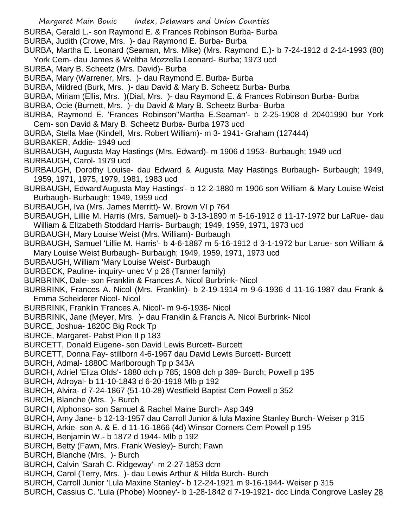- Margaret Main Bouic Index, Delaware and Union Counties
- BURBA, Gerald L.- son Raymond E. & Frances Robinson Burba- Burba
- BURBA, Judith (Crowe, Mrs. )- dau Raymond E. Burba- Burba
- BURBA, Martha E. Leonard (Seaman, Mrs. Mike) (Mrs. Raymond E.)- b 7-24-1912 d 2-14-1993 (80) York Cem- dau James & Weltha Mozzella Leonard- Burba; 1973 ucd
- BURBA, Mary B. Scheetz (Mrs. David)- Burba
- BURBA, Mary (Warrener, Mrs. )- dau Raymond E. Burba- Burba
- BURBA, Mildred (Burk, Mrs. )- dau David & Mary B. Scheetz Burba- Burba
- BURBA, Miriam (Ellis, Mrs. )(Dial, Mrs. )- dau Raymond E. & Frances Robinson Burba- Burba
- BURBA, Ocie (Burnett, Mrs. )- du David & Mary B. Scheetz Burba- Burba
- BURBA, Raymond E. 'Frances Robinson''Martha E.Seaman'- b 2-25-1908 d 20401990 bur York Cem- son David & Mary B. Scheetz Burba- Burba 1973 ucd
- BURBA, Stella Mae (Kindell, Mrs. Robert William)- m 3- 1941- Graham (127444)
- BURBAKER, Addie- 1949 ucd
- BURBAUGH, Augusta May Hastings (Mrs. Edward)- m 1906 d 1953- Burbaugh; 1949 ucd
- BURBAUGH, Carol- 1979 ucd
- BURBAUGH, Dorothy Louise- dau Edward & Augusta May Hastings Burbaugh- Burbaugh; 1949, 1959, 1971, 1975, 1979, 1981, 1983 ucd
- BURBAUGH, Edward'Augusta May Hastings'- b 12-2-1880 m 1906 son William & Mary Louise Weist Burbaugh- Burbaugh; 1949, 1959 ucd
- BURBAUGH, Iva (Mrs. James Merritt)- W. Brown VI p 764
- BURBAUGH, Lillie M. Harris (Mrs. Samuel)- b 3-13-1890 m 5-16-1912 d 11-17-1972 bur LaRue- dau William & Elizabeth Stoddard Harris- Burbaugh; 1949, 1959, 1971, 1973 ucd
- BURBAUGH, Mary Louise Weist (Mrs. William)- Burbaugh
- BURBAUGH, Samuel 'Lillie M. Harris'- b 4-6-1887 m 5-16-1912 d 3-1-1972 bur Larue- son William & Mary Louise Weist Burbaugh- Burbaugh; 1949, 1959, 1971, 1973 ucd
- BURBAUGH, William 'Mary Louise Weist'- Burbaugh
- BURBECK, Pauline- inquiry- unec V p 26 (Tanner family)
- BURBRINK, Dale- son Franklin & Frances A. Nicol Burbrink- Nicol
- BURBRINK, Frances A. Nicol (Mrs. Franklin)- b 2-19-1914 m 9-6-1936 d 11-16-1987 dau Frank & Emma Scheiderer Nicol- Nicol
- BURBRINK, Franklin 'Frances A. Nicol'- m 9-6-1936- Nicol
- BURBRINK, Jane (Meyer, Mrs. )- dau Franklin & Francis A. Nicol Burbrink- Nicol
- BURCE, Joshua- 1820C Big Rock Tp
- BURCE, Margaret- Pabst Pion II p 183
- BURCETT, Donald Eugene- son David Lewis Burcett- Burcett
- BURCETT, Donna Fay- stillborn 4-6-1967 dau David Lewis Burcett- Burcett
- BURCH, Admal- 1880C Marlborough Tp p 343A
- BURCH, Adriel 'Eliza Olds'- 1880 dch p 785; 1908 dch p 389- Burch; Powell p 195
- BURCH, Adroyal- b 11-10-1843 d 6-20-1918 Mlb p 192
- BURCH, Alvira- d 7-24-1867 (51-10-28) Westfield Baptist Cem Powell p 352
- BURCH, Blanche (Mrs. )- Burch
- BURCH, Alphonso- son Samuel & Rachel Maine Burch- Asp 349
- BURCH, Amy Jane- b 12-13-1957 dau Carroll Junior & lula Maxine Stanley Burch- Weiser p 315
- BURCH, Arkie- son A. & E. d 11-16-1866 (4d) Winsor Corners Cem Powell p 195
- BURCH, Benjamin W.- b 1872 d 1944- Mlb p 192
- BURCH, Betty (Fawn, Mrs. Frank Wesley)- Burch; Fawn
- BURCH, Blanche (Mrs. )- Burch
- BURCH, Calvin 'Sarah C. Ridgeway'- m 2-27-1853 dcm
- BURCH, Carol (Terry, Mrs. )- dau Lewis Arthur & Hilda Burch- Burch
- BURCH, Carroll Junior 'Lula Maxine Stanley'- b 12-24-1921 m 9-16-1944- Weiser p 315
- BURCH, Cassius C. 'Lula (Phobe) Mooney'- b 1-28-1842 d 7-19-1921- dcc Linda Congrove Lasley 28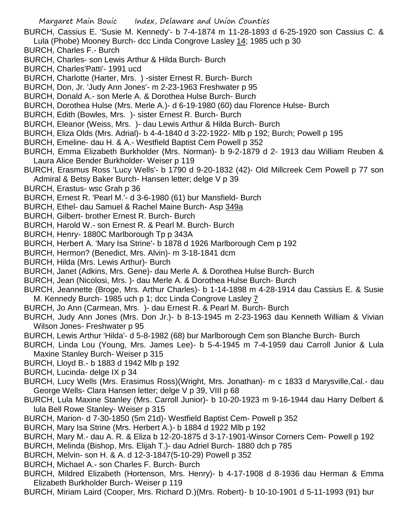- BURCH, Cassius E. 'Susie M. Kennedy'- b 7-4-1874 m 11-28-1893 d 6-25-1920 son Cassius C. & Lula (Phobe) Mooney Burch- dcc Linda Congrove Lasley 14; 1985 uch p 30
- BURCH, Charles F.- Burch
- BURCH, Charles- son Lewis Arthur & Hilda Burch- Burch
- BURCH, Charles'Patti'- 1991 ucd
- BURCH, Charlotte (Harter, Mrs. ) -sister Ernest R. Burch- Burch
- BURCH, Don, Jr. 'Judy Ann Jones'- m 2-23-1963 Freshwater p 95
- BURCH, Donald A.- son Merle A. & Dorothea Hulse Burch- Burch
- BURCH, Dorothea Hulse (Mrs. Merle A.)- d 6-19-1980 (60) dau Florence Hulse- Burch
- BURCH, Edith (Bowles, Mrs. )- sister Ernest R. Burch- Burch
- BURCH, Eleanor (Weiss, Mrs. )- dau Lewis Arthur & Hilda Burch- Burch
- BURCH, Eliza Olds (Mrs. Adrial)- b 4-4-1840 d 3-22-1922- Mlb p 192; Burch; Powell p 195
- BURCH, Emeline- dau H. & A.- Westfield Baptist Cem Powell p 352
- BURCH, Emma Elizabeth Burkholder (Mrs. Norman)- b 9-2-1879 d 2- 1913 dau William Reuben & Laura Alice Bender Burkholder- Weiser p 119
- BURCH, Erasmus Ross 'Lucy Wells'- b 1790 d 9-20-1832 (42)- Old Millcreek Cem Powell p 77 son Admiral & Betsy Baker Burch- Hansen letter; delge V p 39
- BURCH, Erastus- wsc Grah p 36
- BURCH, Ernest R. 'Pearl M.'- d 3-6-1980 (61) bur Mansfield- Burch
- BURCH, Ethel- dau Samuel & Rachel Maine Burch- Asp 349a
- BURCH, Gilbert- brother Ernest R. Burch- Burch
- BURCH, Harold W.- son Ernest R. & Pearl M. Burch- Burch
- BURCH, Henry- 1880C Marlborough Tp p 343A
- BURCH, Herbert A. 'Mary Isa Strine'- b 1878 d 1926 Marlborough Cem p 192
- BURCH, Hermon? (Benedict, Mrs. Alvin)- m 3-18-1841 dcm
- BURCH, Hilda (Mrs. Lewis Arthur)- Burch
- BURCH, Janet (Adkins, Mrs. Gene)- dau Merle A. & Dorothea Hulse Burch- Burch
- BURCH, Jean (Nicolosi, Mrs. )- dau Merle A. & Dorothea Hulse Burch- Burch
- BURCH, Jeannette (Broge, Mrs. Arthur Charles)- b 1-14-1898 m 4-28-1914 dau Cassius E. & Susie M. Kennedy Burch- 1985 uch p 1; dcc Linda Congrove Lasley 7
- BURCH, Jo Ann (Carmean, Mrs. )- dau Ernest R. & Pearl M. Burch- Burch
- BURCH, Judy Ann Jones (Mrs. Don Jr.)- b 8-13-1945 m 2-23-1963 dau Kenneth William & Vivian Wilson Jones- Freshwater p 95
- BURCH, Lewis Arthur 'Hilda'- d 5-8-1982 (68) bur Marlborough Cem son Blanche Burch- Burch
- BURCH, Linda Lou (Young, Mrs. James Lee)- b 5-4-1945 m 7-4-1959 dau Carroll Junior & Lula Maxine Stanley Burch- Weiser p 315
- BURCH, Lloyd B.- b 1883 d 1942 Mlb p 192
- BURCH, Lucinda- delge IX p 34
- BURCH, Lucy Wells (Mrs. Erasimus Ross)(Wright, Mrs. Jonathan)- m c 1833 d Marysville,Cal.- dau George Wells- Clara Hansen letter; delge V p 39, VIII p 68
- BURCH, Lula Maxine Stanley (Mrs. Carroll Junior)- b 10-20-1923 m 9-16-1944 dau Harry Delbert & lula Bell Rowe Stanley- Weiser p 315
- BURCH, Marion- d 7-30-1850 (5m 21d)- Westfield Baptist Cem- Powell p 352
- BURCH, Mary Isa Strine (Mrs. Herbert A.)- b 1884 d 1922 Mlb p 192
- BURCH, Mary M.- dau A. R. & Eliza b 12-20-1875 d 3-17-1901-Winsor Corners Cem- Powell p 192
- BURCH, Melinda (Bishop, Mrs. Elijah T.)- dau Adriel Burch- 1880 dch p 785
- BURCH, Melvin- son H. & A. d 12-3-1847(5-10-29) Powell p 352
- BURCH, Michael A.- son Charles F. Burch- Burch
- BURCH, Mildred Elizabeth (Hortenson, Mrs. Henry)- b 4-17-1908 d 8-1936 dau Herman & Emma Elizabeth Burkholder Burch- Weiser p 119
- BURCH, Miriam Laird (Cooper, Mrs. Richard D.)(Mrs. Robert)- b 10-10-1901 d 5-11-1993 (91) bur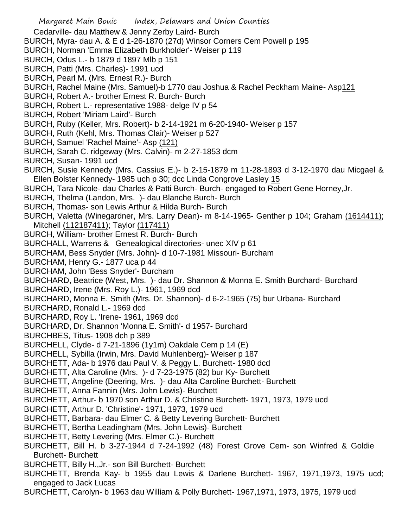- Margaret Main Bouic Index, Delaware and Union Counties Cedarville- dau Matthew & Jenny Zerby Laird- Burch BURCH, Myra- dau A. & E d 1-26-1870 (27d) Winsor Corners Cem Powell p 195 BURCH, Norman 'Emma Elizabeth Burkholder'- Weiser p 119 BURCH, Odus L.- b 1879 d 1897 Mlb p 151 BURCH, Patti (Mrs. Charles)- 1991 ucd BURCH, Pearl M. (Mrs. Ernest R.)- Burch BURCH, Rachel Maine (Mrs. Samuel)-b 1770 dau Joshua & Rachel Peckham Maine- Asp121 BURCH, Robert A.- brother Ernest R. Burch- Burch BURCH, Robert L.- representative 1988- delge IV p 54 BURCH, Robert 'Miriam Laird'- Burch BURCH, Ruby (Keller, Mrs. Robert)- b 2-14-1921 m 6-20-1940- Weiser p 157 BURCH, Ruth (Kehl, Mrs. Thomas Clair)- Weiser p 527 BURCH, Samuel 'Rachel Maine'- Asp (121) BURCH, Sarah C. ridgeway (Mrs. Calvin)- m 2-27-1853 dcm BURCH, Susan- 1991 ucd BURCH, Susie Kennedy (Mrs. Cassius E.)- b 2-15-1879 m 11-28-1893 d 3-12-1970 dau Micgael & Ellen Bolster Kennedy- 1985 uch p 30; dcc Linda Congrove Lasley 15 BURCH, Tara Nicole- dau Charles & Patti Burch- Burch- engaged to Robert Gene Horney,Jr. BURCH, Thelma (Landon, Mrs. )- dau Blanche Burch- Burch BURCH, Thomas- son Lewis Arthur & Hilda Burch- Burch BURCH, Valetta (Winegardner, Mrs. Larry Dean)- m 8-14-1965- Genther p 104; Graham (1614411); Mitchell (112187411); Taylor (117411) BURCH, William- brother Ernest R. Burch- Burch BURCHALL, Warrens & Genealogical directories- unec XIV p 61 BURCHAM, Bess Snyder (Mrs. John)- d 10-7-1981 Missouri- Burcham BURCHAM, Henry G.- 1877 uca p 44 BURCHAM, John 'Bess Snyder'- Burcham BURCHARD, Beatrice (West, Mrs. )- dau Dr. Shannon & Monna E. Smith Burchard- Burchard BURCHARD, Irene (Mrs. Roy L.)- 1961, 1969 dcd BURCHARD, Monna E. Smith (Mrs. Dr. Shannon)- d 6-2-1965 (75) bur Urbana- Burchard BURCHARD, Ronald L.- 1969 dcd BURCHARD, Roy L. 'Irene- 1961, 1969 dcd BURCHARD, Dr. Shannon 'Monna E. Smith'- d 1957- Burchard BURCHBES, Titus- 1908 dch p 389 BURCHELL, Clyde- d 7-21-1896 (1y1m) Oakdale Cem p 14 (E) BURCHELL, Sybilla (Irwin, Mrs. David Muhlenberg)- Weiser p 187 BURCHETT, Ada- b 1976 dau Paul V. & Peggy L. Burchett- 1980 dcd BURCHETT, Alta Caroline (Mrs. )- d 7-23-1975 (82) bur Ky- Burchett BURCHETT, Angeline (Deering, Mrs. )- dau Alta Caroline Burchett- Burchett BURCHETT, Anna Fannin (Mrs. John Lewis)- Burchett BURCHETT, Arthur- b 1970 son Arthur D. & Christine Burchett- 1971, 1973, 1979 ucd BURCHETT, Arthur D. 'Christine'- 1971, 1973, 1979 ucd BURCHETT, Barbara- dau Elmer C. & Betty Levering Burchett- Burchett BURCHETT, Bertha Leadingham (Mrs. John Lewis)- Burchett BURCHETT, Betty Levering (Mrs. Elmer C.)- Burchett BURCHETT, Bill H. b 3-27-1944 d 7-24-1992 (48) Forest Grove Cem- son Winfred & Goldie Burchett- Burchett BURCHETT, Billy H.,Jr.- son Bill Burchett- Burchett
- BURCHETT, Brenda Kay- b 1955 dau Lewis & Darlene Burchett- 1967, 1971,1973, 1975 ucd; engaged to Jack Lucas
- BURCHETT, Carolyn- b 1963 dau William & Polly Burchett- 1967,1971, 1973, 1975, 1979 ucd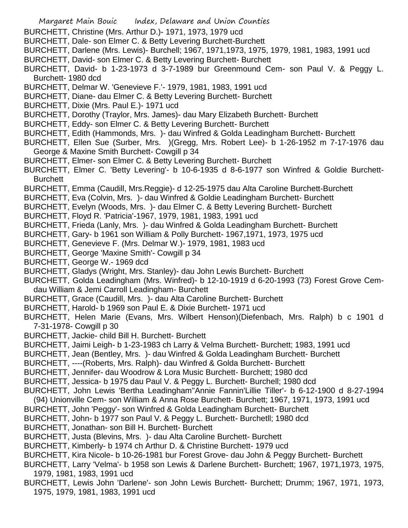- Margaret Main Bouic Index, Delaware and Union Counties
- BURCHETT, Christine (Mrs. Arthur D.)- 1971, 1973, 1979 ucd
- BURCHETT, Dale- son Elmer C. & Betty Levering Burchett-Burchett
- BURCHETT, Darlene (Mrs. Lewis)- Burchell; 1967, 1971,1973, 1975, 1979, 1981, 1983, 1991 ucd
- BURCHETT, David- son Elmer C. & Betty Levering Burchett- Burchett
- BURCHETT, David- b 1-23-1973 d 3-7-1989 bur Greenmound Cem- son Paul V. & Peggy L. Burchett- 1980 dcd
- BURCHETT, Delmar W. 'Genevieve F.'- 1979, 1981, 1983, 1991 ucd
- BURCHETT, Diane- dau Elmer C. & Betty Levering Burchett- Burchett
- BURCHETT, Dixie (Mrs. Paul E.)- 1971 ucd
- BURCHETT, Dorothy (Traylor, Mrs. James)- dau Mary Elizabeth Burchett- Burchett
- BURCHETT, Eddy- son Elmer C. & Betty Levering Burchett- Burchett
- BURCHETT, Edith (Hammonds, Mrs. )- dau Winfred & Golda Leadingham Burchett- Burchett
- BURCHETT, Ellen Sue (Surber, Mrs. )(Gregg, Mrs. Robert Lee)- b 1-26-1952 m 7-17-1976 dau George & Maxine Smith Burchett- Cowgill p 34
- BURCHETT, Elmer- son Elmer C. & Betty Levering Burchett- Burchett
- BURCHETT, Elmer C. 'Betty Levering'- b 10-6-1935 d 8-6-1977 son Winfred & Goldie Burchett-**Burchett**
- BURCHETT, Emma (Caudill, Mrs.Reggie)- d 12-25-1975 dau Alta Caroline Burchett-Burchett
- BURCHETT, Eva (Colvin, Mrs. )- dau Winfred & Goldie Leadingham Burchett- Burchett
- BURCHETT, Evelyn (Woods, Mrs. )- dau Elmer C. & Betty Levering Burchett- Burchett
- BURCHETT, Floyd R. 'Patricia'-1967, 1979, 1981, 1983, 1991 ucd
- BURCHETT, Frieda (Lanly, Mrs. )- dau Winfred & Golda Leadingham Burchett- Burchett
- BURCHETT, Gary- b 1961 son William & Polly Burchett- 1967,1971, 1973, 1975 ucd
- BURCHETT, Genevieve F. (Mrs. Delmar W.)- 1979, 1981, 1983 ucd
- BURCHETT, George 'Maxine Smith'- Cowgill p 34
- BURCHETT, George W.- 1969 dcd
- BURCHETT, Gladys (Wright, Mrs. Stanley)- dau John Lewis Burchett- Burchett
- BURCHETT, Golda Leadingham (Mrs. Winfred)- b 12-10-1919 d 6-20-1993 (73) Forest Grove Cemdau William & Jemi Carroll Leadingham- Burchett
- BURCHETT, Grace (Caudill, Mrs. )- dau Alta Caroline Burchett- Burchett
- BURCHETT, Harold- b 1969 son Paul E. & Dixie Burchett- 1971 ucd
- BURCHETT, Helen Marie (Evans, Mrs. Wilbert Henson)(Diefenbach, Mrs. Ralph) b c 1901 d 7-31-1978- Cowgill p 30
- BURCHETT, Jackie- child Bill H. Burchett- Burchett
- BURCHETT, Jaimi Leigh- b 1-23-1983 ch Larry & Velma Burchett- Burchett; 1983, 1991 ucd
- BURCHETT, Jean (Bentley, Mrs. )- dau Winfred & Golda Leadingham Burchett- Burchett
- BURCHETT, ----(Roberts, Mrs. Ralph)- dau Winfred & Golda Burchett- Burchett
- BURCHETT, Jennifer- dau Woodrow & Lora Music Burchett- Burchett; 1980 dcd
- BURCHETT, Jessica- b 1975 dau Paul V. & Peggy L. Burchett- Burchell; 1980 dcd
- BURCHETT, John Lewis 'Bertha Leadingham''Annie Fannin'Lillie Tiller'- b 6-12-1900 d 8-27-1994
- (94) Unionville Cem- son William & Anna Rose Burchett- Burchett; 1967, 1971, 1973, 1991 ucd
- BURCHETT, John 'Peggy'- son Winfred & Golda Leadingham Burchett- Burchett
- BURCHETT, John- b 1977 son Paul V. & Peggy L. Burchett- Burchetll; 1980 dcd
- BURCHETT, Jonathan- son Bill H. Burchett- Burchett
- BURCHETT, Justa (Blevins, Mrs. )- dau Alta Caroline Burchett- Burchett
- BURCHETT, Kimberly- b 1974 ch Arthur D. & Christine Burchett- 1979 ucd
- BURCHETT, Kira Nicole- b 10-26-1981 bur Forest Grove- dau John & Peggy Burchett- Burchett
- BURCHETT, Larry 'Velma'- b 1958 son Lewis & Darlene Burchett- Burchett; 1967, 1971,1973, 1975, 1979, 1981, 1983, 1991 ucd
- BURCHETT, Lewis John 'Darlene'- son John Lewis Burchett- Burchett; Drumm; 1967, 1971, 1973, 1975, 1979, 1981, 1983, 1991 ucd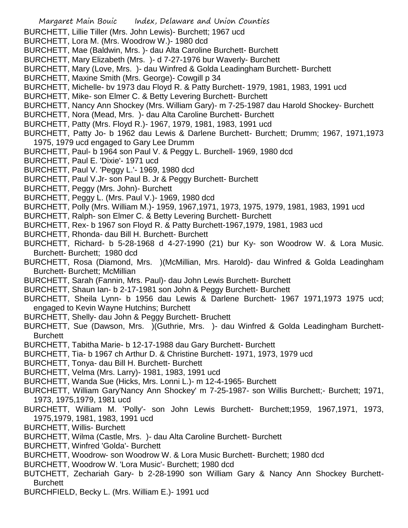Margaret Main Bouic Index, Delaware and Union Counties BURCHETT, Lillie Tiller (Mrs. John Lewis)- Burchett; 1967 ucd BURCHETT, Lora M. (Mrs. Woodrow W.)- 1980 dcd BURCHETT, Mae (Baldwin, Mrs. )- dau Alta Caroline Burchett- Burchett BURCHETT, Mary Elizabeth (Mrs. )- d 7-27-1976 bur Waverly- Burchett BURCHETT, Mary (Love, Mrs. )- dau Winfred & Golda Leadingham Burchett- Burchett BURCHETT, Maxine Smith (Mrs. George)- Cowgill p 34 BURCHETT, Michelle- bv 1973 dau Floyd R. & Patty Burchett- 1979, 1981, 1983, 1991 ucd BURCHETT, Mike- son Elmer C. & Betty Levering Burchett- Burchett BURCHETT, Nancy Ann Shockey (Mrs. William Gary)- m 7-25-1987 dau Harold Shockey- Burchett BURCHETT, Nora (Mead, Mrs. )- dau Alta Caroline Burchett- Burchett BURCHETT, Patty (Mrs. Floyd R.)- 1967, 1979, 1981, 1983, 1991 ucd BURCHETT, Patty Jo- b 1962 dau Lewis & Darlene Burchett- Burchett; Drumm; 1967, 1971,1973 1975, 1979 ucd engaged to Gary Lee Drumm BURCHETT, Paul- b 1964 son Paul V. & Peggy L. Burchell- 1969, 1980 dcd BURCHETT, Paul E. 'Dixie'- 1971 ucd BURCHETT, Paul V. 'Peggy L.'- 1969, 1980 dcd BURCHETT, Paul V.Jr- son Paul B. Jr & Peggy Burchett- Burchett BURCHETT, Peggy (Mrs. John)- Burchett BURCHETT, Peggy L. (Mrs. Paul V.)- 1969, 1980 dcd BURCHETT, Polly (Mrs. William M.)- 1959, 1967,1971, 1973, 1975, 1979, 1981, 1983, 1991 ucd BURCHETT, Ralph- son Elmer C. & Betty Levering Burchett- Burchett BURCHETT, Rex- b 1967 son Floyd R. & Patty Burchett-1967,1979, 1981, 1983 ucd BURCHETT, Rhonda- dau Bill H. Burchett- Burchett BURCHETT, Richard- b 5-28-1968 d 4-27-1990 (21) bur Ky- son Woodrow W. & Lora Music. Burchett- Burchett; 1980 dcd BURCHETT, Rosa (Diamond, Mrs. )(McMillian, Mrs. Harold)- dau Winfred & Golda Leadingham Burchett- Burchett; McMillian BURCHETT, Sarah (Fannin, Mrs. Paul)- dau John Lewis Burchett- Burchett BURCHETT, Shaun Ian- b 2-17-1981 son John & Peggy Burchett- Burchett BURCHETT, Sheila Lynn- b 1956 dau Lewis & Darlene Burchett- 1967 1971,1973 1975 ucd; engaged to Kevin Wayne Hutchins; Burchett BURCHETT, Shelly- dau John & Peggy Burchett- Bruchett BURCHETT, Sue (Dawson, Mrs. )(Guthrie, Mrs. )- dau Winfred & Golda Leadingham Burchett-**Burchett** BURCHETT, Tabitha Marie- b 12-17-1988 dau Gary Burchett- Burchett BURCHETT, Tia- b 1967 ch Arthur D. & Christine Burchett- 1971, 1973, 1979 ucd BURCHETT, Tonya- dau Bill H. Burchett- Burchett BURCHETT, Velma (Mrs. Larry)- 1981, 1983, 1991 ucd BURCHETT, Wanda Sue (Hicks, Mrs. Lonni L.)- m 12-4-1965- Burchett BURCHETT, William Gary'Nancy Ann Shockey' m 7-25-1987- son Willis Burchett;- Burchett; 1971, 1973, 1975,1979, 1981 ucd BURCHETT, William M. 'Polly'- son John Lewis Burchett- Burchett;1959, 1967,1971, 1973, 1975,1979, 1981, 1983, 1991 ucd BURCHETT, Willis- Burchett BURCHETT, Wilma (Castle, Mrs. )- dau Alta Caroline Burchett- Burchett BURCHETT, Winfred 'Golda'- Burchett BURCHETT, Woodrow- son Woodrow W. & Lora Music Burchett- Burchett; 1980 dcd BURCHETT, Woodrow W. 'Lora Music'- Burchett; 1980 dcd BUTCHETT, Zechariah Gary- b 2-28-1990 son William Gary & Nancy Ann Shockey Burchett-**Burchett** BURCHFIELD, Becky L. (Mrs. William E.)- 1991 ucd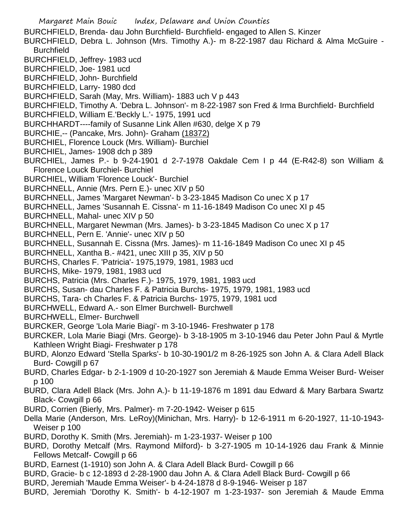Margaret Main Bouic Index, Delaware and Union Counties BURCHFIELD, Brenda- dau John Burchfield- Burchfield- engaged to Allen S. Kinzer BURCHFIELD, Debra L. Johnson (Mrs. Timothy A.)- m 8-22-1987 dau Richard & Alma McGuire - **Burchfield** BURCHFIELD, Jeffrey- 1983 ucd BURCHFIELD, Joe- 1981 ucd BURCHFIELD, John- Burchfield BURCHFIELD, Larry- 1980 dcd BURCHFIELD, Sarah (May, Mrs. William)- 1883 uch V p 443 BURCHFIELD, Timothy A. 'Debra L. Johnson'- m 8-22-1987 son Fred & Irma Burchfield- Burchfield BURCHFIELD, William E.'Beckly L.'- 1975, 1991 ucd BURCHHARDT----family of Susanne Link Allen #630, delge X p 79 BURCHIE,-- (Pancake, Mrs. John)- Graham (18372) BURCHIEL, Florence Louck (Mrs. William)- Burchiel BURCHIEL, James- 1908 dch p 389 BURCHIEL, James P.- b 9-24-1901 d 2-7-1978 Oakdale Cem I p 44 (E-R42-8) son William & Florence Louck Burchiel- Burchiel BURCHIEL, William 'Florence Louck'- Burchiel BURCHNELL, Annie (Mrs. Pern E.)- unec XIV p 50 BURCHNELL, James 'Margaret Newman'- b 3-23-1845 Madison Co unec X p 17 BURCHNELL, James 'Susannah E. Cissna'- m 11-16-1849 Madison Co unec XI p 45 BURCHNELL, Mahal- unec XIV p 50 BURCHNELL, Margaret Newman (Mrs. James)- b 3-23-1845 Madison Co unec X p 17 BURCHNELL, Pern E. 'Annie'- unec XIV p 50 BURCHNELL, Susannah E. Cissna (Mrs. James)- m 11-16-1849 Madison Co unec XI p 45 BURCHNELL, Xantha B.- #421, unec XIII p 35, XIV p 50 BURCHS, Charles F. 'Patricia'- 1975,1979, 1981, 1983 ucd BURCHS, Mike- 1979, 1981, 1983 ucd BURCHS, Patricia (Mrs. Charles F.)- 1975, 1979, 1981, 1983 ucd BURCHS, Susan- dau Charles F. & Patricia Burchs- 1975, 1979, 1981, 1983 ucd BURCHS, Tara- ch Charles F. & Patricia Burchs- 1975, 1979, 1981 ucd BURCHWELL, Edward A.- son Elmer Burchwell- Burchwell BURCHWELL, Elmer- Burchwell BURCKER, George 'Lola Marie Biagi'- m 3-10-1946- Freshwater p 178 BURCKER, Lola Marie Biagi (Mrs. George)- b 3-18-1905 m 3-10-1946 dau Peter John Paul & Myrtle Kathleen Wright Biagi- Freshwater p 178 BURD, Alonzo Edward 'Stella Sparks'- b 10-30-1901/2 m 8-26-1925 son John A. & Clara Adell Black Burd- Cowgill p 67 BURD, Charles Edgar- b 2-1-1909 d 10-20-1927 son Jeremiah & Maude Emma Weiser Burd- Weiser p 100 BURD, Clara Adell Black (Mrs. John A.)- b 11-19-1876 m 1891 dau Edward & Mary Barbara Swartz Black- Cowgill p 66 BURD, Corrien (Bierly, Mrs. Palmer)- m 7-20-1942- Weiser p 615 Della Marie (Anderson, Mrs. LeRoy)(Minichan, Mrs. Harry)- b 12-6-1911 m 6-20-1927, 11-10-1943- Weiser p 100 BURD, Dorothy K. Smith (Mrs. Jeremiah)- m 1-23-1937- Weiser p 100 BURD, Dorothy Metcalf (Mrs. Raymond Milford)- b 3-27-1905 m 10-14-1926 dau Frank & Minnie Fellows Metcalf- Cowgill p 66 BURD, Earnest (1-1910) son John A. & Clara Adell Black Burd- Cowgill p 66 BURD, Gracie- b c 12-1893 d 2-28-1900 dau John A. & Clara Adell Black Burd- Cowgill p 66 BURD, Jeremiah 'Maude Emma Weiser'- b 4-24-1878 d 8-9-1946- Weiser p 187 BURD, Jeremiah 'Dorothy K. Smith'- b 4-12-1907 m 1-23-1937- son Jeremiah & Maude Emma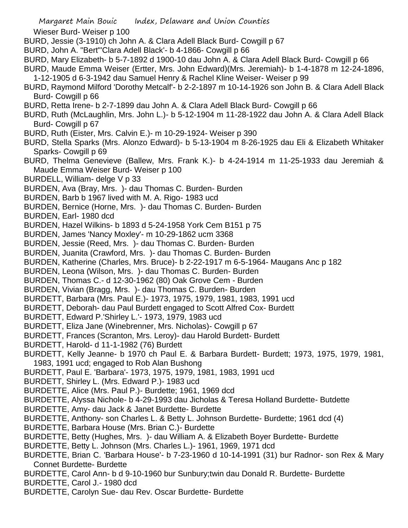Wieser Burd- Weiser p 100

- BURD, Jessie (3-1910) ch John A. & Clara Adell Black Burd- Cowgill p 67
- BURD, John A. "Bert"'Clara Adell Black'- b 4-1866- Cowgill p 66
- BURD, Mary Elizabeth- b 5-7-1892 d 1900-10 dau John A. & Clara Adell Black Burd- Cowgill p 66
- BURD, Maude Emma Weiser (Ertter, Mrs. John Edward)(Mrs. Jeremiah)- b 1-4-1878 m 12-24-1896, 1-12-1905 d 6-3-1942 dau Samuel Henry & Rachel Kline Weiser- Weiser p 99
- BURD, Raymond Milford 'Dorothy Metcalf'- b 2-2-1897 m 10-14-1926 son John B. & Clara Adell Black Burd- Cowgill p 66
- BURD, Retta Irene- b 2-7-1899 dau John A. & Clara Adell Black Burd- Cowgill p 66
- BURD, Ruth (McLaughlin, Mrs. John L.)- b 5-12-1904 m 11-28-1922 dau John A. & Clara Adell Black Burd- Cowgill p 67
- BURD, Ruth (Eister, Mrs. Calvin E.)- m 10-29-1924- Weiser p 390
- BURD, Stella Sparks (Mrs. Alonzo Edward)- b 5-13-1904 m 8-26-1925 dau Eli & Elizabeth Whitaker Sparks- Cowgill p 69
- BURD, Thelma Genevieve (Ballew, Mrs. Frank K.)- b 4-24-1914 m 11-25-1933 dau Jeremiah & Maude Emma Weiser Burd- Weiser p 100
- BURDELL, William- delge V p 33
- BURDEN, Ava (Bray, Mrs. )- dau Thomas C. Burden- Burden
- BURDEN, Barb b 1967 lived with M. A. Rigo- 1983 ucd
- BURDEN, Bernice (Horne, Mrs. )- dau Thomas C. Burden- Burden
- BURDEN, Earl- 1980 dcd
- BURDEN, Hazel Wilkins- b 1893 d 5-24-1958 York Cem B151 p 75
- BURDEN, James 'Nancy Moxley'- m 10-29-1862 ucm 3368
- BURDEN, Jessie (Reed, Mrs. )- dau Thomas C. Burden- Burden
- BURDEN, Juanita (Crawford, Mrs. )- dau Thomas C. Burden- Burden
- BURDEN, Katherine (Charles, Mrs. Bruce)- b 2-22-1917 m 6-5-1964- Maugans Anc p 182
- BURDEN, Leona (Wilson, Mrs. )- dau Thomas C. Burden- Burden
- BURDEN, Thomas C.- d 12-30-1962 (80) Oak Grove Cem Burden
- BURDEN, Vivian (Bragg, Mrs. )- dau Thomas C. Burden- Burden
- BURDETT, Barbara (Mrs. Paul E.)- 1973, 1975, 1979, 1981, 1983, 1991 ucd
- BURDETT, Deborah- dau Paul Burdett engaged to Scott Alfred Cox- Burdett
- BURDETT, Edward P.'Shirley L.'- 1973, 1979, 1983 ucd
- BURDETT, Eliza Jane (Winebrenner, Mrs. Nicholas)- Cowgill p 67
- BURDETT, Frances (Scranton, Mrs. Leroy)- dau Harold Burdett- Burdett
- BURDETT, Harold- d 11-1-1982 (76) Burdett
- BURDETT, Kelly Jeanne- b 1970 ch Paul E. & Barbara Burdett- Burdett; 1973, 1975, 1979, 1981, 1983, 1991 ucd; engaged to Rob Alan Bushong
- BURDETT, Paul E. 'Barbara'- 1973, 1975, 1979, 1981, 1983, 1991 ucd
- BURDETT, Shirley L. (Mrs. Edward P.)- 1983 ucd
- BURDETTE, Alice (Mrs. Paul P.)- Burdette; 1961, 1969 dcd
- BURDETTE, Alyssa Nichole- b 4-29-1993 dau Jicholas & Teresa Holland Burdette- Butdette
- BURDETTE, Amy- dau Jack & Janet Burdette- Burdette
- BURDETTE, Anthony- son Charles L. & Betty L. Johnson Burdette- Burdette; 1961 dcd (4)
- BURDETTE, Barbara House (Mrs. Brian C.)- Burdette
- BURDETTE, Betty (Hughes, Mrs. )- dau William A. & Elizabeth Boyer Burdette- Burdette
- BURDETTE, Betty L. Johnson (Mrs. Charles L.)- 1961, 1969, 1971 dcd
- BURDETTE, Brian C. 'Barbara House'- b 7-23-1960 d 10-14-1991 (31) bur Radnor- son Rex & Mary Connet Burdette- Burdette
- BURDETTE, Carol Ann- b d 9-10-1960 bur Sunbury;twin dau Donald R. Burdette- Burdette
- BURDETTE, Carol J.- 1980 dcd
- BURDETTE, Carolyn Sue- dau Rev. Oscar Burdette- Burdette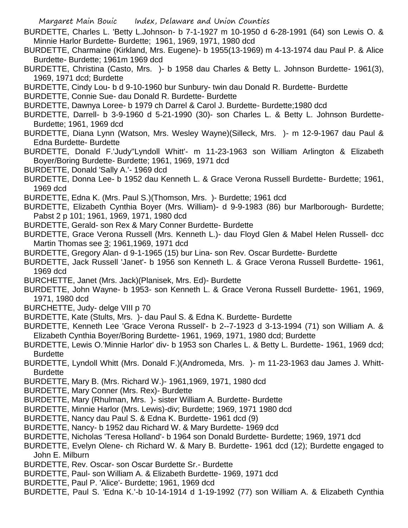- BURDETTE, Charles L. 'Betty L.Johnson- b 7-1-1927 m 10-1950 d 6-28-1991 (64) son Lewis O. & Minnie Harlor Burdette- Burdette; 1961, 1969, 1971, 1980 dcd
- BURDETTE, Charmaine (Kirkland, Mrs. Eugene)- b 1955(13-1969) m 4-13-1974 dau Paul P. & Alice Burdette- Burdette; 1961m 1969 dcd
- BURDETTE, Christina (Casto, Mrs. )- b 1958 dau Charles & Betty L. Johnson Burdette- 1961(3), 1969, 1971 dcd; Burdette
- BURDETTE, Cindy Lou- b d 9-10-1960 bur Sunbury- twin dau Donald R. Burdette- Burdette
- BURDETTE, Connie Sue- dau Donald R. Burdette- Burdette
- BURDETTE, Dawnya Loree- b 1979 ch Darrel & Carol J. Burdette- Burdette;1980 dcd
- BURDETTE, Darrell- b 3-9-1960 d 5-21-1990 (30)- son Charles L. & Betty L. Johnson Burdette-Burdette; 1961, 1969 dcd
- BURDETTE, Diana Lynn (Watson, Mrs. Wesley Wayne)(Silleck, Mrs. )- m 12-9-1967 dau Paul & Edna Burdette- Burdette
- BURDETTE, Donald F.'Judy''Lyndoll Whitt'- m 11-23-1963 son William Arlington & Elizabeth Boyer/Boring Burdette- Burdette; 1961, 1969, 1971 dcd
- BURDETTE, Donald 'Sally A.'- 1969 dcd
- BURDETTE, Donna Lee- b 1952 dau Kenneth L. & Grace Verona Russell Burdette- Burdette; 1961, 1969 dcd
- BURDETTE, Edna K. (Mrs. Paul S.)(Thomson, Mrs. )- Burdette; 1961 dcd
- BURDETTE, Elizabeth Cynthia Boyer (Mrs. William)- d 9-9-1983 (86) bur Marlborough- Burdette; Pabst 2 p 101; 1961, 1969, 1971, 1980 dcd
- BURDETTE, Gerald- son Rex & Mary Conner Burdette- Burdette
- BURDETTE, Grace Verona Russell (Mrs. Kenneth L.)- dau Floyd Glen & Mabel Helen Russell- dcc Martin Thomas see 3; 1961,1969, 1971 dcd
- BURDETTE, Gregory Alan- d 9-1-1965 (15) bur Lina- son Rev. Oscar Burdette- Burdette
- BURDETTE, Jack Russell 'Janet'- b 1956 son Kenneth L. & Grace Verona Russell Burdette- 1961, 1969 dcd
- BURCHETTE, Janet (Mrs. Jack)(Planisek, Mrs. Ed)- Burdette
- BURDETTE, John Wayne- b 1953- son Kenneth L. & Grace Verona Russell Burdette- 1961, 1969, 1971, 1980 dcd
- BURCHETTE, Judy- delge VIII p 70
- BURDETTE, Kate (Stults, Mrs. )- dau Paul S. & Edna K. Burdette- Burdette
- BURDETTE, Kenneth Lee 'Grace Verona Russell'- b 2--7-1923 d 3-13-1994 (71) son William A. & Elizabeth Cynthia Boyer/Boring Burdette- 1961, 1969, 1971, 1980 dcd; Burdette
- BURDETTE, Lewis O.'Minnie Harlor' div- b 1953 son Charles L. & Betty L. Burdette- 1961, 1969 dcd; **Burdette**
- BURDETTE, Lyndoll Whitt (Mrs. Donald F.)(Andromeda, Mrs. )- m 11-23-1963 dau James J. Whitt-Burdette
- BURDETTE, Mary B. (Mrs. Richard W.)- 1961,1969, 1971, 1980 dcd
- BURDETTE, Mary Conner (Mrs. Rex)- Burdette
- BURDETTE, Mary (Rhulman, Mrs. )- sister William A. Burdette- Burdette
- BURDETTE, Minnie Harlor (Mrs. Lewis)-div; Burdette; 1969, 1971 1980 dcd
- BURDETTE, Nancy dau Paul S. & Edna K. Burdette- 1961 dcd (9)
- BURDETTE, Nancy- b 1952 dau Richard W. & Mary Burdette- 1969 dcd
- BURDETTE, Nicholas 'Teresa Holland'- b 1964 son Donald Burdette- Burdette; 1969, 1971 dcd
- BURDETTE, Evelyn Olene- ch Richard W. & Mary B. Burdette- 1961 dcd (12); Burdette engaged to John E. Milburn
- BURDETTE, Rev. Oscar- son Oscar Burdette Sr.- Burdette
- BURDETTE, Paul- son William A. & Elizabeth Burdette- 1969, 1971 dcd
- BURDETTE, Paul P. 'Alice'- Burdette; 1961, 1969 dcd
- BURDETTE, Paul S. 'Edna K.'-b 10-14-1914 d 1-19-1992 (77) son William A. & Elizabeth Cynthia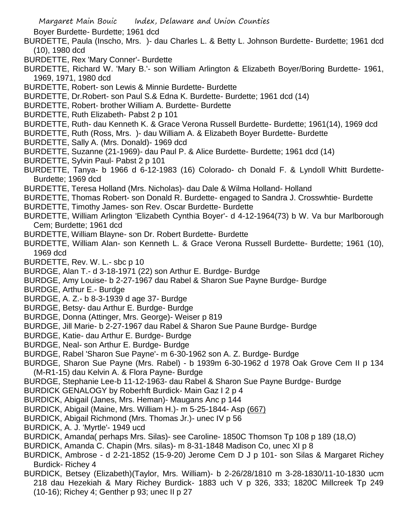Boyer Burdette- Burdette; 1961 dcd

- BURDETTE, Paula (Inscho, Mrs. )- dau Charles L. & Betty L. Johnson Burdette- Burdette; 1961 dcd (10), 1980 dcd
- BURDETTE, Rex 'Mary Conner'- Burdette
- BURDETTE, Richard W. 'Mary B.'- son William Arlington & Elizabeth Boyer/Boring Burdette- 1961, 1969, 1971, 1980 dcd
- BURDETTE, Robert- son Lewis & Minnie Burdette- Burdette
- BURDETTE, Dr.Robert- son Paul S.& Edna K. Burdette- Burdette; 1961 dcd (14)
- BURDETTE, Robert- brother William A. Burdette- Burdette
- BURDETTE, Ruth Elizabeth- Pabst 2 p 101
- BURDETTE, Ruth- dau Kenneth K. & Grace Verona Russell Burdette- Burdette; 1961(14), 1969 dcd
- BURDETTE, Ruth (Ross, Mrs. )- dau William A. & Elizabeth Boyer Burdette- Burdette
- BURDETTE, Sally A. (Mrs. Donald)- 1969 dcd
- BURDETTE, Suzanne (21-1969)- dau Paul P. & Alice Burdette- Burdette; 1961 dcd (14)
- BURDETTE, Sylvin Paul- Pabst 2 p 101
- BURDETTE, Tanya- b 1966 d 6-12-1983 (16) Colorado- ch Donald F. & Lyndoll Whitt Burdette-Burdette; 1969 dcd
- BURDETTE, Teresa Holland (Mrs. Nicholas)- dau Dale & Wilma Holland- Holland
- BURDETTE, Thomas Robert- son Donald R. Burdette- engaged to Sandra J. Crosswhtie- Burdette
- BURDETTE, Timothy James- son Rev. Oscar Burdette- Burdette
- BURDETTE, William Arlington 'Elizabeth Cynthia Boyer'- d 4-12-1964(73) b W. Va bur Marlborough Cem; Burdette; 1961 dcd
- BURDETTE, William Blayne- son Dr. Robert Burdette- Burdette
- BURDETTE, William Alan- son Kenneth L. & Grace Verona Russell Burdette- Burdette; 1961 (10), 1969 dcd
- BURDETTE, Rev. W. L.- sbc p 10
- BURDGE, Alan T.- d 3-18-1971 (22) son Arthur E. Burdge- Burdge
- BURDGE, Amy Louise- b 2-27-1967 dau Rabel & Sharon Sue Payne Burdge- Burdge
- BURDGE, Arthur E.- Burdge
- BURDGE, A. Z.- b 8-3-1939 d age 37- Burdge
- BURDGE, Betsy- dau Arthur E. Burdge- Burdge
- BURDGE, Donna (Attinger, Mrs. George)- Weiser p 819
- BURDGE, Jill Marie- b 2-27-1967 dau Rabel & Sharon Sue Paune Burdge- Burdge
- BURDGE, Katie- dau Arthur E. Burdge- Burdge
- BURDGE, Neal- son Arthur E. Burdge- Burdge
- BURDGE, Rabel 'Sharon Sue Payne'- m 6-30-1962 son A. Z. Burdge- Burdge
- BURDGE, Sharon Sue Payne (Mrs. Rabel) b 1939m 6-30-1962 d 1978 Oak Grove Cem II p 134 (M-R1-15) dau Kelvin A. & Flora Payne- Burdge
- BURDGE, Stephanie Lee-b 11-12-1963- dau Rabel & Sharon Sue Payne Burdge- Burdge
- BURDICK GENALOGY by Roberhft Burdick- Main Gaz I 2 p 4
- BURDICK, Abigail (Janes, Mrs. Heman)- Maugans Anc p 144
- BURDICK, Abigail (Maine, Mrs. William H.)- m 5-25-1844- Asp (667)
- BURDICK, Abigail Richmond (Mrs. Thomas Jr.)- unec IV p 56
- BURDICK, A. J. 'Myrtle'- 1949 ucd
- BURDICK, Amanda( perhaps Mrs. Silas)- see Caroline- 1850C Thomson Tp 108 p 189 (18,O)
- BURDICK, Amanda C. Chapin (Mrs. silas)- m 8-31-1848 Madison Co, unec XI p 8
- BURDICK, Ambrose d 2-21-1852 (15-9-20) Jerome Cem D J p 101- son Silas & Margaret Richey Burdick- Richey 4
- BURDICK, Betsey (Elizabeth)(Taylor, Mrs. William)- b 2-26/28/1810 m 3-28-1830/11-10-1830 ucm 218 dau Hezekiah & Mary Richey Burdick- 1883 uch V p 326, 333; 1820C Millcreek Tp 249 (10-16); Richey 4; Genther p 93; unec II p 27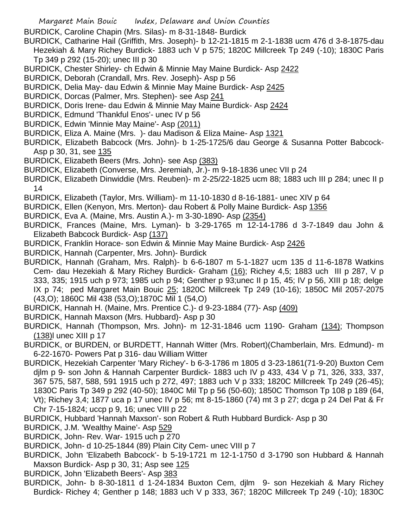- Margaret Main Bouic Index, Delaware and Union Counties
- BURDICK, Caroline Chapin (Mrs. Silas)- m 8-31-1848- Burdick
- BURDICK, Catharine Hail (Griffith, Mrs. Joseph)- b 12-21-1815 m 2-1-1838 ucm 476 d 3-8-1875-dau Hezekiah & Mary Richey Burdick- 1883 uch V p 575; 1820C Millcreek Tp 249 (-10); 1830C Paris Tp 349 p 292 (15-20); unec III p 30
- BURDICK, Chester Shirley- ch Edwin & Minnie May Maine Burdick- Asp 2422
- BURDICK, Deborah (Crandall, Mrs. Rev. Joseph)- Asp p 56
- BURDICK, Delia May- dau Edwin & Minnie May Maine Burdick- Asp 2425
- BURDICK, Dorcas (Palmer, Mrs. Stephen)- see Asp 241
- BURDICK, Doris Irene- dau Edwin & Minnie May Maine Burdick- Asp 2424
- BURDICK, Edmund 'Thankful Enos'- unec IV p 56
- BURDICK, Edwin 'Minnie May Maine'- Asp (2011)
- BURDICK, Eliza A. Maine (Mrs. )- dau Madison & Eliza Maine- Asp 1321
- BURDICK, Elizabeth Babcock (Mrs. John)- b 1-25-1725/6 dau George & Susanna Potter Babcock-Asp p 30, 31, see 135
- BURDICK, Elizabeth Beers (Mrs. John)- see Asp (383)
- BURDICK, Elizabeth (Converse, Mrs. Jeremiah, Jr.)- m 9-18-1836 unec VII p 24
- BURDICK, Elizabeth Dinwiddie (Mrs. Reuben)- m 2-25/22-1825 ucm 88; 1883 uch III p 284; unec II p 14
- BURDICK, Elizabeth (Taylor, Mrs. William)- m 11-10-1830 d 8-16-1881- unec XIV p 64
- BURDICK, Ellen (Kenyon, Mrs. Merton)- dau Robert & Polly Maine Burdick- Asp 1356
- BURDICK, Eva A. (Maine, Mrs. Austin A.)- m 3-30-1890- Asp (2354)
- BURDICK, Frances (Maine, Mrs. Lyman)- b 3-29-1765 m 12-14-1786 d 3-7-1849 dau John & Elizabeth Babcock Burdick- Asp (137)
- BURDICK, Franklin Horace- son Edwin & Minnie May Maine Burdick- Asp 2426
- BURDICK, Hannah (Carpenter, Mrs. John)- Burdick
- BURDICK, Hannah (Graham, Mrs. Ralph)- b 6-6-1807 m 5-1-1827 ucm 135 d 11-6-1878 Watkins Cem- dau Hezekiah & Mary Richey Burdick- Graham (16); Richey 4,5; 1883 uch III p 287, V p 333, 335; 1915 uch p 973; 1985 uch p 94; Genther p 93;unec II p 15, 45; IV p 56, XIII p 18; delge IX p 74; ped Margaret Main Bouic 25; 1820C Millcreek Tp 249 (10-16); 1850C Mil 2057-2075 (43,O); 1860C Mil 438 (53,O);1870C Mil 1 (54,O)
- BURDICK, Hannah H. (Maine, Mrs. Prentice C.)- d 9-23-1884 (77)- Asp (409)
- BURDICK, Hannah Maxson (Mrs. Hubbard)- Asp p 30
- BURDICK, Hannah (Thompson, Mrs. John)- m 12-31-1846 ucm 1190- Graham (134); Thompson (138)l unec XIII p 17
- BURDICK, or BURDEN, or BURDETT, Hannah Witter (Mrs. Robert)(Chamberlain, Mrs. Edmund)- m 6-22-1670- Powers Pat p 316- dau William Witter
- BURDICK, Hezekiah Carpenter 'Mary Richey'- b 6-3-1786 m 1805 d 3-23-1861(71-9-20) Buxton Cem djlm p 9- son John & Hannah Carpenter Burdick- 1883 uch IV p 433, 434 V p 71, 326, 333, 337, 367 575, 587, 588, 591 1915 uch p 272, 497; 1883 uch V p 333; 1820C Millcreek Tp 249 (26-45); 1830C Paris Tp 349 p 292 (40-50); 1840C Mil Tp p 56 (50-60); 1850C Thomson Tp 108 p 189 (64, Vt); Richey 3,4; 1877 uca p 17 unec IV p 56; mt 8-15-1860 (74) mt 3 p 27; dcga p 24 Del Pat & Fr Chr 7-15-1824; uccp p 9, 16; unec VIII p 22
- BURDICK, Hubbard 'Hannah Maxson'- son Robert & Ruth Hubbard Burdick- Asp p 30
- BURDICK, J.M. 'Wealthy Maine'- Asp 529
- BURDICK, John- Rev. War- 1915 uch p 270
- BURDICK, John- d 10-25-1844 (89) Plain City Cem- unec VIII p 7
- BURDICK, John 'Elizabeth Babcock'- b 5-19-1721 m 12-1-1750 d 3-1790 son Hubbard & Hannah Maxson Burdick- Asp p 30, 31; Asp see 125
- BURDICK, John 'Elizabeth Beers'- Asp 383
- BURDICK, John- b 8-30-1811 d 1-24-1834 Buxton Cem, djlm 9- son Hezekiah & Mary Richey Burdick- Richey 4; Genther p 148; 1883 uch V p 333, 367; 1820C Millcreek Tp 249 (-10); 1830C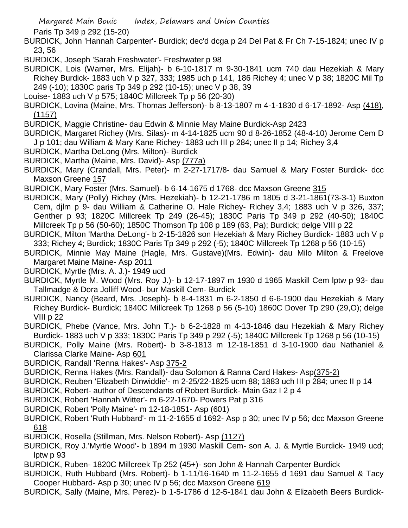Paris Tp 349 p 292 (15-20)

- BURDICK, John 'Hannah Carpenter'- Burdick; dec'd dcga p 24 Del Pat & Fr Ch 7-15-1824; unec IV p 23, 56
- BURDICK, Joseph 'Sarah Freshwater'- Freshwater p 98
- BURDICK, Lois (Warner, Mrs. Elijah)- b 6-10-1817 m 9-30-1841 ucm 740 dau Hezekiah & Mary Richey Burdick- 1883 uch V p 327, 333; 1985 uch p 141, 186 Richey 4; unec V p 38; 1820C Mil Tp 249 (-10); 1830C paris Tp 349 p 292 (10-15); unec V p 38, 39
- Louise- 1883 uch V p 575; 1840C Millcreek Tp p 56 (20-30)
- BURDICK, Lovina (Maine, Mrs. Thomas Jefferson)- b 8-13-1807 m 4-1-1830 d 6-17-1892- Asp (418), (1157)
- BURDICK, Maggie Christine- dau Edwin & Minnie May Maine Burdick-Asp 2423
- BURDICK, Margaret Richey (Mrs. Silas)- m 4-14-1825 ucm 90 d 8-26-1852 (48-4-10) Jerome Cem D J p 101; dau William & Mary Kane Richey- 1883 uch III p 284; unec II p 14; Richey 3,4
- BURDICK, Martha DeLong (Mrs. Milton)- Burdick
- BURDICK, Martha (Maine, Mrs. David)- Asp (777a)
- BURDICK, Mary (Crandall, Mrs. Peter)- m 2-27-1717/8- dau Samuel & Mary Foster Burdick- dcc Maxson Greene 157
- BURDICK, Mary Foster (Mrs. Samuel)- b 6-14-1675 d 1768- dcc Maxson Greene 315
- BURDICK, Mary (Polly) Richey (Mrs. Hezekiah)- b 12-21-1786 m 1805 d 3-21-1861(73-3-1) Buxton Cem, djlm p 9- dau William & Catherine O. Hale Richey- Richey 3,4; 1883 uch V p 326, 337; Genther p 93; 1820C Millcreek Tp 249 (26-45); 1830C Paris Tp 349 p 292 (40-50); 1840C Millcreek Tp p 56 (50-60); 1850C Thomson Tp 108 p 189 (63, Pa); Burdick; delge VIII p 22
- BURDICK, Milton 'Martha DeLong'- b 2-15-1826 son Hezekiah & Mary Richey Burdick- 1883 uch V p 333; Richey 4; Burdick; 1830C Paris Tp 349 p 292 (-5); 1840C Millcreek Tp 1268 p 56 (10-15)
- BURDICK, Minnie May Maine (Hagle, Mrs. Gustave)(Mrs. Edwin)- dau Milo Milton & Freelove Margaret Maine Maine- Asp 2011
- BURDICK, Myrtle (Mrs. A. J.)- 1949 ucd
- BURDICK, Myrtle M. Wood (Mrs. Roy J.)- b 12-17-1897 m 1930 d 1965 Maskill Cem lptw p 93- dau Tallmadge & Dora Jolliff Wood- bur Maskill Cem- Burdick
- BURDICK, Nancy (Beard, Mrs. Joseph)- b 8-4-1831 m 6-2-1850 d 6-6-1900 dau Hezekiah & Mary Richey Burdick- Burdick; 1840C Millcreek Tp 1268 p 56 (5-10) 1860C Dover Tp 290 (29,O); delge VIII p 22
- BURDICK, Phebe (Vance, Mrs. John T.)- b 6-2-1828 m 4-13-1846 dau Hezekiah & Mary Richey Burdick- 1883 uch V p 333; 1830C Paris Tp 349 p 292 (-5); 1840C Millcreek Tp 1268 p 56 (10-15)
- BURDICK, Polly Maine (Mrs. Robert)- b 3-8-1813 m 12-18-1851 d 3-10-1900 dau Nathaniel & Clarissa Clarke Maine- Asp 601
- BURDICK, Randall 'Renna Hakes'- Asp 375-2
- BURDICK, Renna Hakes (Mrs. Randall)- dau Solomon & Ranna Card Hakes- Asp(375-2)
- BURDICK, Reuben 'Elizabeth Dinwiddie'- m 2-25/22-1825 ucm 88; 1883 uch III p 284; unec II p 14
- BURDICK, Robert- author of Descendants of Robert Burdick- Main Gaz I 2 p 4
- BURDICK, Robert 'Hannah Witter'- m 6-22-1670- Powers Pat p 316
- BURDICK, Robert 'Polly Maine'- m 12-18-1851- Asp (601)
- BURDICK, Robert 'Ruth Hubbard'- m 11-2-1655 d 1692- Asp p 30; unec IV p 56; dcc Maxson Greene 618
- BURDICK, Rosella (Stillman, Mrs. Nelson Robert)- Asp (1127)
- BURDICK, Roy J.'Myrtle Wood'- b 1894 m 1930 Maskill Cem- son A. J. & Myrtle Burdick- 1949 ucd; lptw p 93
- BURDICK, Ruben- 1820C Millcreek Tp 252 (45+)- son John & Hannah Carpenter Burdick
- BURDICK, Ruth Hubbard (Mrs. Robert)- b 1-11/16-1640 m 11-2-1655 d 1691 dau Samuel & Tacy Cooper Hubbard- Asp p 30; unec IV p 56; dcc Maxson Greene 619
- BURDICK, Sally (Maine, Mrs. Perez)- b 1-5-1786 d 12-5-1841 dau John & Elizabeth Beers Burdick-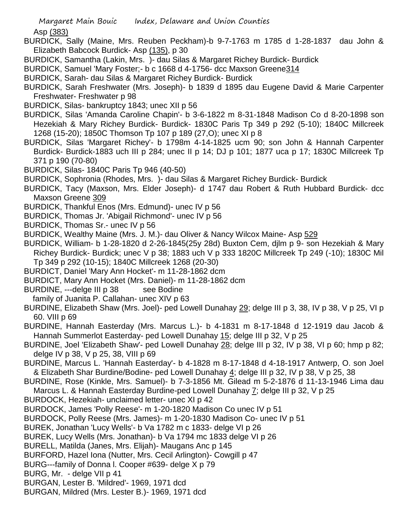Asp (383)

- BURDICK, Sally (Maine, Mrs. Reuben Peckham)-b 9-7-1763 m 1785 d 1-28-1837 dau John & Elizabeth Babcock Burdick- Asp (135), p 30
- BURDICK, Samantha (Lakin, Mrs. )- dau Silas & Margaret Richey Burdick- Burdick
- BURDICK, Samuel 'Mary Foster;- b c 1668 d 4-1756- dcc Maxson Greene314
- BURDICK, Sarah- dau Silas & Margaret Richey Burdick- Burdick
- BURDICK, Sarah Freshwater (Mrs. Joseph)- b 1839 d 1895 dau Eugene David & Marie Carpenter Freshwater- Freshwater p 98
- BURDICK, Silas- bankruptcy 1843; unec XII p 56
- BURDICK, Silas 'Amanda Caroline Chapin'- b 3-6-1822 m 8-31-1848 Madison Co d 8-20-1898 son Hezekiah & Mary Richey Burdick- Burdick- 1830C Paris Tp 349 p 292 (5-10); 1840C Millcreek 1268 (15-20); 1850C Thomson Tp 107 p 189 (27,O); unec XI p 8
- BURDICK, Silas 'Margaret Richey'- b 1798m 4-14-1825 ucm 90; son John & Hannah Carpenter Burdick- Burdick-1883 uch III p 284; unec II p 14; DJ p 101; 1877 uca p 17; 1830C Millcreek Tp 371 p 190 (70-80)
- BURDICK, Silas- 1840C Paris Tp 946 (40-50)
- BURDICK, Sophronia (Rhodes, Mrs. )- dau Silas & Margaret Richey Burdick- Burdick
- BURDICK, Tacy (Maxson, Mrs. Elder Joseph)- d 1747 dau Robert & Ruth Hubbard Burdick- dcc Maxson Greene 309
- BURDICK, Thankful Enos (Mrs. Edmund)- unec IV p 56
- BURDICK, Thomas Jr. 'Abigail Richmond'- unec IV p 56
- BURDICK, Thomas Sr.- unec IV p 56
- BURDICK, Wealthy Maine (Mrs. J. M.)- dau Oliver & Nancy Wilcox Maine- Asp 529
- BURDICK, William- b 1-28-1820 d 2-26-1845(25y 28d) Buxton Cem, djlm p 9- son Hezekiah & Mary Richey Burdick- Burdick; unec V p 38; 1883 uch V p 333 1820C Millcreek Tp 249 (-10); 1830C Mil Tp 349 p 292 (10-15); 1840C Millcreek 1268 (20-30)
- BURDICT, Daniel 'Mary Ann Hocket'- m 11-28-1862 dcm
- BURDICT, Mary Ann Hocket (Mrs. Daniel)- m 11-28-1862 dcm
- BURDINE, ---delge III p 38 see Bodine
- family of Juanita P. Callahan- unec XIV p 63
- BURDINE, Elizabeth Shaw (Mrs. Joel)- ped Lowell Dunahay 29; delge III p 3, 38, IV p 38, V p 25, VI p 60. VIII p 69
- BURDINE, Hannah Easterday (Mrs. Marcus L.)- b 4-1831 m 8-17-1848 d 12-1919 dau Jacob & Hannah Summerlot Easterday- ped Lowell Dunahay 15; delge III p 32, V p 25
- BURDINE, Joel 'Elizabeth Shaw'- ped Lowell Dunahay 28; delge III p 32, IV p 38, VI p 60; hmp p 82; delge IV p 38, V p 25, 38, VIII p 69
- BURDINE, Marcus L. 'Hannah Easterday'- b 4-1828 m 8-17-1848 d 4-18-1917 Antwerp, O. son Joel & Elizabeth Shar Burdine/Bodine- ped Lowell Dunahay 4; delge III p 32, IV p 38, V p 25, 38
- BURDINE, Rose (Kinkle, Mrs. Samuel)- b 7-3-1856 Mt. Gilead m 5-2-1876 d 11-13-1946 Lima dau Marcus L. & Hannah Easterday Burdine-ped Lowell Dunahay 7; delge III p 32, V p 25
- BURDOCK, Hezekiah- unclaimed letter- unec XI p 42
- BURDOCK, James 'Polly Reese'- m 1-20-1820 Madison Co unec IV p 51
- BURDOCK, Polly Reese (Mrs. James)- m 1-20-1830 Madison Co- unec IV p 51
- BUREK, Jonathan 'Lucy Wells'- b Va 1782 m c 1833- delge VI p 26
- BUREK, Lucy Wells (Mrs. Jonathan)- b Va 1794 mc 1833 delge VI p 26
- BURELL, Matilda (Janes, Mrs. Elijah)- Maugans Anc p 145
- BURFORD, Hazel Iona (Nutter, Mrs. Cecil Arlington)- Cowgill p 47
- BURG---family of Donna l. Cooper #639- delge X p 79
- BURG, Mr. delge VII p 41
- BURGAN, Lester B. 'Mildred'- 1969, 1971 dcd
- BURGAN, Mildred (Mrs. Lester B.)- 1969, 1971 dcd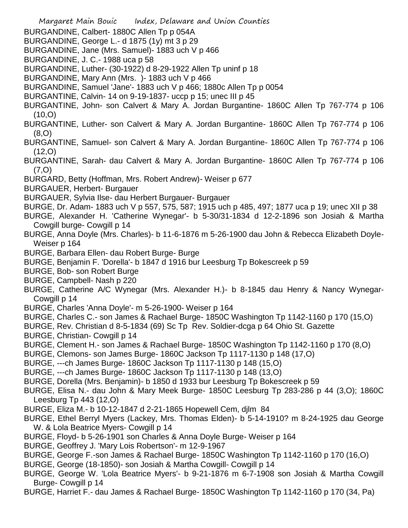- Margaret Main Bouic Index, Delaware and Union Counties BURGANDINE, Calbert- 1880C Allen Tp p 054A BURGANDINE, George L.- d 1875 (1y) mt 3 p 29 BURGANDINE, Jane (Mrs. Samuel)- 1883 uch V p 466 BURGANDINE, J. C.- 1988 uca p 58 BURGANDINE, Luther- (30-1922) d 8-29-1922 Allen Tp uninf p 18 BURGANDINE, Mary Ann (Mrs. )- 1883 uch V p 466 BURGANDINE, Samuel 'Jane'- 1883 uch V p 466; 1880c Allen Tp p 0054 BURGANTINE, Calvin- 14 on 9-19-1837- uccp p 15; unec III p 45 BURGANTINE, John- son Calvert & Mary A. Jordan Burgantine- 1860C Allen Tp 767-774 p 106 (10,O) BURGANTINE, Luther- son Calvert & Mary A. Jordan Burgantine- 1860C Allen Tp 767-774 p 106 (8,O) BURGANTINE, Samuel- son Calvert & Mary A. Jordan Burgantine- 1860C Allen Tp 767-774 p 106 (12,O) BURGANTINE, Sarah- dau Calvert & Mary A. Jordan Burgantine- 1860C Allen Tp 767-774 p 106 (7,O) BURGARD, Betty (Hoffman, Mrs. Robert Andrew)- Weiser p 677 BURGAUER, Herbert- Burgauer BURGAUER, Sylvia Ilse- dau Herbert Burgauer- Burgauer BURGE, Dr. Adam- 1883 uch V p 557, 575, 587; 1915 uch p 485, 497; 1877 uca p 19; unec XII p 38 BURGE, Alexander H. 'Catherine Wynegar'- b 5-30/31-1834 d 12-2-1896 son Josiah & Martha Cowgill burge- Cowgill p 14 BURGE, Anna Doyle (Mrs. Charles)- b 11-6-1876 m 5-26-1900 dau John & Rebecca Elizabeth Doyle-Weiser p 164 BURGE, Barbara Ellen- dau Robert Burge- Burge BURGE, Benjamin F. 'Dorella'- b 1847 d 1916 bur Leesburg Tp Bokescreek p 59 BURGE, Bob- son Robert Burge BURGE, Campbell- Nash p 220 BURGE, Catherine A/C Wynegar (Mrs. Alexander H.)- b 8-1845 dau Henry & Nancy Wynegar-Cowgill p 14 BURGE, Charles 'Anna Doyle'- m 5-26-1900- Weiser p 164 BURGE, Charles C.- son James & Rachael Burge- 1850C Washington Tp 1142-1160 p 170 (15,O) BURGE, Rev. Christian d 8-5-1834 (69) Sc Tp Rev. Soldier-dcga p 64 Ohio St. Gazette BURGE, Christian- Cowgill p 14 BURGE, Clement H.- son James & Rachael Burge- 1850C Washington Tp 1142-1160 p 170 (8,O) BURGE, Clemons- son James Burge- 1860C Jackson Tp 1117-1130 p 148 (17,O) BURGE, ---ch James Burge- 1860C Jackson Tp 1117-1130 p 148 (15,O) BURGE, ---ch James Burge- 1860C Jackson Tp 1117-1130 p 148 (13,O) BURGE, Dorella (Mrs. Benjamin)- b 1850 d 1933 bur Leesburg Tp Bokescreek p 59 BURGE, Elisa N.- dau John & Mary Meek Burge- 1850C Leesburg Tp 283-286 p 44 (3,O); 1860C Leesburg Tp 443 (12,O)
- BURGE, Eliza M.- b 10-12-1847 d 2-21-1865 Hopewell Cem, djlm 84
- BURGE, Ethel Berryl Myers (Lackey, Mrs. Thomas Elden)- b 5-14-1910? m 8-24-1925 dau George W. & Lola Beatrice Myers- Cowgill p 14
- BURGE, Floyd- b 5-26-1901 son Charles & Anna Doyle Burge- Weiser p 164
- BURGE, Geoffrey J. 'Mary Lois Robertson'- m 12-9-1967
- BURGE, George F.-son James & Rachael Burge- 1850C Washington Tp 1142-1160 p 170 (16,O)
- BURGE, George (18-1850)- son Josiah & Martha Cowgill- Cowgill p 14
- BURGE, George W. 'Lola Beatrice Myers'- b 9-21-1876 m 6-7-1908 son Josiah & Martha Cowgill Burge- Cowgill p 14
- BURGE, Harriet F.- dau James & Rachael Burge- 1850C Washington Tp 1142-1160 p 170 (34, Pa)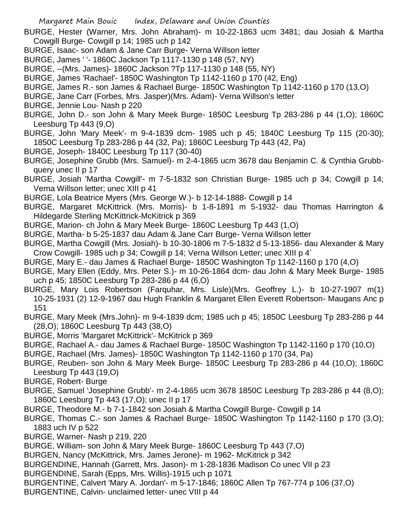- BURGE, Hester (Warner, Mrs. John Abraham)- m 10-22-1863 ucm 3481; dau Josiah & Martha Cowgill Burge- Cowgill p 14; 1985 uch p 142
- BURGE, Isaac- son Adam & Jane Carr Burge- Verna Willson letter
- BURGE, James ' '- 1860C Jackson Tp 1117-1130 p 148 (57, NY)
- BURGE, --(Mrs. James)- 1860C Jackson ?Tp 117-1130 p 148 (55, NY)
- BURGE, James 'Rachael'- 1850C Washington Tp 1142-1160 p 170 (42, Eng)
- BURGE, James R.- son James & Rachael Burge- 1850C Washington Tp 1142-1160 p 170 (13,O)
- BURGE, Jane Carr (Forbes, Mrs. Jasper)(Mrs. Adam)- Verna Willson's letter
- BURGE, Jennie Lou- Nash p 220
- BURGE, John D.- son John & Mary Meek Burge- 1850C Leesburg Tp 283-286 p 44 (1,O); 1860C Leesburg Tp 443 (9,O)
- BURGE, John 'Mary Meek'- m 9-4-1839 dcm- 1985 uch p 45; 1840C Leesburg Tp 115 (20-30); 1850C Leesburg Tp 283-286 p 44 (32, Pa); 1860C Leesburg Tp 443 (42, Pa)
- BURGE, Joseph- 1840C Leesburg Tp 117 (30-40)
- BURGE, Josephine Grubb (Mrs. Samuel)- m 2-4-1865 ucm 3678 dau Benjamin C. & Cynthia Grubbquery unec II p 17
- BURGE, Josiah 'Martha Cowgill'- m 7-5-1832 son Christian Burge- 1985 uch p 34; Cowgill p 14; Verna Willson letter; unec XIII p 41
- BURGE, Lola Beatrice Myers (Mrs. George W.)- b 12-14-1888- Cowgill p 14
- BURGE, Margaret McKittrick (Mrs. Morris)- b 1-8-1891 m 5-1932- dau Thomas Harrington & Hildegarde Sterling McKittrick-McKitrick p 369
- BURGE, Marion- ch John & Mary Meek Burge- 1860C Leesburg Tp 443 (1,O)
- BURGE, Martha- b 5-25-1837 dau Adam & Jane Carr Burge- Verna Willson letter
- BURGE, Martha Cowgill (Mrs. Josiah)- b 10-30-1806 m 7-5-1832 d 5-13-1856- dau Alexander & Mary Crow Cowgill- 1985 uch p 34; Cowgill p 14; Verna Willson Letter; unec XIII p 4`
- BURGE, Mary E.- dau James & Rachael Burge- 1850C Washington Tp 1142-1160 p 170 (4,O)
- BURGE, Mary Ellen (Eddy, Mrs. Peter S.)- m 10-26-1864 dcm- dau John & Mary Meek Burge- 1985 uch p 45; 1850C Leesburg Tp 283-286 p 44 (6,O)
- BURGE, Mary Lois Robertson (Farquhar, Mrs. Lisle)(Mrs. Geoffrey L.)- b 10-27-1907 m(1) 10-25-1931 (2) 12-9-1967 dau Hugh Franklin & Margaret Ellen Everett Robertson- Maugans Anc p 151
- BURGE, Mary Meek (Mrs.John)- m 9-4-1839 dcm; 1985 uch p 45; 1850C Leesburg Tp 283-286 p 44 (28,O); 1860C Leesburg Tp 443 (38,O)
- BURGE, Morris 'Margaret McKittrick'- McKitrick p 369
- BURGE, Rachael A.- dau James & Rachael Burge- 1850C Washington Tp 1142-1160 p 170 (10,O)
- BURGE, Rachael (Mrs. James)- 1850C Washington Tp 1142-1160 p 170 (34, Pa)
- BURGE, Reuben- son John & Mary Meek Burge- 1850C Leesburg Tp 283-286 p 44 (10,O); 1860C Leesburg Tp 443 (19,O)
- BURGE, Robert- Burge
- BURGE, Samuel 'Josephine Grubb'- m 2-4-1865 ucm 3678 1850C Leesburg Tp 283-286 p 44 (8,O); 1860C Leesburg Tp 443 (17,O); unec II p 17
- BURGE, Theodore M.- b 7-1-1842 son Josiah & Martha Cowgill Burge- Cowgill p 14
- BURGE, Thomas C.- son James & Rachael Burge- 1850C Washington Tp 1142-1160 p 170 (3,O); 1883 uch IV p 522
- BURGE, Warner- Nash p 219, 220
- BURGE, William- son John & Mary Meek Burge- 1860C Leesburg Tp 443 (7,O)
- BURGEN, Nancy (McKittrick, Mrs. James Jerone)- m 1962- McKitrick p 342
- BURGENDINE, Hannah (Garrett, Mrs. Jason)- m 1-28-1836 Madison Co unec VII p 23
- BURGENDINE, Sarah (Epps, Mrs. Willis)-1915 uch p 1071
- BURGENTINE, Calvert 'Mary A. Jordan'- m 5-17-1846; 1860C Allen Tp 767-774 p 106 (37,O)
- BURGENTINE, Calvin- unclaimed letter- unec VIII p 44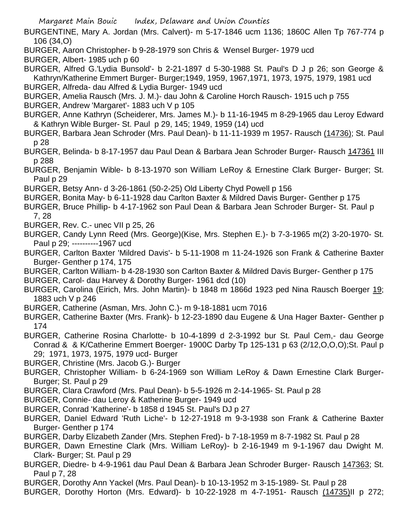- BURGENTINE, Mary A. Jordan (Mrs. Calvert)- m 5-17-1846 ucm 1136; 1860C Allen Tp 767-774 p 106 (34,O)
- BURGER, Aaron Christopher- b 9-28-1979 son Chris & Wensel Burger- 1979 ucd
- BURGER, Albert- 1985 uch p 60

BURGER, Alfred G.'Lydia Bunsold'- b 2-21-1897 d 5-30-1988 St. Paul's D J p 26; son George & Kathryn/Katherine Emmert Burger- Burger;1949, 1959, 1967,1971, 1973, 1975, 1979, 1981 ucd

- BURGER, Alfreda- dau Alfred & Lydia Burger- 1949 ucd
- BURGER, Amelia Rausch (Mrs. J. M.)- dau John & Caroline Horch Rausch- 1915 uch p 755
- BURGER, Andrew 'Margaret'- 1883 uch V p 105
- BURGER, Anne Kathryn (Scheiderer, Mrs. James M.)- b 11-16-1945 m 8-29-1965 dau Leroy Edward & Kathryn Wible Burger- St. Paul p 29, 145; 1949, 1959 (14) ucd
- BURGER, Barbara Jean Schroder (Mrs. Paul Dean)- b 11-11-1939 m 1957- Rausch (14736); St. Paul p 28
- BURGER, Belinda- b 8-17-1957 dau Paul Dean & Barbara Jean Schroder Burger- Rausch 147361 III p 288
- BURGER, Benjamin Wible- b 8-13-1970 son William LeRoy & Ernestine Clark Burger- Burger; St. Paul p 29
- BURGER, Betsy Ann- d 3-26-1861 (50-2-25) Old Liberty Chyd Powell p 156
- BURGER, Bonita May- b 6-11-1928 dau Carlton Baxter & Mildred Davis Burger- Genther p 175
- BURGER, Bruce Phillip- b 4-17-1962 son Paul Dean & Barbara Jean Schroder Burger- St. Paul p 7, 28
- BURGER, Rev. C.- unec VII p 25, 26
- BURGER, Candy Lynn Reed (Mrs. George)(Kise, Mrs. Stephen E.)- b 7-3-1965 m(2) 3-20-1970- St. Paul p 29; ----------1967 ucd
- BURGER, Carlton Baxter 'Mildred Davis'- b 5-11-1908 m 11-24-1926 son Frank & Catherine Baxter Burger- Genther p 174, 175
- BURGER, Carlton William- b 4-28-1930 son Carlton Baxter & Mildred Davis Burger- Genther p 175
- BURGER, Carol- dau Harvey & Dorothy Burger- 1961 dcd (10)
- BURGER, Carolina (Eirich, Mrs. John Martin)- b 1848 m 1866d 1923 ped Nina Rausch Boerger 19; 1883 uch V p 246
- BURGER, Catherine (Asman, Mrs. John C.)- m 9-18-1881 ucm 7016
- BURGER, Catherine Baxter (Mrs. Frank)- b 12-23-1890 dau Eugene & Una Hager Baxter- Genther p 174
- BURGER, Catherine Rosina Charlotte- b 10-4-1899 d 2-3-1992 bur St. Paul Cem,- dau George Conrad & & K/Catherine Emmert Boerger- 1900C Darby Tp 125-131 p 63 (2/12,O,O,O);St. Paul p 29; 1971, 1973, 1975, 1979 ucd- Burger
- BURGER, Christine (Mrs. Jacob G.)- Burger
- BURGER, Christopher William- b 6-24-1969 son William LeRoy & Dawn Ernestine Clark Burger-Burger; St. Paul p 29
- BURGER, Clara Crawford (Mrs. Paul Dean)- b 5-5-1926 m 2-14-1965- St. Paul p 28
- BURGER, Connie- dau Leroy & Katherine Burger- 1949 ucd
- BURGER, Conrad 'Katherine'- b 1858 d 1945 St. Paul's DJ p 27
- BURGER, Daniel Edward 'Ruth Liche'- b 12-27-1918 m 9-3-1938 son Frank & Catherine Baxter Burger- Genther p 174
- BURGER, Darby Elizabeth Zander (Mrs. Stephen Fred)- b 7-18-1959 m 8-7-1982 St. Paul p 28
- BURGER, Dawn Ernestine Clark (Mrs. William LeRoy)- b 2-16-1949 m 9-1-1967 dau Dwight M. Clark- Burger; St. Paul p 29
- BURGER, Diedre- b 4-9-1961 dau Paul Dean & Barbara Jean Schroder Burger- Rausch 147363; St. Paul p 7, 28
- BURGER, Dorothy Ann Yackel (Mrs. Paul Dean)- b 10-13-1952 m 3-15-1989- St. Paul p 28
- BURGER, Dorothy Horton (Mrs. Edward)- b 10-22-1928 m 4-7-1951- Rausch (14735)II p 272;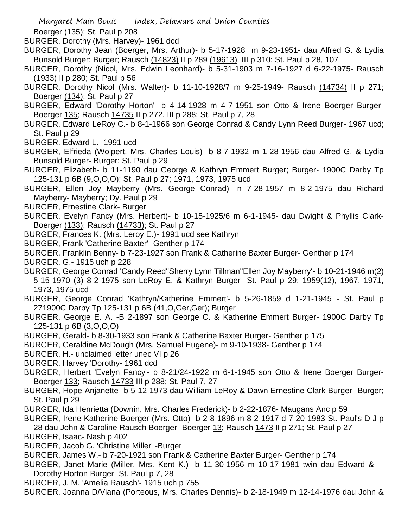Boerger (135); St. Paul p 208

BURGER, Dorothy (Mrs. Harvey)- 1961 dcd

- BURGER, Dorothy Jean (Boerger, Mrs. Arthur)- b 5-17-1928 m 9-23-1951- dau Alfred G. & Lydia Bunsold Burger; Burger; Rausch (14823) II p 289 (19613) III p 310; St. Paul p 28, 107
- BURGER, Dorothy (Nicol, Mrs. Edwin Leonhard)- b 5-31-1903 m 7-16-1927 d 6-22-1975- Rausch (1933) II p 280; St. Paul p 56
- BURGER, Dorothy Nicol (Mrs. Walter)- b 11-10-1928/7 m 9-25-1949- Rausch (14734) II p 271; Boerger (134); St. Paul p 27
- BURGER, Edward 'Dorothy Horton'- b 4-14-1928 m 4-7-1951 son Otto & Irene Boerger Burger-Boerger 135; Rausch 14735 II p 272, III p 288; St. Paul p 7, 28
- BURGER, Edward LeRoy C.- b 8-1-1966 son George Conrad & Candy Lynn Reed Burger- 1967 ucd; St. Paul p 29
- BURGER. Edward L.- 1991 ucd
- BURGER, Elfrieda (Wolpert, Mrs. Charles Louis)- b 8-7-1932 m 1-28-1956 dau Alfred G. & Lydia Bunsold Burger- Burger; St. Paul p 29
- BURGER, Elizabeth- b 11-1190 dau George & Kathryn Emmert Burger; Burger- 1900C Darby Tp 125-131 p 6B (9,O,O,O); St. Paul p 27; 1971, 1973, 1975 ucd
- BURGER, Ellen Joy Mayberry (Mrs. George Conrad)- n 7-28-1957 m 8-2-1975 dau Richard Mayberry- Mayberry; Dy. Paul p 29
- BURGER, Ernestine Clark- Burger
- BURGER, Evelyn Fancy (Mrs. Herbert)- b 10-15-1925/6 m 6-1-1945- dau Dwight & Phyllis Clark-Boerger (133); Rausch (14733); St. Paul p 27
- BURGER, Frances K. (Mrs. Leroy E.)- 1991 ucd see Kathryn
- BURGER, Frank 'Catherine Baxter'- Genther p 174
- BURGER, Franklin Benny- b 7-23-1927 son Frank & Catherine Baxter Burger- Genther p 174
- BURGER, G.- 1915 uch p 228
- BURGER, George Conrad 'Candy Reed''Sherry Lynn Tillman''Ellen Joy Mayberry'- b 10-21-1946 m(2) 5-15-1970 (3) 8-2-1975 son LeRoy E. & Kathryn Burger- St. Paul p 29; 1959(12), 1967, 1971, 1973, 1975 ucd
- BURGER, George Conrad 'Kathryn/Katherine Emmert'- b 5-26-1859 d 1-21-1945 St. Paul p 271900C Darby Tp 125-131 p 6B (41,O,Ger,Ger); Burger
- BURGER, George E. A. -B 2-1897 son George C. & Katherine Emmert Burger- 1900C Darby Tp 125-131 p 6B (3,O,O,O)
- BURGER, Gerald- b 8-30-1933 son Frank & Catherine Baxter Burger- Genther p 175
- BURGER, Geraldine McDough (Mrs. Samuel Eugene)- m 9-10-1938- Genther p 174
- BURGER, H.- unclaimed letter unec VI p 26
- BURGER, Harvey 'Dorothy- 1961 dcd
- BURGER, Herbert 'Evelyn Fancy'- b 8-21/24-1922 m 6-1-1945 son Otto & Irene Boerger Burger-Boerger 133; Rausch 14733 III p 288; St. Paul 7, 27
- BURGER, Hope Anjanette- b 5-12-1973 dau William LeRoy & Dawn Ernestine Clark Burger- Burger; St. Paul p 29
- BURGER, Ida Henrietta (Downin, Mrs. Charles Frederick)- b 2-22-1876- Maugans Anc p 59
- BURGER, Irene Katherine Boerger (Mrs. Otto)- b 2-8-1896 m 8-2-1917 d 7-20-1983 St. Paul's D J p 28 dau John & Caroline Rausch Boerger- Boerger 13; Rausch 1473 II p 271; St. Paul p 27
- BURGER, Isaac- Nash p 402
- BURGER, Jacob G. 'Christine Miller' -Burger
- BURGER, James W.- b 7-20-1921 son Frank & Catherine Baxter Burger- Genther p 174
- BURGER, Janet Marie (Miller, Mrs. Kent K.)- b 11-30-1956 m 10-17-1981 twin dau Edward & Dorothy Horton Burger- St. Paul p 7, 28
- BURGER, J. M. 'Amelia Rausch'- 1915 uch p 755
- BURGER, Joanna D/Viana (Porteous, Mrs. Charles Dennis)- b 2-18-1949 m 12-14-1976 dau John &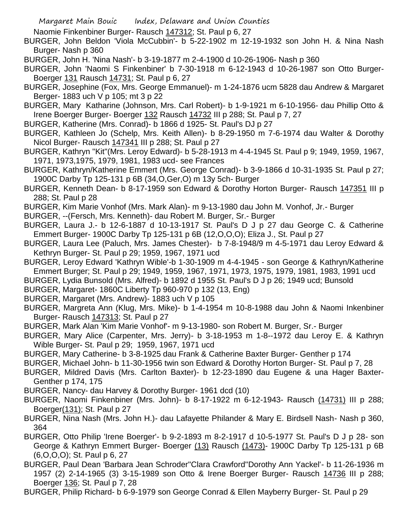Naomie Finkenbiner Burger- Rausch 147312; St. Paul p 6, 27

BURGER, John Beldon 'Viola McCubbin'- b 5-22-1902 m 12-19-1932 son John H. & Nina Nash Burger- Nash p 360

BURGER, John H. 'Nina Nash'- b 3-19-1877 m 2-4-1900 d 10-26-1906- Nash p 360

BURGER, John 'Naomi S Finkenbiner' b 7-30-1918 m 6-12-1943 d 10-26-1987 son Otto Burger-Boerger 131 Rausch 14731; St. Paul p 6, 27

- BURGER, Josephine (Fox, Mrs. George Emmanuel)- m 1-24-1876 ucm 5828 dau Andrew & Margaret Berger- 1883 uch V p 105; mt 3 p 22
- BURGER, Mary Katharine (Johnson, Mrs. Carl Robert)- b 1-9-1921 m 6-10-1956- dau Phillip Otto & Irene Boerger Burger- Boerger 132 Rausch 14732 III p 288; St. Paul p 7, 27
- BURGER, Katherine (Mrs. Conrad)- b 1866 d 1925- St. Paul's DJ p 27
- BURGER, Kathleen Jo (Schelp, Mrs. Keith Allen)- b 8-29-1950 m 7-6-1974 dau Walter & Dorothy Nicol Burger- Rausch 147341 III p 288; St. Paul p 27
- BURGER, Kathryn "Kit"(Mrs. Leroy Edward)- b 5-28-1913 m 4-4-1945 St. Paul p 9; 1949, 1959, 1967, 1971, 1973,1975, 1979, 1981, 1983 ucd- see Frances
- BURGER, Kathryn/Katherine Emmert (Mrs. George Conrad)- b 3-9-1866 d 10-31-1935 St. Paul p 27; 1900C Darby Tp 125-131 p 6B (34,O,Ger,O) m 13y 5ch- Burger
- BURGER, Kenneth Dean- b 8-17-1959 son Edward & Dorothy Horton Burger- Rausch 147351 III p 288; St. Paul p 28
- BURGER, Kim Marie Vonhof (Mrs. Mark Alan)- m 9-13-1980 dau John M. Vonhof, Jr.- Burger
- BURGER, --(Fersch, Mrs. Kenneth)- dau Robert M. Burger, Sr.- Burger
- BURGER, Laura J.- b 12-6-1887 d 10-13-1917 St. Paul's D J p 27 dau George C. & Catherine Emmert Burger- 1900C Darby Tp 125-131 p 6B (12,O,O,O); Eliza J., St. Paul p 27
- BURGER, Laura Lee (Paluch, Mrs. James Chester)- b 7-8-1948/9 m 4-5-1971 dau Leroy Edward & Kethryn Burger- St. Paul p 29; 1959, 1967, 1971 ucd
- BURGER, Leroy Edward 'Kathryn Wible'-b 1-30-1909 m 4-4-1945 son George & Kathryn/Katherine Emmert Burger; St. Paul p 29; 1949, 1959, 1967, 1971, 1973, 1975, 1979, 1981, 1983, 1991 ucd
- BURGER, Lydia Bunsold (Mrs. Alfred)- b 1892 d 1955 St. Paul's D J p 26; 1949 ucd; Bunsold
- BURGER, Margaret- 1860C Liberty Tp 960-970 p 132 (13, Eng)
- BURGER, Margaret (Mrs. Andrew)- 1883 uch V p 105
- BURGER, Margreta Ann (Klug, Mrs. Mike)- b 1-4-1954 m 10-8-1988 dau John & Naomi Inkenbiner Burger- Rausch 147313; St. Paul p 27
- BURGER, Mark Alan 'Kim Marie Vonhof'- m 9-13-1980- son Robert M. Burger, Sr.- Burger
- BURGER, Mary Alice (Carpenter, Mrs. Jerry)- b 3-18-1953 m 1-8--1972 dau Leroy E. & Kathryn Wible Burger- St. Paul p 29; 1959, 1967, 1971 ucd
- BURGER, Mary Catherine- b 3-8-1925 dau Frank & Catherine Baxter Burger- Genther p 174
- BURGER, Michael John- b 11-30-1956 twin son Edward & Dorothy Horton Burger- St. Paul p 7, 28
- BURGER, Mildred Davis (Mrs. Carlton Baxter)- b 12-23-1890 dau Eugene & una Hager Baxter-Genther p 174, 175
- BURGER, Nancy- dau Harvey & Dorothy Burger- 1961 dcd (10)
- BURGER, Naomi Finkenbiner (Mrs. John)- b 8-17-1922 m 6-12-1943- Rausch (14731) III p 288; Boerger(131); St. Paul p 27
- BURGER, Nina Nash (Mrs. John H.)- dau Lafayette Philander & Mary E. Birdsell Nash- Nash p 360, 364
- BURGER, Otto Philip 'Irene Boerger'- b 9-2-1893 m 8-2-1917 d 10-5-1977 St. Paul's D J p 28- son George & Kathryn Emmert Burger- Boerger (13) Rausch (1473)- 1900C Darby Tp 125-131 p 6B (6,O,O,O); St. Paul p 6, 27
- BURGER, Paul Dean 'Barbara Jean Schroder''Clara Crawford''Dorothy Ann Yackel'- b 11-26-1936 m 1957 (2) 2-14-1965 (3) 3-15-1989 son Otto & Irene Boerger Burger- Rausch 14736 III p 288; Boerger 136; St. Paul p 7, 28

BURGER, Philip Richard- b 6-9-1979 son George Conrad & Ellen Mayberry Burger- St. Paul p 29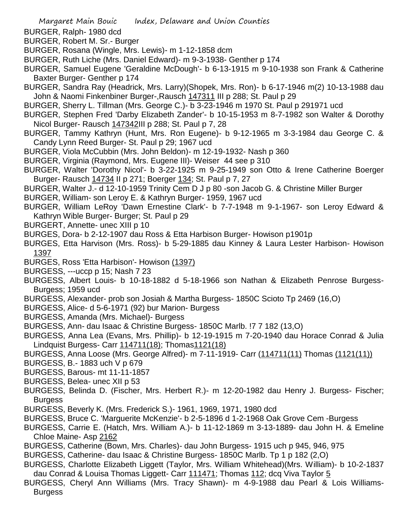- BURGER, Ralph- 1980 dcd
- BURGER, Robert M. Sr.- Burger
- BURGER, Rosana (Wingle, Mrs. Lewis)- m 1-12-1858 dcm
- BURGER, Ruth Liche (Mrs. Daniel Edward)- m 9-3-1938- Genther p 174
- BURGER, Samuel Eugene 'Geraldine McDough'- b 6-13-1915 m 9-10-1938 son Frank & Catherine Baxter Burger- Genther p 174
- BURGER, Sandra Ray (Headrick, Mrs. Larry)(Shopek, Mrs. Ron)- b 6-17-1946 m(2) 10-13-1988 dau John & Naomi Finkenbiner Burger-,Rausch 147311 III p 288; St. Paul p 29
- BURGER, Sherry L. Tillman (Mrs. George C.)- b 3-23-1946 m 1970 St. Paul p 291971 ucd
- BURGER, Stephen Fred 'Darby Elizabeth Zander'- b 10-15-1953 m 8-7-1982 son Walter & Dorothy Nicol Burger- Rausch 147342III p 288; St. Paul p 7, 28
- BURGER, Tammy Kathryn (Hunt, Mrs. Ron Eugene)- b 9-12-1965 m 3-3-1984 dau George C. & Candy Lynn Reed Burger- St. Paul p 29; 1967 ucd
- BURGER, Viola McCubbin (Mrs. John Beldon)- m 12-19-1932- Nash p 360
- BURGER, Virginia (Raymond, Mrs. Eugene III)- Weiser 44 see p 310
- BURGER, Walter 'Dorothy Nicol'- b 3-22-1925 m 9-25-1949 son Otto & Irene Catherine Boerger Burger- Rausch 14734 II p 271; Boerger 134; St. Paul p 7, 27
- BURGER, Walter J.- d 12-10-1959 Trinity Cem D J p 80 -son Jacob G. & Christine Miller Burger
- BURGER, William- son Leroy E. & Kathryn Burger- 1959, 1967 ucd
- BURGER, William LeRoy 'Dawn Ernestine Clark'- b 7-7-1948 m 9-1-1967- son Leroy Edward & Kathryn Wible Burger- Burger; St. Paul p 29
- BURGERT, Annette- unec XIII p 10
- BURGES, Dora- b 2-12-1907 dau Ross & Etta Harbison Burger- Howison p1901p
- BURGES, Etta Harvison (Mrs. Ross)- b 5-29-1885 dau Kinney & Laura Lester Harbison- Howison 1397
- BURGES, Ross 'Etta Harbison'- Howison (1397)
- BURGESS, ---uccp p 15; Nash 7 23
- BURGESS, Albert Louis- b 10-18-1882 d 5-18-1966 son Nathan & Elizabeth Penrose Burgess-Burgess; 1959 ucd
- BURGESS, Alexander- prob son Josiah & Martha Burgess- 1850C Scioto Tp 2469 (16,O)
- BURGESS, Alice- d 5-6-1971 (92) bur Marion- Burgess
- BURGESS, Amanda (Mrs. Michael)- Burgess
- BURGESS, Ann- dau Isaac & Christine Burgess- 1850C Marlb. !7 7 182 (13,O)
- BURGESS, Anna Lea (Evans, Mrs. Phillip)- b 12-19-1915 m 7-20-1940 dau Horace Conrad & Julia Lindquist Burgess- Carr 114711(18); Thomas1121(18)
- BURGESS, Anna Loose (Mrs. George Alfred)- m 7-11-1919- Carr (114711(11) Thomas (1121(11))
- BURGESS, B.- 1883 uch V p 679
- BURGESS, Barous- mt 11-11-1857
- BURGESS, Belea- unec XII p 53
- BURGESS, Belinda D. (Fischer, Mrs. Herbert R.)- m 12-20-1982 dau Henry J. Burgess- Fischer; **Burgess**
- BURGESS, Beverly K. (Mrs. Frederick S.)- 1961, 1969, 1971, 1980 dcd
- BURGESS, Bruce C. 'Marguerite McKenzie'- b 2-5-1896 d 1-2-1968 Oak Grove Cem -Burgess
- BURGESS, Carrie E. (Hatch, Mrs. William A.)- b 11-12-1869 m 3-13-1889- dau John H. & Emeline Chloe Maine- Asp 2162
- BURGESS, Catherine (Bown, Mrs. Charles)- dau John Burgess- 1915 uch p 945, 946, 975
- BURGESS, Catherine- dau Isaac & Christine Burgess- 1850C Marlb. Tp 1 p 182 (2,O)
- BURGESS, Charlotte Elizabeth Liggett (Taylor, Mrs. William Whitehead)(Mrs. William)- b 10-2-1837 dau Conrad & Louisa Thomas Liggett- Carr 111471; Thomas 112; dcq Viva Taylor 5
- BURGESS, Cheryl Ann Williams (Mrs. Tracy Shawn)- m 4-9-1988 dau Pearl & Lois Williams-**Burgess**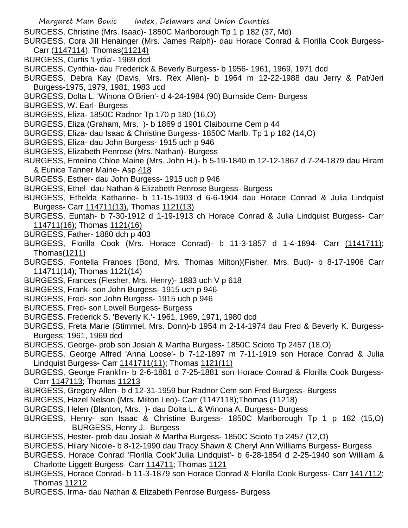- BURGESS, Christine (Mrs. Isaac)- 1850C Marlborough Tp 1 p 182 (37, Md)
- BURGESS, Cora Jill Henainger (Mrs. James Ralph)- dau Horace Conrad & Florilla Cook Burgess-Carr (1147114); Thomas(11214)
- BURGESS, Curtis 'Lydia'- 1969 dcd
- BURGESS, Cynthia- dau Frederick & Beverly Burgess- b 1956- 1961, 1969, 1971 dcd
- BURGESS, Debra Kay (Davis, Mrs. Rex Allen)- b 1964 m 12-22-1988 dau Jerry & Pat/Jeri Burgess-1975, 1979, 1981, 1983 ucd
- BURGESS, Dolta L. 'Winona O'Brien'- d 4-24-1984 (90) Burnside Cem- Burgess
- BURGESS, W. Earl- Burgess
- BURGESS, Eliza- 1850C Radnor Tp 170 p 180 (16,O)
- BURGESS, Eliza (Graham, Mrs. )- b 1869 d 1901 Claibourne Cem p 44
- BURGESS, Eliza- dau Isaac & Christine Burgess- 1850C Marlb. Tp 1 p 182 (14,O)
- BURGESS, Eliza- dau John Burgess- 1915 uch p 946
- BURGESS, Elizabeth Penrose (Mrs. Nathan)- Burgess
- BURGESS, Emeline Chloe Maine (Mrs. John H.)- b 5-19-1840 m 12-12-1867 d 7-24-1879 dau Hiram & Eunice Tanner Maine- Asp 418
- BURGESS, Esther- dau John Burgess- 1915 uch p 946
- BURGESS, Ethel- dau Nathan & Elizabeth Penrose Burgess- Burgess
- BURGESS, Ethelda Katharine- b 11-15-1903 d 6-6-1904 dau Horace Conrad & Julia Lindquist Burgess- Carr 114711(13), Thomas 1121(13)
- BURGESS, Euntah- b 7-30-1912 d 1-19-1913 ch Horace Conrad & Julia Lindquist Burgess- Carr 114711(16); Thomas 1121(16)
- BURGESS, Father- 1880 dch p 403
- BURGESS, Florilla Cook (Mrs. Horace Conrad)- b 11-3-1857 d 1-4-1894- Carr (1141711); Thomas(1211)
- BURGESS, Fontella Frances (Bond, Mrs. Thomas Milton)(Fisher, Mrs. Bud)- b 8-17-1906 Carr 114711(14); Thomas 1121(14)
- BURGESS, Frances (Flesher, Mrs. Henry)- 1883 uch V p 618
- BURGESS, Frank- son John Burgess- 1915 uch p 946
- BURGESS, Fred- son John Burgess- 1915 uch p 946
- BURGESS, Fred- son Lowell Burgess- Burgess
- BURGESS, Frederick S. 'Beverly K.'- 1961, 1969, 1971, 1980 dcd
- BURGESS, Freta Marie (Stimmel, Mrs. Donn)-b 1954 m 2-14-1974 dau Fred & Beverly K. Burgess-Burgess; 1961, 1969 dcd
- BURGESS, George- prob son Josiah & Martha Burgess- 1850C Scioto Tp 2457 (18,O)
- BURGESS, George Alfred 'Anna Loose'- b 7-12-1897 m 7-11-1919 son Horace Conrad & Julia Lindquist Burgess- Carr 1141711(11); Thomas 1121(11)
- BURGESS, George Franklin- b 2-6-1881 d 7-25-1881 son Horace Conrad & Florilla Cook Burgess-Carr 1147113; Thomas 11213
- BURGESS, Gregory Allen- b d 12-31-1959 bur Radnor Cem son Fred Burgess- Burgess
- BURGESS, Hazel Nelson (Mrs. Milton Leo)- Carr (1147118);Thomas (11218)
- BURGESS, Helen (Blanton, Mrs. )- dau Dolta L. & Winona A. Burgess- Burgess
- BURGESS, Henry- son Isaac & Christine Burgess- 1850C Marlborough Tp 1 p 182 (15,O) BURGESS, Henry J.- Burgess
- BURGESS, Hester- prob dau Josiah & Martha Burgess- 1850C Scioto Tp 2457 (12,O)
- BURGESS, Hilary Nicole- b 8-12-1990 dau Tracy Shawn & Cheryl Ann Williams Burgess- Burgess
- BURGESS, Horace Conrad 'Florilla Cook''Julia Lindquist'- b 6-28-1854 d 2-25-1940 son William & Charlotte Liggett Burgess- Carr 114711; Thomas 1121
- BURGESS, Horace Conrad- b 11-3-1879 son Horace Conrad & Florilla Cook Burgess- Carr 1417112; Thomas 11212
- BURGESS, Irma- dau Nathan & Elizabeth Penrose Burgess- Burgess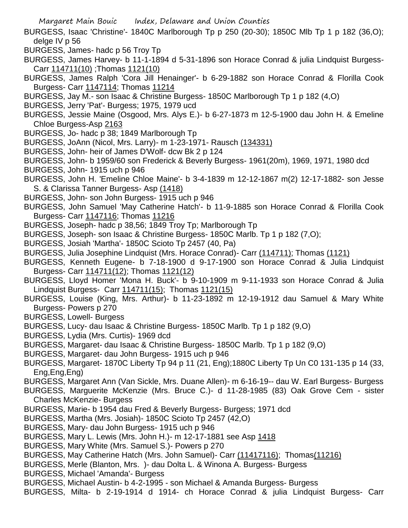- BURGESS, Isaac 'Christine'- 1840C Marlborough Tp p 250 (20-30); 1850C Mlb Tp 1 p 182 (36,O); delge IV p 56
- BURGESS, James- hadc p 56 Troy Tp
- BURGESS, James Harvey- b 11-1-1894 d 5-31-1896 son Horace Conrad & julia Lindquist Burgess-Carr 114711(10) ;Thomas 1121(10)
- BURGESS, James Ralph 'Cora Jill Henainger'- b 6-29-1882 son Horace Conrad & Florilla Cook Burgess- Carr 1147114; Thomas 11214
- BURGESS, Jay M.- son Isaac & Christine Burgess- 1850C Marlborough Tp 1 p 182 (4,O)
- BURGESS, Jerry 'Pat'- Burgess; 1975, 1979 ucd
- BURGESS, Jessie Maine (Osgood, Mrs. Alys E.)- b 6-27-1873 m 12-5-1900 dau John H. & Emeline Chloe Burgess-Asp 2163
- BURGESS, Jo- hadc p 38; 1849 Marlborough Tp
- BURGESS, JoAnn (Nicol, Mrs. Larry)- m 1-23-1971- Rausch (134331)
- BURGESS, John- heir of James D'Wolf- dcw Bk 2 p 124
- BURGESS, John- b 1959/60 son Frederick & Beverly Burgess- 1961(20m), 1969, 1971, 1980 dcd
- BURGESS, John- 1915 uch p 946
- BURGESS, John H. 'Emeline Chloe Maine'- b 3-4-1839 m 12-12-1867 m(2) 12-17-1882- son Jesse S. & Clarissa Tanner Burgess- Asp (1418)
- BURGESS, John- son John Burgess- 1915 uch p 946
- BURGESS, John Samuel 'May Catherine Hatch'- b 11-9-1885 son Horace Conrad & Florilla Cook Burgess- Carr 1147116; Thomas 11216
- BURGESS, Joseph- hadc p 38,56; 1849 Troy Tp; Marlborough Tp
- BURGESS, Joseph- son Isaac & Christine Burgess- 1850C Marlb. Tp 1 p 182 (7,O);
- BURGESS, Josiah 'Martha'- 1850C Scioto Tp 2457 (40, Pa)
- BURGESS, Julia Josephine Lindquist (Mrs. Horace Conrad)- Carr (114711); Thomas (1121)
- BURGESS, Kenneth Eugene- b 7-18-1900 d 9-17-1900 son Horace Conrad & Julia Lindquist Burgess- Carr 114711(12); Thomas 1121(12)
- BURGESS, Lloyd Homer 'Mona H. Buck'- b 9-10-1909 m 9-11-1933 son Horace Conrad & Julia Lindquist Burgess- Carr 114711(15); Thomas 1121(15)
- BURGESS, Louise (King, Mrs. Arthur)- b 11-23-1892 m 12-19-1912 dau Samuel & Mary White Burgess- Powers p 270
- BURGESS, Lowell- Burgess
- BURGESS, Lucy- dau Isaac & Christine Burgess- 1850C Marlb. Tp 1 p 182 (9,O)
- BURGESS, Lydia (Mrs. Curtis)- 1969 dcd
- BURGESS, Margaret- dau Isaac & Christine Burgess- 1850C Marlb. Tp 1 p 182 (9,O)
- BURGESS, Margaret- dau John Burgess- 1915 uch p 946
- BURGESS, Margaret- 1870C Liberty Tp 94 p 11 (21, Eng);1880C Liberty Tp Un C0 131-135 p 14 (33, Eng,Eng,Eng)
- BURGESS, Margaret Ann (Van Sickle, Mrs. Duane Allen)- m 6-16-19-- dau W. Earl Burgess- Burgess
- BURGESS, Marguerite McKenzie (Mrs. Bruce C.)- d 11-28-1985 (83) Oak Grove Cem sister Charles McKenzie- Burgess
- BURGESS, Marie- b 1954 dau Fred & Beverly Burgess- Burgess; 1971 dcd
- BURGESS, Martha (Mrs. Josiah)- 1850C Scioto Tp 2457 (42,O)
- BURGESS, Mary- dau John Burgess- 1915 uch p 946
- BURGESS, Mary L. Lewis (Mrs. John H.)- m 12-17-1881 see Asp 1418
- BURGESS, Mary White (Mrs. Samuel S.)- Powers p 270
- BURGESS, May Catherine Hatch (Mrs. John Samuel)- Carr (11417116); Thomas(11216)
- BURGESS, Merle (Blanton, Mrs. )- dau Dolta L. & Winona A. Burgess- Burgess
- BURGESS, Michael 'Amanda'- Burgess
- BURGESS, Michael Austin- b 4-2-1995 son Michael & Amanda Burgess- Burgess
- BURGESS, Milta- b 2-19-1914 d 1914- ch Horace Conrad & julia Lindquist Burgess- Carr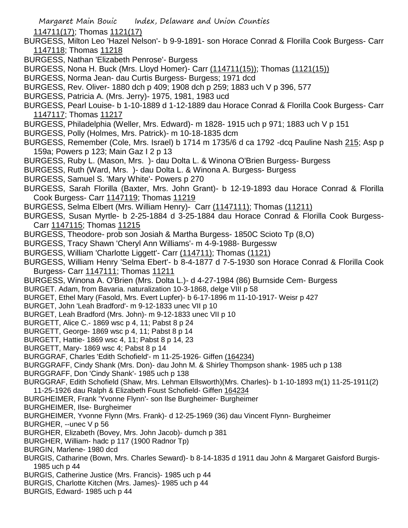- 114711(17); Thomas 1121(17)
- BURGESS, Milton Leo 'Hazel Nelson'- b 9-9-1891- son Horace Conrad & Florilla Cook Burgess- Carr 1147118; Thomas 11218
- BURGESS, Nathan 'Elizabeth Penrose'- Burgess
- BURGESS, Nona H. Buck (Mrs. Lloyd Homer)- Carr (114711(15)); Thomas (1121(15))
- BURGESS, Norma Jean- dau Curtis Burgess- Burgess; 1971 dcd
- BURGESS, Rev. Oliver- 1880 dch p 409; 1908 dch p 259; 1883 uch V p 396, 577
- BURGESS, Patricia A. (Mrs. Jerry)- 1975, 1981, 1983 ucd

BURGESS, Pearl Louise- b 1-10-1889 d 1-12-1889 dau Horace Conrad & Florilla Cook Burgess- Carr 1147117; Thomas 11217

- BURGESS, Philadelphia (Weller, Mrs. Edward)- m 1828- 1915 uch p 971; 1883 uch V p 151
- BURGESS, Polly (Holmes, Mrs. Patrick)- m 10-18-1835 dcm
- BURGESS, Remember (Cole, Mrs. Israel) b 1714 m 1735/6 d ca 1792 -dcq Pauline Nash 215; Asp p 159a; Powers p 123; Main Gaz I 2 p 13
- BURGESS, Ruby L. (Mason, Mrs. )- dau Dolta L. & Winona O'Brien Burgess- Burgess
- BURGESS, Ruth (Ward, Mrs. )- dau Dolta L. & Winona A. Burgess- Burgess
- BURGESS, Samuel S. 'Mary White'- Powers p 270
- BURGESS, Sarah Florilla (Baxter, Mrs. John Grant)- b 12-19-1893 dau Horace Conrad & Florilla Cook Burgess- Carr 1147119; Thomas 11219
- BURGESS, Selma Elbert (Mrs. William Henry)- Carr (1147111); Thomas (11211)
- BURGESS, Susan Myrtle- b 2-25-1884 d 3-25-1884 dau Horace Conrad & Florilla Cook Burgess-Carr 1147115; Thomas 11215
- BURGESS, Theodore- prob son Josiah & Martha Burgess- 1850C Scioto Tp (8,O)
- BURGESS, Tracy Shawn 'Cheryl Ann Williams'- m 4-9-1988- Burgessw
- BURGESS, William 'Charlotte Liggett'- Carr (114711); Thomas (1121)
- BURGESS, William Henry 'Selma Ebert'- b 8-4-1877 d 7-5-1930 son Horace Conrad & Florilla Cook Burgess- Carr 1147111; Thomas 11211
- BURGESS, Winona A. O'Brien (Mrs. Dolta L.)- d 4-27-1984 (86) Burnside Cem- Burgess
- BURGET. Adam, from Bavaria. naturalization 10-3-1868, delge VIII p 58
- BURGET, Ethel Mary (Fasold, Mrs. Evert Lupfer)- b 6-17-1896 m 11-10-1917- Weisr p 427
- BURGET, John 'Leah Bradford'- m 9-12-1833 unec VII p 10
- BURGET, Leah Bradford (Mrs. John)- m 9-12-1833 unec VII p 10
- BURGETT, Alice C.- 1869 wsc p 4, 11; Pabst 8 p 24
- BURGETT, George- 1869 wsc p 4, 11; Pabst 8 p 14
- BURGETT, Hattie- 1869 wsc 4, 11; Pabst 8 p 14, 23
- BURGETT, Mary- 1869 wsc 4; Pabst 8 p 14
- BURGGRAF, Charles 'Edith Schofield'- m 11-25-1926- Giffen (164234)
- BURGGRAFF, Cindy Shank (Mrs. Don)- dau John M. & Shirley Thompson shank- 1985 uch p 138
- BURGGRAFF, Don 'Cindy Shank'- 1985 uch p 138
- BURGGRAF, Edith Schofield (Shaw, Mrs. Lehman Ellsworth)(Mrs. Charles)- b 1-10-1893 m(1) 11-25-1911(2) 11-25-1926 dau Ralph & Elizabeth Foust Schofield- Giffen 164234
- BURGHEIMER, Frank 'Yvonne Flynn'- son Ilse Burgheimer- Burgheimer
- BURGHEIMER, Ilse- Burgheimer
- BURGHEIMER, Yvonne Flynn (Mrs. Frank)- d 12-25-1969 (36) dau Vincent Flynn- Burgheimer
- BURGHER, --unec V p 56
- BURGHER, Elizabeth (Bovey, Mrs. John Jacob)- dumch p 381
- BURGHER, William- hadc p 117 (1900 Radnor Tp)
- BURGIN, Marlene- 1980 dcd
- BURGIS, Catharine (Bown, Mrs. Charles Seward)- b 8-14-1835 d 1911 dau John & Margaret Gaisford Burgis-1985 uch p 44
- BURGIS, Catherine Justice (Mrs. Francis)- 1985 uch p 44
- BURGIS, Charlotte Kitchen (Mrs. James)- 1985 uch p 44
- BURGIS, Edward- 1985 uch p 44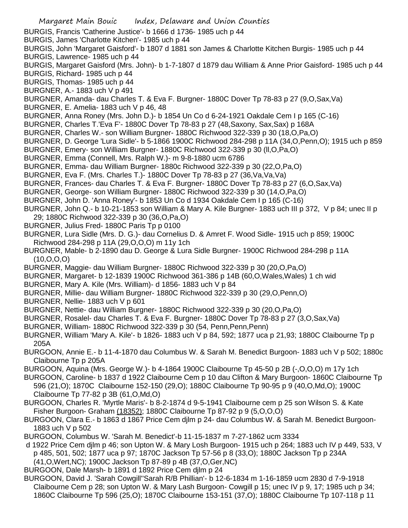- Margaret Main Bouic Index, Delaware and Union Counties BURGIS, Francis 'Catherine Justice'- b 1666 d 1736- 1985 uch p 44 BURGIS, James 'Charlotte Kitchen'- 1985 uch p 44 BURGIS, John 'Margaret Gaisford'- b 1807 d 1881 son James & Charlotte Kitchen Burgis- 1985 uch p 44 BURGIS, Lawrence- 1985 uch p 44 BURGIS, Margaret Gaisford (Mrs. John)- b 1-7-1807 d 1879 dau William & Anne Prior Gaisford- 1985 uch p 44 BURGIS, Richard- 1985 uch p 44 BURGIS, Thomas- 1985 uch p 44 BURGNER, A.- 1883 uch V p 491 BURGNER, Amanda- dau Charles T. & Eva F. Burgner- 1880C Dover Tp 78-83 p 27 (9,O,Sax,Va) BURGNER, E. Amelia- 1883 uch V p 46, 48 BURGNER, Anna Roney (Mrs. John D.)- b 1854 Un Co d 6-24-1921 Oakdale Cem I p 165 (C-16) BURGNER, Charles T.'Eva F'- 1880C Dover Tp 78-83 p 27 (48,Saxony, Sax,Sax) p 168A BURGNER, Charles W.- son William Burgner- 1880C Richwood 322-339 p 30 (18,O,Pa,O) BURGNER, D. George 'Lura Sidle'- b 5-1866 1900C Richwood 284-298 p 11A (34,O,Penn,O); 1915 uch p 859 BURGNER, Emery- son William Burgner- 1880C Richwood 322-339 p 30 (ll,O,Pa,O) BURGNER, Emma (Connell, Mrs. Ralph W.)- m 9-8-1880 ucm 6786 BURGNER, Emma- dau William Burgner- 1880c Richwood 322-339 p 30 (22,O,Pa,O) BURGNER, Eva F. (Mrs. Charles T.)- 1880C Dover Tp 78-83 p 27 (36,Va,Va,Va) BURGNER, Frances- dau Charles T. & Eva F. Burgner- 1880C Dover Tp 78-83 p 27 (6,O,Sax,Va) BURGNER, George- son William Burgner- 1880C Richwood 322-339 p 30 (14,O,Pa,O) BURGNER, John D. 'Anna Roney'- b 1853 Un Co d 1934 Oakdale Cem I p 165 (C-16) BURGNER, John Q.- b 10-21-1853 son William & Mary A. Kile Burgner- 1883 uch III p 372, V p 84; unec II p 29; 1880C Richwood 322-339 p 30 (36,O,Pa,O) BURGNER, Julius Fred- 1880C Paris Tp p 0100 BURGNER, Lura Sidle (Mrs. D. G.)- dau Cornelius D. & Amret F. Wood Sidle- 1915 uch p 859; 1900C Richwood 284-298 p 11A (29,O,O,O) m 11y 1ch BURGNER, Mable- b 2-1890 dau D. George & Lura Sidle Burgner- 1900C Richwood 284-298 p 11A (10,O,O,O) BURGNER, Maggie- dau William Burgner- 1880C Richwood 322-339 p 30 (20,O,Pa,O) BURGNER, Margaret- b 12-1839 1900C Richwood 361-386 p 14B (60,O,Wales,Wales) 1 ch wid BURGNER, Mary A. Kile (Mrs. William)- d 1856- 1883 uch V p 84 BURGNER, Millie- dau William Burgner- 1880C Richwood 322-339 p 30 (29,O,Penn,O) BURGNER, Nellie- 1883 uch V p 601 BURGNER, Nettie- dau William Burgner- 1880C Richwood 322-339 p 30 (20,O,Pa,O) BURGNER, Rosalel- dau Charles T. & Eva F. Burgner- 1880C Dover Tp 78-83 p 27 (3,O,Sax,Va) BURGNER, William- 1880C Richwood 322-339 p 30 (54, Penn,Penn,Penn) BURGNER, William 'Mary A. Kile'- b 1826- 1883 uch V p 84, 592; 1877 uca p 21,93; 1880C Claibourne Tp p 205A BURGOON, Annie E.- b 11-4-1870 dau Columbus W. & Sarah M. Benedict Burgoon- 1883 uch V p 502; 1880c Claibourne Tp p 205A BURGOON, Aquina (Mrs. George W.)- b 4-1864 1900C Claibourne Tp 45-50 p 2B (-,O,O,O) m 17y 1ch BURGOON, Caroline- b 1837 d 1922 Claibourne Cem p 10 dau Clifton & Mary Burgoon- 1860C Claibourne Tp 596 (21,O); 1870C Claibourne 152-150 (29,O); 1880C Claibourne Tp 90-95 p 9 (40,O,Md,O); 1900C Claibourne Tp 77-82 p 3B (61,O,Md,O) BURGOON, Charles R. 'Myrtle Maris'- b 8-2-1874 d 9-5-1941 Claibourne cem p 25 son Wilson S. & Kate Fisher Burgoon- Graham (18352); 1880C Claibourne Tp 87-92 p 9 (5,O,O,O) BURGOON, Clara E.- b 1863 d 1867 Price Cem djlm p 24- dau Columbus W. & Sarah M. Benedict Burgoon-1883 uch V p 502 BURGOON, Columbus W. 'Sarah M. Benedict'-b 11-15-1837 m 7-27-1862 ucm 3334 d 1922 Price Cem djlm p 46; son Upton W. & Mary Losh Burgoon- 1915 uch p 264; 1883 uch IV p 449, 533, V p 485, 501, 502; 1877 uca p 97; 1870C Jackson Tp 57-56 p 8 (33,O); 1880C Jackson Tp p 234A (41,O,Wert,NC); 1900C Jackson Tp 87-89 p 4B (37,O,Ger,NC) BURGOON, Dale Marsh- b 1891 d 1892 Price Cem djlm p 24
- BURGOON, David J. 'Sarah Cowgill''Sarah R/B Phillian'- b 12-6-1834 m 1-16-1859 ucm 2830 d 7-9-1918 Claibourne Cem p 28; son Upton W. & Mary Lash Burgoon- Cowgill p 15; unec IV p 9, 17; 1985 uch p 34; 1860C Claibourne Tp 596 (25,O); 1870C Claibourne 153-151 (37,O); 1880C Claibourne Tp 107-118 p 11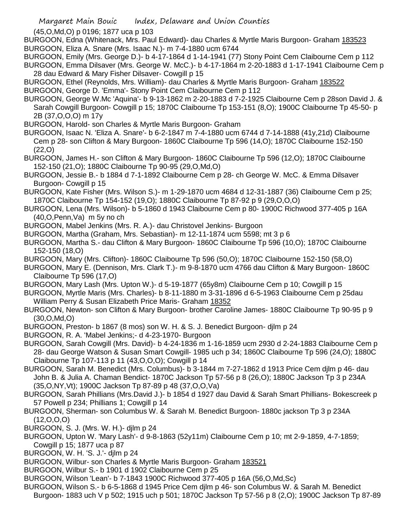(45,O,Md,O) p 0196; 1877 uca p 103

BURGOON, Edna (Whitenack, Mrs. Paul Edward)- dau Charles & Myrtle Maris Burgoon- Graham 183523 BURGOON, Eliza A. Snare (Mrs. Isaac N.)- m 7-4-1880 ucm 6744

BURGOON, Emily (Mrs. George D.)- b 4-17-1864 d 1-14-1941 (77) Stony Point Cem Claibourne Cem p 112 BURGOON, Emma Dilsaver (Mrs. George W. McC.)- b 4-17-1864 m 2-20-1883 d 1-17-1941 Claibourne Cem p 28 dau Edward & Mary Fisher Dilsaver- Cowgill p 15

BURGOON, Ethel (Reynolds, Mrs. William)- dau Charles & Myrtle Maris Burgoon- Graham 183522

BURGOON, George D. 'Emma'- Stony Point Cem Claibourne Cem p 112

- BURGOON, George W.Mc 'Aquina'- b 9-13-1862 m 2-20-1883 d 7-2-1925 Claibourne Cem p 28son David J. & Sarah Cowgill Burgoon- Cowgill p 15; 1870C Claibourne Tp 153-151 (8,O); 1900C Claibourne Tp 45-50- p 2B (37,O,O,O) m 17y
- BURGOON, Harold- son Charles & Myrtle Maris Burgoon- Graham
- BURGOON, Isaac N. 'Eliza A. Snare'- b 6-2-1847 m 7-4-1880 ucm 6744 d 7-14-1888 (41y,21d) Claibourne Cem p 28- son Clifton & Mary Burgoon- 1860C Claibourne Tp 596 (14,O); 1870C Claibourne 152-150 (22,O)
- BURGOON, James H.- son Clifton & Mary Burgoon- 1860C Claibourne Tp 596 (12,O); 1870C Claibourne 152-150 (21,O); 1880C Claibourne Tp 90-95 (29,O,Md,O)
- BURGOON, Jessie B.- b 1884 d 7-1-1892 Claibourne Cem p 28- ch George W. McC. & Emma Dilsaver Burgoon- Cowgill p 15
- BURGOON, Kate Fisher (Mrs. Wilson S.)- m 1-29-1870 ucm 4684 d 12-31-1887 (36) Claibourne Cem p 25; 1870C Claibourne Tp 154-152 (19,O); 1880C Claibourne Tp 87-92 p 9 (29,O,O,O)
- BURGOON, Lena (Mrs. Wilson)- b 5-1860 d 1943 Claibourne Cem p 80- 1900C Richwood 377-405 p 16A (40,O,Penn,Va) m 5y no ch
- BURGOON, Mabel Jenkins (Mrs. R. A.)- dau Christovel Jenkins- Burgoon
- BURGOON, Martha (Graham, Mrs. Sebastian)- m 12-11-1874 ucm 5598; mt 3 p 6
- BURGOON, Martha S.- dau Clifton & Mary Burgoon- 1860C Claibourne Tp 596 (10,O); 1870C Claibourne 152-150 (18,O)
- BURGOON, Mary (Mrs. Clifton)- 1860C Claibourne Tp 596 (50,O); 1870C Claibourne 152-150 (58,O)
- BURGOON, Mary E. (Dennison, Mrs. Clark T.)- m 9-8-1870 ucm 4766 dau Clifton & Mary Burgoon- 1860C Claibourne Tp 596 (17,O)
- BURGOON, Mary Lash (Mrs. Upton W.)- d 5-19-1877 (65y8m) Claibourne Cem p 10; Cowgill p 15
- BURGOON, Myrtle Maris (Mrs. Charles)- b 8-11-1880 m 3-31-1896 d 6-5-1963 Claibourne Cem p 25dau William Perry & Susan Elizabeth Price Maris- Graham 18352
- BURGOON, Newton- son Clifton & Mary Burgoon- brother Caroline James- 1880C Claibourne Tp 90-95 p 9 (30,O,Md,O)
- BURGOON, Preston- b 1867 (8 mos) son W. H. & S. J. Benedict Burgoon- djlm p 24
- BURGOON, R. A. 'Mabel Jenkins;- d 4-23-1970- Burgoon
- BURGOON, Sarah Cowgill (Mrs. David)- b 4-24-1836 m 1-16-1859 ucm 2930 d 2-24-1883 Claibourne Cem p 28- dau George Watson & Susan Smart Cowgill- 1985 uch p 34; 1860C Claibourne Tp 596 (24,O); 1880C Claibourne Tp 107-113 p 11 (43,O,O,O); Cowgill p 14
- BURGOON, Sarah M. Benedict (Mrs. Columbus)- b 3-1844 m 7-27-1862 d 1913 Price Cem djlm p 46- dau John B. & Julia A. Chaman Bendict- 1870C Jackson Tp 57-56 p 8 (26,O); 1880C Jackson Tp 3 p 234A (35,O,NY,Vt); 1900C Jackson Tp 87-89 p 48 (37,O,O,Va)
- BURGOON, Sarah Phillians (Mrs.David J.)- b 1854 d 1927 dau David & Sarah Smart Phillians- Bokescreek p 57 Powell p 234; Phillians 1; Cowgill p 14
- BURGOON, Sherman- son Columbus W. & Sarah M. Benedict Burgoon- 1880c jackson Tp 3 p 234A (12,O,O,O)
- BURGOON, S. J. (Mrs. W. H.)- djlm p 24
- BURGOON, Upton W. 'Mary Lash'- d 9-8-1863 (52y11m) Claibourne Cem p 10; mt 2-9-1859, 4-7-1859; Cowgill p 15; 1877 uca p 87
- BURGOON, W. H. 'S. J.'- djlm p 24
- BURGOON, Wilbur- son Charles & Myrtle Maris Burgoon- Graham 183521
- BURGOON, Wilbur S.- b 1901 d 1902 Claibourne Cem p 25
- BURGOON, Wilson 'Lean'- b 7-1843 1900C Richwood 377-405 p 16A (56,O,Md,Sc)
- BURGOON, Wilson S.- b 6-5-1868 d 1945 Price Cem djlm p 46- son Columbus W. & Sarah M. Benedict Burgoon- 1883 uch V p 502; 1915 uch p 501; 1870C Jackson Tp 57-56 p 8 (2,O); 1900C Jackson Tp 87-89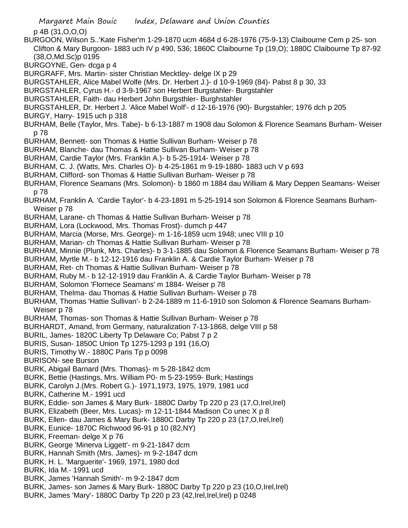p 4B (31,O,O,O)

BURGOON, Wilson S..'Kate Fisher'm 1-29-1870 ucm 4684 d 6-28-1976 (75-9-13) Claibourne Cem p 25- son Clifton & Mary Burgoon- 1883 uch IV p 490, 536; 1860C Claibourne Tp (19,O); 1880C Claibourne Tp 87-92 (38,O,Md.Sc)p 0195

BURGOYNE, Gen- dcga p 4

- BURGRAFF, Mrs. Martin- sister Christian Mecktley- delge IX p 29
- BURGSTAHLER, Alice Mabel Wolfe (Mrs. Dr. Herbert J.)- d 10-9-1969 (84)- Pabst 8 p 30, 33

BURGSTAHLER, Cyrus H.- d 3-9-1967 son Herbert Burgstahler- Burgstahler

BURGSTAHLER, Faith- dau Herbert John Burgsthler- Burghstahler

BURGSTAHLER, Dr. Herbert J. 'Alice Mabel Wolf'- d 12-16-1976 (90)- Burgstahler; 1976 dch p 205

- BURGY, Harry- 1915 uch p 318
- BURHAM, Belle (Taylor, Mrs. Tabe)- b 6-13-1887 m 1908 dau Solomon & Florence Seamans Burham- Weiser p 78
- BURHAM, Bennett- son Thomas & Hattie Sullivan Burham- Weiser p 78
- BURHAM, Blanche- dau Thomas & Hattie Sullivan Burham- Weiser p 78
- BURHAM, Cardie Taylor (Mrs. Franklin A.)- b 5-25-1914- Weiser p 78
- BURHAM, C. J. (Watts, Mrs. Charles O)- b 4-25-1861 m 9-19-1880- 1883 uch V p 693
- BURHAM, Clifford- son Thomas & Hattie Sullivan Burham- Weiser p 78
- BURHAM, Florence Seamans (Mrs. Solomon)- b 1860 m 1884 dau William & Mary Deppen Seamans- Weiser p 78
- BURHAM, Franklin A. 'Cardie Taylor'- b 4-23-1891 m 5-25-1914 son Solomon & Florence Seamans Burham-Weiser p 78
- BURHAM, Larane- ch Thomas & Hattie Sullivan Burham- Weiser p 78
- BURHAM, Lora (Lockwood, Mrs. Thomas Frost)- dumch p 447
- BURHAM, Marcia (Morse, Mrs. George)- m 1-16-1859 ucm 1948; unec VIII p 10
- BURHAM, Marian- ch Thomas & Hattie Sullivan Burham- Weiser p 78
- BURHAM, Minnie (Plunk, Mrs. Charles)- b 3-1-1885 dau Solomon & Florence Seamans Burham- Weiser p 78
- BURHAM, Myrtle M.- b 12-12-1916 dau Franklin A. & Cardie Taylor Burham- Weiser p 78
- BURHAM, Ret- ch Thomas & Hattie Sullivan Burham- Weiser p 78
- BURHAM, Ruby M.- b 12-12-1919 dau Franklin A. & Cardie Taylor Burham- Weiser p 78
- BURHAM, Solomon 'Flornece Seamans' m 1884- Weiser p 78
- BURHAM, Thelma- dau Thomas & Hattie Sullivan Burham- Weiser p 78
- BURHAM, Thomas 'Hattie Sullivan'- b 2-24-1889 m 11-6-1910 son Solomon & Florence Seamans Burham-Weiser p 78
- BURHAM, Thomas- son Thomas & Hattie Sullivan Burham- Weiser p 78
- BURHARDT, Amand, from Germany, naturalization 7-13-1868, delge VIII p 58
- BURIL, James- 1820C Liberty Tp Delaware Co; Pabst 7 p 2
- BURIS, Susan- 1850C Union Tp 1275-1293 p 191 (16,O)
- BURIS, Timothy W.- 1880C Paris Tp p 0098
- BURISON- see Burson
- BURK, Abigail Barnard (Mrs. Thomas)- m 5-28-1842 dcm
- BURK, Bettie (Hastings, Mrs. William P0- m 5-23-1959- Burk; Hastings
- BURK, Carolyn J.(Mrs. Robert G.)- 1971,1973, 1975, 1979, 1981 ucd
- BURK, Catherine M.- 1991 ucd
- BURK, Eddie- son James & Mary Burk- 1880C Darby Tp 220 p 23 (17,O,Irel,Irel)
- BURK, Elizabeth (Beer, Mrs. Lucas)- m 12-11-1844 Madison Co unec X p 8
- BURK, Ellen- dau James & Mary Burk- 1880C Darby Tp 220 p 23 (17,O,Irel,Irel)
- BURK, Eunice- 1870C Richwood 96-91 p 10 (82,NY)
- BURK, Freeman- delge X p 76
- BURK, George 'Minerva Liggett'- m 9-21-1847 dcm
- BURK, Hannah Smith (Mrs. James)- m 9-2-1847 dcm
- BURK, H. L. 'Marguerite'- 1969, 1971, 1980 dcd
- BURK, Ida M.- 1991 ucd
- BURK, James 'Hannah Smith'- m 9-2-1847 dcm
- BURK, James- son James & Mary Burk- 1880C Darby Tp 220 p 23 (10,O,Irel,Irel)
- BURK, James 'Mary'- 1880C Darby Tp 220 p 23 (42,Irel,Irel,Irel) p 0248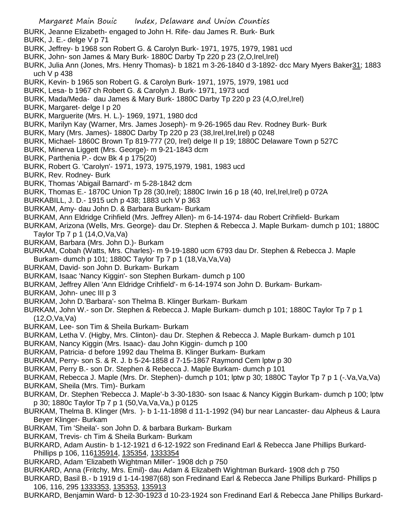- Margaret Main Bouic Index, Delaware and Union Counties BURK, Jeanne Elizabeth- engaged to John H. Rife- dau James R. Burk- Burk BURK, J. E.- delge V p 71 BURK, Jeffrey- b 1968 son Robert G. & Carolyn Burk- 1971, 1975, 1979, 1981 ucd BURK, John- son James & Mary Burk- 1880C Darby Tp 220 p 23 (2,O,Irel,Irel) BURK, Julia Ann (Jones, Mrs. Henry Thomas)- b 1821 m 3-26-1840 d 3-1892- dcc Mary Myers Baker31; 1883 uch V p 438 BURK, Kevin- b 1965 son Robert G. & Carolyn Burk- 1971, 1975, 1979, 1981 ucd BURK, Lesa- b 1967 ch Robert G. & Carolyn J. Burk- 1971, 1973 ucd BURK, Mada/Meda- dau James & Mary Burk- 1880C Darby Tp 220 p 23 (4,O,Irel,Irel) BURK, Margaret- delge I p 20 BURK, Marguerite (Mrs. H. L.)- 1969, 1971, 1980 dcd BURK, Marilyn Kay (Warner, Mrs. James Joseph)- m 9-26-1965 dau Rev. Rodney Burk- Burk BURK, Mary (Mrs. James)- 1880C Darby Tp 220 p 23 (38,Irel,Irel,Irel) p 0248 BURK, Michael- 1860C Brown Tp 819-777 (20, Irel) delge II p 19; 1880C Delaware Town p 527C BURK, Minerva Liggett (Mrs. George)- m 9-21-1843 dcm BURK, Parthenia P.- dcw Bk 4 p 175(20) BURK, Robert G. 'Carolyn'- 1971, 1973, 1975,1979, 1981, 1983 ucd BURK, Rev. Rodney- Burk BURK, Thomas 'Abigail Barnard'- m 5-28-1842 dcm BURK, Thomas E.- 1870C Union Tp 28 (30,Irel); 1880C Irwin 16 p 18 (40, Irel,Irel,Irel) p 072A BURKABILL, J. D.- 1915 uch p 438; 1883 uch V p 363 BURKAM, Amy- dau John D. & Barbara Burkam- Burkam BURKAM, Ann Eldridge Crihfield (Mrs. Jeffrey Allen)- m 6-14-1974- dau Robert Crihfield- Burkam BURKAM, Arizona (Wells, Mrs. George)- dau Dr. Stephen & Rebecca J. Maple Burkam- dumch p 101; 1880C Taylor Tp 7 p 1 (14,O,Va,Va) BURKAM, Barbara (Mrs. John D.)- Burkam BURKAM, Cobah (Watts, Mrs. Charles)- m 9-19-1880 ucm 6793 dau Dr. Stephen & Rebecca J. Maple Burkam- dumch p 101; 1880C Taylor Tp 7 p 1 (18,Va,Va,Va) BURKAM, David- son John D. Burkam- Burkam BURKAM, Isaac 'Nancy Kiggin'- son Stephen Burkam- dumch p 100 BURKAM, Jeffrey Allen 'Ann Eldridge Crihfield'- m 6-14-1974 son John D. Burkam- Burkam-BURKAM, John- unec III p 3 BURKAM, John D.'Barbara'- son Thelma B. Klinger Burkam- Burkam BURKAM, John W.- son Dr. Stephen & Rebecca J. Maple Burkam- dumch p 101; 1880C Taylor Tp 7 p 1 (12,O,Va,Va) BURKAM, Lee- son Tim & Sheila Burkam- Burkam BURKAM, Letha V. (Higby, Mrs. Clinton)- dau Dr. Stephen & Rebecca J. Maple Burkam- dumch p 101 BURKAM, Nancy Kiggin (Mrs. Isaac)- dau John Kiggin- dumch p 100 BURKAM, Patricia- d before 1992 dau Thelma B. Klinger Burkam- Burkam BURKAM, Perry- son S. & R. J. b 5-24-1858 d 7-15-1867 Raymond Cem lptw p 30 BURKAM, Perry B.- son Dr. Stephen & Rebecca J. Maple Burkam- dumch p 101 BURKAM, Rebecca J. Maple (Mrs. Dr. Stephen)- dumch p 101; lptw p 30; 1880C Taylor Tp 7 p 1 (-.Va,Va,Va) BURKAM, Sheila (Mrs. Tim)- Burkam BURKAM, Dr. Stephen 'Rebecca J. Maple'-b 3-30-1830- son Isaac & Nancy Kiggin Burkam- dumch p 100; lptw p 30; 1880c Taylor Tp 7 p 1 (50,Va,Va,Va,) p 0125 BURKAM, Thelma B. Klinger (Mrs. )- b 1-11-1898 d 11-1-1992 (94) bur near Lancaster- dau Alpheus & Laura Beyer Klinger- Burkam
	- BURKAM, Tim 'Sheila'- son John D. & barbara Burkam- Burkam
	- BURKAM, Trevis- ch Tim & Sheila Burkam- Burkam
	- BURKARD, Adam Austin- b 1-12-1921 d 6-12-1922 son Fredinand Earl & Rebecca Jane Phillips Burkard-Phillips p 106, 116135914, 135354, 1333354
	- BURKARD, Adam 'Elizabeth Wightman Miller'- 1908 dch p 750
	- BURKARD, Anna (Fritchy, Mrs. Emil)- dau Adam & Elizabeth Wightman Burkard- 1908 dch p 750
	- BURKARD, Basil B.- b 1919 d 1-14-1987(68) son Fredinand Earl & Rebecca Jane Phillips Burkard- Phillips p 106, 116, 295 1333353, 135353, 135913
	- BURKARD, Benjamin Ward- b 12-30-1923 d 10-23-1924 son Fredinand Earl & Rebecca Jane Phillips Burkard-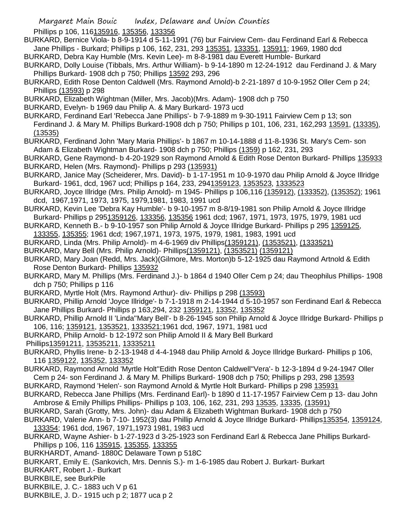Phillips p 106, 116135916, 135356, 133356

- BURKARD, Bernice Viola- b 8-9-1914 d 5-11-1991 (76) bur Fairview Cem- dau Ferdinand Earl & Rebecca Jane Phillips - Burkard; Phillips p 106, 162, 231, 293 135351, 133351, 135911; 1969, 1980 dcd
- BURKARD, Debra Kay Humble (Mrs. Kevin Lee)- m 8-8-1981 dau Everett Humble- Burkard
- BURKARD, Dolly Louise (Tibbals, Mrs. Arthur William)- b 9-14-1890 m 12-24-1912 dau Ferdinand J. & Mary Phillips Burkard- 1908 dch p 750; Phillips 13592 293, 296
- BURKARD, Edith Rose Denton Caldwell (Mrs. Raymond Arnold)-b 2-21-1897 d 10-9-1952 Oller Cem p 24; Phillips (13593) p 298
- BURKARD, Elizabeth Wightman (Miller, Mrs. Jacob)(Mrs. Adam)- 1908 dch p 750
- BURKARD, Evelyn- b 1969 dau Philip A. & Mary Burkard- 1973 ucd
- BURKARD, Ferdinand Earl 'Rebecca Jane Phillips'- b 7-9-1889 m 9-30-1911 Fairview Cem p 13; son Ferdinand J. & Mary M. Phillips Burkard-1908 dch p 750; Phillips p 101, 106, 231, 162, 293 13591, (13335),
- (13535)
- BURKARD, Ferdinand John 'Mary Maria Phillips'- b 1867 m 10-14-1888 d 11-8-1936 St. Mary's Cem- son Adam & Elizabeth Wightman Burkard- 1908 dch p 750; Phillips (1359) p 162, 231, 293
- BURKARD, Gene Raymond- b 4-20-1929 son Raymond Arnold & Edith Rose Denton Burkard- Phillips 135933 BURKARD, Helen (Mrs. Raymond)- Phillips p 293 (135931)
- BURKARD, Janice May (Scheiderer, Mrs. David)- b 1-17-1951 m 10-9-1970 dau Philip Arnold & Joyce Illridge Burkard- 1961, dcd, 1967 ucd; Phillips p 164, 233, 2941359123, 1353523, 1333523
- BURKARD, Joyce Illridge (Mrs. Philip Arnold)- m 1945- Phillips p 106,116 (135912), (133352), (135352); 1961 dcd, 1967,1971, 1973, 1975, 1979,1981, 1983, 1991 ucd
- BURKARD, Kevin Lee 'Debra Kay Humble'- b 9-10-1957 m 8-8/19-1981 son Philip Arnold & Joyce Illridge Burkard- Phillips p 2951359126, 133356, 135356 1961 dcd; 1967, 1971, 1973, 1975, 1979, 1981 ucd
- BURKARD, Kenneth B.- b 9-10-1957 son Philip Arnold & Joyce Illridge Burkard- Phillips p 295 1359125, 133355, 135355; 1961 dcd; 1967,1971, 1973, 1975, 1979, 1981, 1983, 1991 ucd
- BURKARD, Linda (Mrs. Philip Arnold)- m 4-6-1969 div Phillips(1359121), (1353521), (1333521)
- BURKARD, Mary Bell (Mrs. Philip Arnold)- Phillips(1359121), (1353521) (1359121)
- BURKARD, Mary Joan (Redd, Mrs. Jack)(Gilmore, Mrs. Morton)b 5-12-1925 dau Raymond Artnold & Edith Rose Denton Burkard- Phillips 135932
- BURKARD, Mary M. Phillips (Mrs. Ferdinand J.)- b 1864 d 1940 Oller Cem p 24; dau Theophilus Phillips- 1908 dch p 750; Phillips p 116
- BURKARD, Myrtle Holt (Mrs. Raymond Arthur)- div- Phillips p 298 (13593)
- BURKARD, Phillip Arnold 'Joyce Illridge'- b 7-1-1918 m 2-14-1944 d 5-10-1957 son Ferdinand Earl & Rebecca Jane Phillips Burkard- Phillips p 163,294, 232 1359121, 13352, 135352
- BURKARD, Phillip Arnold II 'Linda''Mary Bell'- b 8-26-1945 son Philip Arnold & Joyce Illridge Burkard- Phillips p 106, 116; 1359121, 1353521, 1333521;1961 dcd, 1967, 1971, 1981 ucd
- BURKARD, Philip Arnold- b 12-1972 son Philip Arnold II & Mary Bell Burkard
- Phillips13591211, 13535211, 13335211
- BURKARD, Phyllis Irene- b 2-13-1948 d 4-4-1948 dau Philip Arnold & Joyce Illridge Burkard- Phillips p 106, 116 1359122, 135352, 133352
- BURKARD, Raymond Arnold 'Myrtle Holt''Edith Rose Denton Caldwell''Vera'- b 12-3-1894 d 9-24-1947 Oller Cem p 24- son Ferdinand J. & Mary M. Phillips Burkard- 1908 dch p 750; Phillips p 293, 298 13593
- BURKARD, Raymond 'Helen'- son Raymond Arnold & Myrtle Holt Burkard- Phillips p 298 135931
- BURKARD, Rebecca Jane Phillips (Mrs. Ferdinand Earl)- b 1890 d 11-17-1957 Fairview Cem p 13- dau John Ambrose & Emily Phillips Phillips- Phillips p 103, 106, 162, 231, 293 13535, 13335, (13591)
- BURKARD, Sarah (Grotty, Mrs. John)- dau Adam & Elizabeth Wightman Burkard- 1908 dch p 750
- BURKARD, Valerie Ann- b 7-10- 1952(3) dau Phillip Arnold & Joyce Illridge Burkard- Phillips135354, 1359124, 133354; 1961 dcd, 1967, 1971,1973 1981, 1983 ucd
- BURKARD, Wayne Ashier- b 1-27-1923 d 3-25-1923 son Ferdinand Earl & Rebecca Jane Phillips Burkard-Phillips p 106, 116 135915, 135355, 133355
- BURKHARDT, Amand- 1880C Delaware Town p 518C
- BURKART, Emily E. (Sankovich, Mrs. Dennis S.)- m 1-6-1985 dau Robert J. Burkart- Burkart
- BURKART, Robert J.- Burkart
- BURKBILE, see BurkPile
- BURKBILE, J. C.- 1883 uch V p 61
- BURKBILE, J. D.- 1915 uch p 2; 1877 uca p 2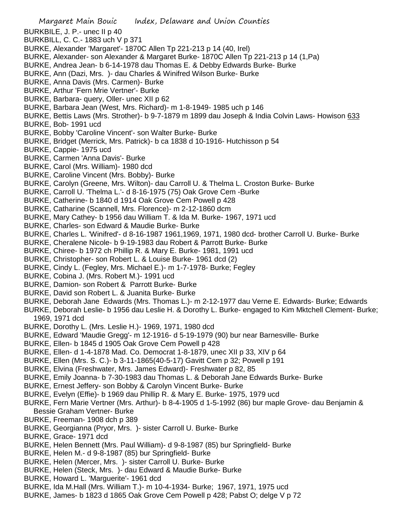- Margaret Main Bouic Index, Delaware and Union Counties BURKBILE, J. P.- unec II p 40 BURKBILL, C. C.- 1883 uch V p 371 BURKE, Alexander 'Margaret'- 1870C Allen Tp 221-213 p 14 (40, Irel) BURKE, Alexander- son Alexander & Margaret Burke- 1870C Allen Tp 221-213 p 14 (1,Pa) BURKE, Andrea Jean- b 6-14-1978 dau Thomas E. & Debby Edwards Burke- Burke BURKE, Ann (Dazi, Mrs. )- dau Charles & Winifred Wilson Burke- Burke BURKE, Anna Davis (Mrs. Carmen)- Burke BURKE, Arthur 'Fern Mrie Vertner'- Burke BURKE, Barbara- query, Oller- unec XII p 62 BURKE, Barbara Jean (West, Mrs. Richard)- m 1-8-1949- 1985 uch p 146 BURKE, Bettis Laws (Mrs. Strother)- b 9-7-1879 m 1899 dau Joseph & India Colvin Laws- Howison 633 BURKE, Bob- 1991 ucd BURKE, Bobby 'Caroline Vincent'- son Walter Burke- Burke BURKE, Bridget (Merrick, Mrs. Patrick)- b ca 1838 d 10-1916- Hutchisson p 54 BURKE, Cappie- 1975 ucd BURKE, Carmen 'Anna Davis'- Burke BURKE, Carol (Mrs. William)- 1980 dcd BURKE, Caroline Vincent (Mrs. Bobby)- Burke BURKE, Carolyn (Greene, Mrs. Wilton)- dau Carroll U. & Thelma L. Croston Burke- Burke BURKE, Carroll U. 'Thelma L.'- d 8-16-1975 (75) Oak Grove Cem -Burke BURKE, Catherine- b 1840 d 1914 Oak Grove Cem Powell p 428 BURKE, Catharine (Scannell, Mrs. Florence)- m 2-12-1860 dcm BURKE, Mary Cathey- b 1956 dau William T. & Ida M. Burke- 1967, 1971 ucd BURKE, Charles- son Edward & Maudie Burke- Burke BURKE, Charles L. 'Winifred'- d 8-16-1987 1961,1969, 1971, 1980 dcd- brother Carroll U. Burke- Burke BURKE, Cheralene Nicole- b 9-19-1983 dau Robert & Parrott Burke- Burke BURKE, Chiree- b 1972 ch Phillip R. & Mary E. Burke- 1981, 1991 ucd BURKE, Christopher- son Robert L. & Louise Burke- 1961 dcd (2) BURKE, Cindy L. (Fegley, Mrs. Michael E.)- m 1-7-1978- Burke; Fegley BURKE, Cobina J. (Mrs. Robert M.)- 1991 ucd BURKE, Damion- son Robert & Parrott Burke- Burke BURKE, David son Robert L. & Juanita Burke- Burke BURKE, Deborah Jane Edwards (Mrs. Thomas L.)- m 2-12-1977 dau Verne E. Edwards- Burke; Edwards BURKE, Deborah Leslie- b 1956 dau Leslie H. & Dorothy L. Burke- engaged to Kim Mktchell Clement- Burke; 1969, 1971 dcd BURKE, Dorothy L. (Mrs. Leslie H.)- 1969, 1971, 1980 dcd BURKE, Edward 'Maudie Gregg'- m 12-1916- d 5-19-1979 (90) bur near Barnesville- Burke BURKE, Ellen- b 1845 d 1905 Oak Grove Cem Powell p 428 BURKE, Ellen- d 1-4-1878 Mad. Co. Democrat 1-8-1879, unec XII p 33, XIV p 64 BURKE, Ellen (Mrs. S. C.)- b 3-11-1865(40-5-17) Gavitt Cem p 32; Powell p 191 BURKE, Elvina (Freshwater, Mrs. James Edward)- Freshwater p 82, 85 BURKE, Emily Joanna- b 7-30-1983 dau Thomas L. & Deborah Jane Edwards Burke- Burke BURKE, Ernest Jeffery- son Bobby & Carolyn Vincent Burke- Burke BURKE, Evelyn (Effie)- b 1969 dau Phillip R. & Mary E. Burke- 1975, 1979 ucd BURKE, Fern Marie Vertner (Mrs. Arthur)- b 8-4-1905 d 1-5-1992 (86) bur maple Grove- dau Benjamin & Bessie Graham Vertner- Burke BURKE, Freeman- 1908 dch p 389 BURKE, Georgianna (Pryor, Mrs. )- sister Carroll U. Burke- Burke BURKE, Grace- 1971 dcd BURKE, Helen Bennett (Mrs. Paul William)- d 9-8-1987 (85) bur Springfield- Burke BURKE, Helen M.- d 9-8-1987 (85) bur Springfield- Burke BURKE, Helen (Mercer, Mrs. )- sister Carroll U. Burke- Burke BURKE, Helen (Steck, Mrs. )- dau Edward & Maudie Burke- Burke BURKE, Howard L. 'Marguerite'- 1961 dcd BURKE, Ida M.Hall (Mrs. William T.)- m 10-4-1934- Burke; 1967, 1971, 1975 ucd
- 
- BURKE, James- b 1823 d 1865 Oak Grove Cem Powell p 428; Pabst O; delge V p 72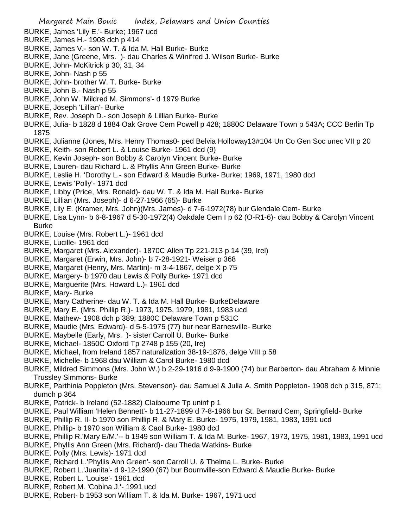- Margaret Main Bouic Index, Delaware and Union Counties BURKE, James 'Lily E.'- Burke; 1967 ucd BURKE, James H.- 1908 dch p 414 BURKE, James V.- son W. T. & Ida M. Hall Burke- Burke BURKE, Jane (Greene, Mrs. )- dau Charles & Winifred J. Wilson Burke- Burke BURKE, John- McKitrick p 30, 31, 34 BURKE, John- Nash p 55 BURKE, John- brother W. T. Burke- Burke BURKE, John B.- Nash p 55 BURKE, John W. 'Mildred M. Simmons'- d 1979 Burke BURKE, Joseph 'Lillian'- Burke BURKE, Rev. Joseph D.- son Joseph & Lillian Burke- Burke BURKE, Julia- b 1828 d 1884 Oak Grove Cem Powell p 428; 1880C Delaware Town p 543A; CCC Berlin Tp 1875 BURKE, Julianne (Jones, Mrs. Henry Thomas0- ped Belvia Holloway13#104 Un Co Gen Soc unec VII p 20 BURKE, Keith- son Robert L. & Louise Burke- 1961 dcd (9) BURKE, Kevin Joseph- son Bobby & Carolyn Vincent Burke- Burke BURKE, Lauren- dau Richard L. & Phyllis Ann Green Burke- Burke BURKE, Leslie H. 'Dorothy L.- son Edward & Maudie Burke- Burke; 1969, 1971, 1980 dcd BURKE, Lewis 'Polly'- 1971 dcd BURKE, Libby (Price, Mrs. Ronald)- dau W. T. & Ida M. Hall Burke- Burke BURKE, Lillian (Mrs. Joseph)- d 6-27-1966 (65)- Burke BURKE, Lily E. (Kramer, Mrs. John)(Mrs. James)- d 7-6-1972(78) bur Glendale Cem- Burke BURKE, Lisa Lynn- b 6-8-1967 d 5-30-1972(4) Oakdale Cem I p 62 (O-R1-6)- dau Bobby & Carolyn Vincent Burke BURKE, Louise (Mrs. Robert L.)- 1961 dcd BURKE, Lucille- 1961 dcd BURKE, Margaret (Mrs. Alexander)- 1870C Allen Tp 221-213 p 14 (39, Irel) BURKE, Margaret (Erwin, Mrs. John)- b 7-28-1921- Weiser p 368 BURKE, Margaret (Henry, Mrs. Martin)- m 3-4-1867, delge X p 75 BURKE, Margery- b 1970 dau Lewis & Polly Burke- 1971 dcd BURKE, Marguerite (Mrs. Howard L.)- 1961 dcd BURKE, Mary- Burke BURKE, Mary Catherine- dau W. T. & Ida M. Hall Burke- BurkeDelaware BURKE, Mary E. (Mrs. Phillip R.)- 1973, 1975, 1979, 1981, 1983 ucd BURKE, Mathew- 1908 dch p 389; 1880C Delaware Town p 531C BURKE, Maudie (Mrs. Edward)- d 5-5-1975 (77) bur near Barnesville- Burke BURKE, Maybelle (Early, Mrs. )- sister Carroll U. Burke- Burke BURKE, Michael- 1850C Oxford Tp 2748 p 155 (20, Ire) BURKE, Michael, from Ireland 1857 naturalization 38-19-1876, delge VIII p 58 BURKE, Michelle- b 1968 dau William & Carol Burke- 1980 dcd BURKE, Mildred Simmons (Mrs. John W.) b 2-29-1916 d 9-9-1900 (74) bur Barberton- dau Abraham & Minnie Trussley Simmons- Burke BURKE, Parthinia Poppleton (Mrs. Stevenson)- dau Samuel & Julia A. Smith Poppleton- 1908 dch p 315, 871; dumch p 364 BURKE, Patrick- b Ireland (52-1882) Claibourne Tp uninf p 1 BURKE, Paul William 'Helen Bennett'- b 11-27-1899 d 7-8-1966 bur St. Bernard Cem, Springfield- Burke BURKE, Phillip R. II- b 1970 son Phillip R. & Mary E. Burke- 1975, 1979, 1981, 1983, 1991 ucd BURKE, Phillip- b 1970 son William & Caol Burke- 1980 dcd BURKE, Phillip R.'Mary E/M.'-- b 1949 son William T. & Ida M. Burke- 1967, 1973, 1975, 1981, 1983, 1991 ucd BURKE, Phyllis Ann Green (Mrs. Richard)- dau Theda Watkins- Burke BURKE, Polly (Mrs. Lewis)- 1971 dcd BURKE, Richard L.'Phyllis Ann Green'- son Carroll U. & Thelma L. Burke- Burke BURKE, Robert L.'Juanita'- d 9-12-1990 (67) bur Bournville-son Edward & Maudie Burke- Burke
	- BURKE, Robert L. 'Louise'- 1961 dcd
	- BURKE, Robert M. 'Cobina J.'- 1991 ucd
	- BURKE, Robert- b 1953 son William T. & Ida M. Burke- 1967, 1971 ucd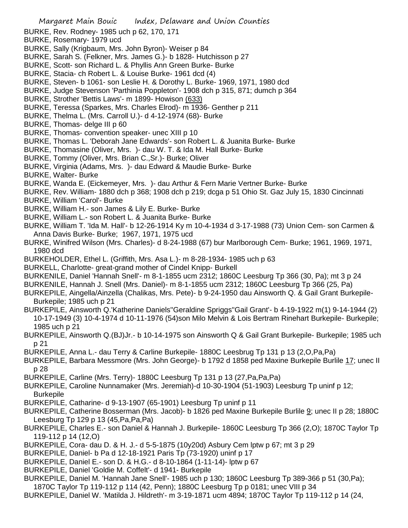- Margaret Main Bouic Index, Delaware and Union Counties BURKE, Rev. Rodney- 1985 uch p 62, 170, 171 BURKE, Rosemary- 1979 ucd BURKE, Sally (Krigbaum, Mrs. John Byron)- Weiser p 84 BURKE, Sarah S. (Felkner, Mrs. James G.)- b 1828- Hutchisson p 27 BURKE, Scott- son Richard L. & Phyllis Ann Green Burke- Burke BURKE, Stacia- ch Robert L. & Louise Burke- 1961 dcd (4) BURKE, Steven- b 1061- son Leslie H. & Dorothy L. Burke- 1969, 1971, 1980 dcd BURKE, Judge Stevenson 'Parthinia Poppleton'- 1908 dch p 315, 871; dumch p 364 BURKE, Strother 'Bettis Laws'- m 1899- Howison (633) BURKE, Teressa (Sparkes, Mrs. Charles Elrod)- m 1936- Genther p 211 BURKE, Thelma L. (Mrs. Carroll U.)- d 4-12-1974 (68)- Burke BURKE, Thomas- delge III p 60 BURKE, Thomas- convention speaker- unec XIII p 10 BURKE, Thomas L. 'Deborah Jane Edwards'- son Robert L. & Juanita Burke- Burke BURKE, Thomasine (Oliver, Mrs. )- dau W. T. & Ida M. Hall Burke- Burke BURKE, Tommy (Oliver, Mrs. Brian C.,Sr.)- Burke; Oliver BURKE, Virginia (Adams, Mrs. )- dau Edward & Maudie Burke- Burke BURKE, Walter- Burke BURKE, Wanda E. (Eickemeyer, Mrs. )- dau Arthur & Fern Marie Vertner Burke- Burke BURKE, Rev. William- 1880 dch p 368; 1908 dch p 219; dcga p 51 Ohio St. Gaz July 15, 1830 Cincinnati BURKE, William 'Carol'- Burke BURKE, William H.- son James & Lily E. Burke- Burke BURKE, William L.- son Robert L. & Juanita Burke- Burke BURKE, William T. 'Ida M. Hall'- b 12-26-1914 Ky m 10-4-1934 d 3-17-1988 (73) Union Cem- son Carmen & Anna Davis Burke- Burke; 1967, 1971, 1975 ucd BURKE, Winifred Wilson (Mrs. Charles)- d 8-24-1988 (67) bur Marlborough Cem- Burke; 1961, 1969, 1971, 1980 dcd BURKEHOLDER, Ethel L. (Griffith, Mrs. Asa L.)- m 8-28-1934- 1985 uch p 63 BURKELL, Charlotte- great-grand mother of Cindel Knipp- Burkell BURKENILE, Daniel 'Hannah Snell'- m 8-1-1855 ucm 2312; 1860C Leesburg Tp 366 (30, Pa); mt 3 p 24 BURKENILE, Hannah J. Snell (Mrs. Daniel)- m 8-1-1855 ucm 2312; 1860C Leesburg Tp 366 (25, Pa) BURKEPILE, Aingella/Ainzella (Chalikas, Mrs. Pete)- b 9-24-1950 dau Ainsworth Q. & Gail Grant Burkepile-Burkepile; 1985 uch p 21 BURKEPILE, Ainsworth Q.'Katherine Daniels''Geraldine Spriggs''Gail Grant'- b 4-19-1922 m(1) 9-14-1944 (2) 10-17-1949 (3) 10-4-1974 d 10-11-1976 (54)son Milo Melvin & Lois Bertram Rinehart Burkepile- Burkepile; 1985 uch p 21 BURKEPILE, Ainsworth Q.(BJ)Jr.- b 10-14-1975 son Ainsworth Q & Gail Grant Burkepile- Burkepile; 1985 uch p 21 BURKEPILE, Anna L.- dau Terry & Carline Burkepile- 1880C Leesbrug Tp 131 p 13 (2,O,Pa,Pa) BURKEPILE, Barbara Messmore (Mrs. John George)- b 1792 d 1858 ped Maxine Burkepile Burlile 17; unec II p 28
	- BURKEPILE, Carline (Mrs. Terry)- 1880C Leesburg Tp 131 p 13 (27,Pa,Pa,Pa)
	- BURKEPILE, Caroline Nunnamaker (Mrs. Jeremiah)-d 10-30-1904 (51-1903) Leesburg Tp uninf p 12; Burkepile
	- BURKEPILE, Catharine- d 9-13-1907 (65-1901) Leesburg Tp uninf p 11
	- BURKEPILE, Catherine Bosserman (Mrs. Jacob)- b 1826 ped Maxine Burkepile Burlile 9; unec II p 28; 1880C Leesburg Tp 129 p 13 (45,Pa,Pa,Pa)
	- BURKEPILE, Charles E.- son Daniel & Hannah J. Burkepile- 1860C Leesburg Tp 366 (2,O); 1870C Taylor Tp 119-112 p 14 (12,O)
	- BURKEPILE, Cora- dau D. & H. J.- d 5-5-1875 (10y20d) Asbury Cem lptw p 67; mt 3 p 29
	- BURKEPILE, Daniel- b Pa d 12-18-1921 Paris Tp (73-1920) uninf p 17
	- BURKEPILE, Daniel E.- son D. & H.G.- d 8-10-1864 (1-11-14)- lptw p 67
	- BURKEPILE, Daniel 'Goldie M. Coffelt'- d 1941- Burkepile
	- BURKEPILE, Daniel M. 'Hannah Jane Snell'- 1985 uch p 130; 1860C Leesburg Tp 389-366 p 51 (30,Pa); 1870C Taylor Tp 119-112 p 114 (42, Penn); 1880C Leesburg Tp p 0181; unec VIII p 34
	- BURKEPILE, Daniel W. 'Matilda J. Hildreth'- m 3-19-1871 ucm 4894; 1870C Taylor Tp 119-112 p 14 (24,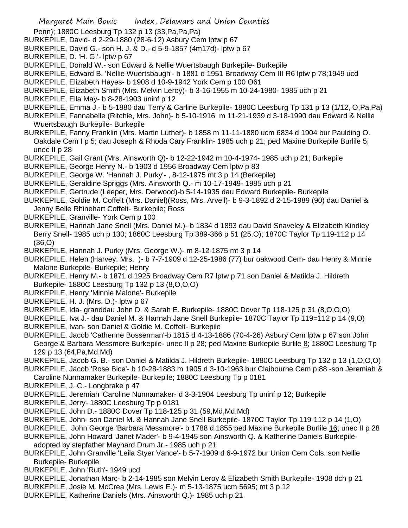Penn); 1880C Leesburg Tp 132 p 13 (33,Pa,Pa,Pa)

- BURKEPILE, David- d 2-29-1880 (28-6-12) Asbury Cem lptw p 67
- BURKEPILE, David G.- son H. J. & D.- d 5-9-1857 (4m17d)- lptw p 67
- BURKEPILE, D. 'H. G.'- lptw p 67
- BURKEPILE, Donald W.- son Edward & Nellie Wuertsbaugh Burkepile- Burkepile
- BURKEPILE, Edward B. 'Nellie Wuertsbaugh'- b 1881 d 1951 Broadway Cem III R6 lptw p 78;1949 ucd
- BURKEPILE, Elizabeth Hayes- b 1908 d 10-9-1942 York Cem p 100 O61
- BURKEPILE, Elizabeth Smith (Mrs. Melvin Leroy)- b 3-16-1955 m 10-24-1980- 1985 uch p 21
- BURKEPILE, Ella May- b 8-28-1903 uninf p 12
- BURKEPILE, Emma J.- b 5-1880 dau Terry & Carline Burkepile- 1880C Leesburg Tp 131 p 13 (1/12, O,Pa,Pa)
- BURKEPILE, Fannabelle (Ritchie, Mrs. John)- b 5-10-1916 m 11-21-1939 d 3-18-1990 dau Edward & Nellie Wuertsbaugh Burkepile- Burkepile
- BURKEPILE, Fanny Franklin (Mrs. Martin Luther)- b 1858 m 11-11-1880 ucm 6834 d 1904 bur Paulding O. Oakdale Cem I p 5; dau Joseph & Rhoda Cary Franklin- 1985 uch p 21; ped Maxine Burkepile Burlile 5; unec II p 28
- BURKEPILE, Gail Grant (Mrs. Ainsworth Q)- b 12-22-1942 m 10-4-1974- 1985 uch p 21; Burkepile
- BURKEPILE, George Henry N.- b 1903 d 1956 Broadway Cem lptw p 83
- BURKEPILE, George W. 'Hannah J. Purky'- , 8-12-1975 mt 3 p 14 (Berkepile)
- BURKEPILE, Geraldine Spriggs (Mrs. Ainsworth Q.- m 10-17-1949- 1985 uch p 21
- BURKEPILE, Gertrude (Leeper, Mrs. Derwood)-b 5-14-1935 dau Edward Burkepile- Burkepile
- BURKEPILE, Goldie M. Coffelt (Mrs. Daniel)(Ross, Mrs. Arvell)- b 9-3-1892 d 2-15-1989 (90) dau Daniel & Jenny Belle Rhinehart Coffelt- Burkepile; Ross
- BURKEPILE, Granville- York Cem p 100
- BURKEPILE, Hannah Jane Snell (Mrs. Daniel M.)- b 1834 d 1893 dau David Snaveley & Elizabeth Kindley Berry Snell- 1985 uch p 130; 1860C Leesburg Tp 389-366 p 51 (25,O); 1870C Taylor Tp 119-112 p 14 (36,O)
- BURKEPILE, Hannah J. Purky (Mrs. George W.)- m 8-12-1875 mt 3 p 14
- BURKEPILE, Helen (Harvey, Mrs. )- b 7-7-1909 d 12-25-1986 (77) bur oakwood Cem- dau Henry & Minnie Malone Burkepile- Burkepile; Henry
- BURKEPILE, Henry M.- b 1871 d 1925 Broadway Cem R7 lptw p 71 son Daniel & Matilda J. Hildreth Burkepile- 1880C Leesburg Tp 132 p 13 (8,O,O,O)
- BURKEPILE, Henry 'Minnie Malone'- Burkepile
- BURKEPILE, H. J. (Mrs. D.)- lptw p 67
- BURKEPILE, Ida- granddau John D. & Sarah E. Burkepile- 1880C Dover Tp 118-125 p 31 (8,O,O,O)
- BURKEPILE, Iva J.- dau Daniel M. & Hannah Jane Snell Burkepile- 1870C Taylor Tp 119=112 p 14 (9,O)
- BURKEPILE, Ivan- son Daniel & Goldie M. Coffelt- Burkepile
- BURKEPILE, Jacob 'Catherine Bosserman'-b 1815 d 4-13-1886 (70-4-26) Asbury Cem lptw p 67 son John George & Barbara Messmore Burkepile- unec II p 28; ped Maxine Burkepile Burlile 8; 1880C Leesburg Tp 129 p 13 (64,Pa,Md,Md)
- BURKEPILE, Jacob G. B.- son Daniel & Matilda J. Hildreth Burkepile- 1880C Leesburg Tp 132 p 13 (1,O,O,O)
- BURKEPILE, Jacob 'Rose Bice'- b 10-28-1883 m 1905 d 3-10-1963 bur Claibourne Cem p 88 -son Jeremiah & Caroline Nunnamaker Burkepile- Burkepile; 1880C Leesburg Tp p 0181
- BURKEPILE, J. C.- Longbrake p 47
- BURKEPILE, Jeremiah 'Caroline Nunnamaker- d 3-3-1904 Leesburg Tp uninf p 12; Burkepile
- BURKEPILE, Jerry- 1880C Leesburg Tp p 0181
- BURKEPILE, John D.- 1880C Dover Tp 118-125 p 31 (59,Md,Md,Md)
- BURKEPILE, John- son Daniel M. & Hannah Jane Snell Burkepile- 1870C Taylor Tp 119-112 p 14 (1,O)
- BURKEPILE, John George 'Barbara Messmore'- b 1788 d 1855 ped Maxine Burkepile Burlile 16; unec II p 28
- BURKEPILE, John Howard 'Janet Mader'- b 9-4-1945 son Ainsworth Q. & Katherine Daniels Burkepile-

adopted by stepfather Maynard Drum Jr.- 1985 uch p 21

- BURKEPILE, John Granville 'Leila Styer Vance'- b 5-7-1909 d 6-9-1972 bur Union Cem Cols. son Nellie Burkepile- Burkepile
- BURKEPILE, John 'Ruth'- 1949 ucd
- BURKEPILE, Jonathan Marc- b 2-14-1985 son Melvin Leroy & Elizabeth Smith Burkepile- 1908 dch p 21
- BURKEPILE, Josie M. McCrea (Mrs. Lewis E.)- m 5-13-1875 ucm 5695; mt 3 p 12
- BURKEPILE, Katherine Daniels (Mrs. Ainsworth Q.)- 1985 uch p 21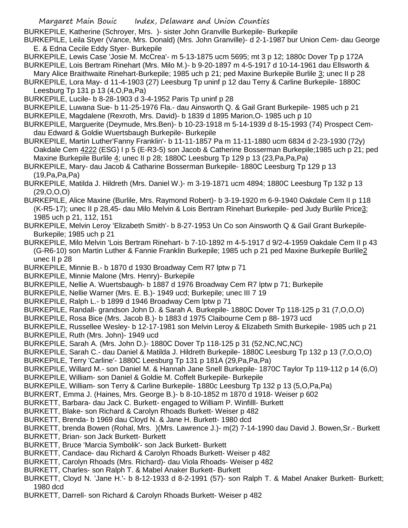BURKEPILE, Katherine (Schroyer, Mrs. )- sister John Granville Burkepile- Burkepile

BURKEPILE, Leila Styer (Vance, Mrs. Donald) (Mrs. John Granville)- d 2-1-1987 bur Union Cem- dau George E. & Edna Cecile Eddy Styer- Burkepile

- BURKEPILE, Lewis Case 'Josie M. McCrea'- m 5-13-1875 ucm 5695; mt 3 p 12; 1880c Dover Tp p 172A
- BURKEPILE, Lois Bertram Rinehart (Mrs. Milo M.)- b 9-20-1897 m 4-5-1917 d 10-14-1961 dau Ellsworth & Mary Alice Braithwaite Rinehart-Burkepile; 1985 uch p 21; ped Maxine Burkepile Burlile 3; unec II p 28
- BURKEPILE, Lora May- d 11-4-1903 (27) Leesburg Tp uninf p 12 dau Terry & Carline Burkepile- 1880C Leesburg Tp 131 p 13 (4,O,Pa,Pa)
- BURKEPILE, Lucile- b 8-28-1903 d 3-4-1952 Paris Tp uninf p 28
- BURKEPILE, Luwana Sue- b 11-25-1976 Fla.- dau Ainsworth Q. & Gail Grant Burkepile- 1985 uch p 21
- BURKEPILE, Magdalene (Rexroth, Mrs. David)- b 1839 d 1895 Marion,O- 1985 uch p 10
- BURKEPILE, Marguerite (Deymude, Mrs.Ben)- b 10-23-1918 m 5-14-1939 d 8-15-1993 (74) Prospect Cemdau Edward & Goldie Wuertsbaugh Burkepile- Burkepile
- BURKEPILE, Martin Luther'Fanny Franklin'- b 11-11-1857 Pa m 11-11-1880 ucm 6834 d 2-23-1930 (72y) Oakdale Cem 4222 (ESG) I p 5 (E-R3-5) son Jacob & Catherine Bosserman Burkepile;1985 uch p 21; ped Maxine Burkepile Burlile 4; unec II p 28; 1880C Leesburg Tp 129 p 13 (23,Pa,Pa,Pa)
- BURKEPILE, Mary- dau Jacob & Catharine Bosserman Burkepile- 1880C Leesburg Tp 129 p 13 (19,Pa,Pa,Pa)
- BURKEPILE, Matilda J. Hildreth (Mrs. Daniel W.)- m 3-19-1871 ucm 4894; 1880C Leesburg Tp 132 p 13  $(29,0,0,0)$
- BURKEPILE, Alice Maxine (Burlile, Mrs. Raymond Robert)- b 3-19-1920 m 6-9-1940 Oakdale Cem II p 118 (K-R5-17); unec II p 28,45- dau Milo Melvin & Lois Bertram Rinehart Burkepile- ped Judy Burlile Price3; 1985 uch p 21, 112, 151
- BURKEPILE, Melvin Leroy 'Elizabeth Smith'- b 8-27-1953 Un Co son Ainsworth Q & Gail Grant Burkepile-Burkepile; 1985 uch p 21
- BURKEPILE, Milo Melvin 'Lois Bertram Rinehart- b 7-10-1892 m 4-5-1917 d 9/2-4-1959 Oakdale Cem II p 43 (G-R6-10) son Martin Luther & Fannie Franklin Burkepile; 1985 uch p 21 ped Maxine Burkepile Burlile2 unec II p 28
- BURKEPILE, Minnie B.- b 1870 d 1930 Broadway Cem R7 lptw p 71
- BURKEPILE, Minnie Malone (Mrs. Henry)- Burkepile
- BURKEPILE, Nellie A. Wuertsbaugh- b 1887 d 1976 Broadway Cem R7 lptw p 71; Burkepile
- BURKEPILE, Nellie Warner (Mrs. E. B.)- 1949 ucd; Burkepile; unec III 7 19
- BURKEPILE, Ralph L.- b 1899 d 1946 Broadway Cem lptw p 71
- BURKEPILE, Randall- grandson John D. & Sarah A. Burkepile- 1880C Dover Tp 118-125 p 31 (7,O,O,O)
- BURKEPILE, Rosa Bice (Mrs. Jacob B.)- b 1883 d 1975 Claibourne Cem p 88- 1973 ucd
- BURKEPILE, Russellee Wesley- b 12-17-1981 son Melvin Leroy & Elizabeth Smith Burkepile- 1985 uch p 21 BURKEPILE, Ruth (Mrs. John)- 1949 ucd
- BURKEPILE, Sarah A. (Mrs. John D.)- 1880C Dover Tp 118-125 p 31 (52,NC,NC,NC)
- BURKEPILE, Sarah C.- dau Daniel & Matilda J. Hildreth Burkepile- 1880C Leesburg Tp 132 p 13 (7,O,O,O)
- BURKEPILE, Terry 'Carline'- 1880C Leesburg Tp 131 p 181A (29,Pa,Pa,Pa)

BURKEPILE, Willard M.- son Daniel M. & Hannah Jane Snell Burkepile- 1870C Taylor Tp 119-112 p 14 (6,O)

- BURKEPILE, William- son Daniel & Goldie M. Coffelt Burkepile- Burkepile
- BURKEPILE, William- son Terry & Carline Burkepile- 1880c Leesburg Tp 132 p 13 (5,O,Pa,Pa)
- BURKERT, Emma J. (Haines, Mrs. George B.)- b 8-10-1852 m 1870 d 1918- Weiser p 602
- BURKETT, Barbara- dau Jack C. Burkett- engaged to William P. Winfilll- Burkett
- BURKETT, Blake- son Richard & Carolyn Rhoads Burkett- Weiser p 482
- BURKETT, Brenda- b 1969 dau Cloyd N. & Jane H. Burkett- 1980 dcd
- BURKETT, brenda Bowen (Rohal, Mrs. )(Mrs. Lawrence J.)- m(2) 7-14-1990 dau David J. Bowen,Sr.- Burkett
- BURKETT, Brian- son Jack Burkett- Burkett
- BURKETT, Bruce 'Marcia Symbolik'- son Jack Burkett- Burkett
- BURKETT, Candace- dau Richard & Carolyn Rhoads Burkett- Weiser p 482
- BURKETT, Carolyn Rhoads (Mrs. Richard)- dau Viola Rhoads- Weiser p 482
- BURKETT, Charles- son Ralph T. & Mabel Anaker Burkett- Burkett
- BURKETT, Cloyd N. 'Jane H.'- b 8-12-1933 d 8-2-1991 (57)- son Ralph T. & Mabel Anaker Burkett- Burkett; 1980 dcd
- BURKETT, Darrell- son Richard & Carolyn Rhoads Burkett- Weiser p 482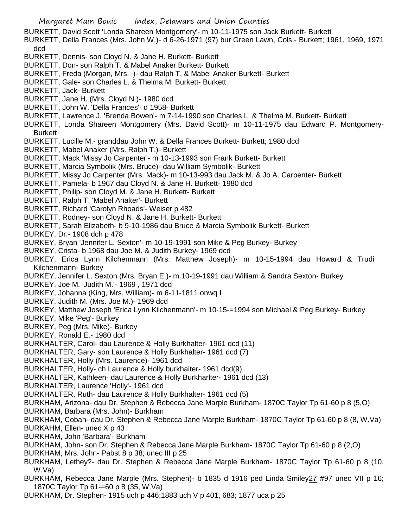- BURKETT, David Scott 'Londa Shareen Montgomery'- m 10-11-1975 son Jack Burkett- Burkett
- BURKETT, Della Frances (Mrs. John W.)- d 6-26-1971 (97) bur Green Lawn, Cols.- Burkett; 1961, 1969, 1971 dcd
- BURKETT, Dennis- son Cloyd N. & Jane H. Burkett- Burkett
- BURKETT, Don- son Ralph T. & Mabel Anaker Burkett- Burkett
- BURKETT, Freda (Morgan, Mrs. )- dau Ralph T. & Mabel Anaker Burkett- Burkett
- BURKETT, Gale- son Charles L. & Thelma M. Burkett- Burkett
- BURKETT, Jack- Burkett
- BURKETT, Jane H. (Mrs. Cloyd N.)- 1980 dcd
- BURKETT, John W. 'Della Frances'- d 1958- Burkett
- BURKETT, Lawrence J. 'Brenda Bowen'- m 7-14-1990 son Charles L. & Thelma M. Burkett- Burkett
- BURKETT, Londa Shareen Montgomery (Mrs. David Scott)- m 10-11-1975 dau Edward P. Montgomery-Burkett
- BURKETT, Lucille M.- granddau John W. & Della Frances Burkett- Burkett; 1980 dcd
- BURKETT, Mabel Anaker (Mrs. Ralph T.)- Burkett
- BURKETT, Mack 'Missy Jo Carpenter'- m 10-13-1993 son Frank Burkett- Burkett
- BURKETT, Marcia Symbolik (Mrs. Bruce)- dau William Symbolik- Burkett
- BURKETT, Missy Jo Carpenter (Mrs. Mack)- m 10-13-993 dau Jack M. & Jo A. Carpenter- Burkett
- BURKETT, Pamela- b 1967 dau Cloyd N. & Jane H. Burkett- 1980 dcd
- BURKETT, Philip- son Cloyd M. & Jane H. Burkett- Burkett
- BURKETT, Ralph T. 'Mabel Anaker'- Burkett
- BURKETT, Richard 'Carolyn Rhoads'- Weiser p 482
- BURKETT, Rodney- son Cloyd N. & Jane H. Burkett- Burkett
- BURKETT, Sarah Elizabeth- b 9-10-1986 dau Bruce & Marcia Symbolik Burkett- Burkett
- BURKEY, Dr.- 1908 dch p 478
- BURKEY, Bryan 'Jennifer L. Sexton'- m 10-19-1991 son Mike & Peg Burkey- Burkey
- BURKEY, Crista- b 1968 dau Joe M. & Judith Burkey- 1969 dcd
- BURKEY, Erica Lynn Kilchenmann (Mrs. Matthew Joseph)- m 10-15-1994 dau Howard & Trudi Kilchenmann- Burkey
- BURKEY, Jennifer L. Sexton (Mrs. Bryan E.)- m 10-19-1991 dau William & Sandra Sexton- Burkey
- BURKEY, Joe M. 'Judith M.'- 1969 , 1971 dcd
- BURKEY, Johanna (King, Mrs. William)- m 6-11-1811 onwq I
- BURKEY, Judith M. (Mrs. Joe M.)- 1969 dcd
- BURKEY, Matthew Joseph 'Erica Lynn Kilchenmann'- m 10-15-=1994 son Michael & Peg Burkey- Burkey
- BURKEY, Mike 'Peg'- Burkey
- BURKEY, Peg (Mrs. Mike)- Burkey
- BURKEY, Ronald E.- 1980 dcd
- BURKHALTER, Carol- dau Laurence & Holly Burkhalter- 1961 dcd (11)
- BURKHALTER, Gary- son Laurence & Holly Burkhalter- 1961 dcd (7)
- BURKHALTER, Holly (Mrs. Laurence)- 1961 dcd
- BURKHALTER, Holly- ch Laurence & Holly burkhalter- 1961 dcd(9)
- BURKHALTER, Kathleen- dau Laurence & Holly Burkharlter- 1961 dcd (13)
- BURKHALTER, Laurence 'Holly'- 1961 dcd
- BURKHALTER, Ruth- dau Laurence & Holly Burkhalter- 1961 dcd (5)
- BURKHAM, Arizona- dau Dr. Stephen & Rebecca Jane Marple Burkham- 1870C Taylor Tp 61-60 p 8 (5,O)
- BURKHAM, Barbara (Mrs. John)- Burkham
- BURKHAM, Cobah- dau Dr. Stephen & Rebecca Jane Marple Burkham- 1870C Taylor Tp 61-60 p 8 (8, W.Va)
- BURKAHM, Ellen- unec X p 43
- BURKHAM, John 'Barbara'- Burkham
- BURKHAM, John- son Dr. Stephen & Rebecca Jane Marple Burkham- 1870C Taylor Tp 61-60 p 8 (2,O)
- BURKHAM, Mrs. John- Pabst 8 p 38; unec III p 25
- BURKHAM, Lethey?- dau Dr. Stephen & Rebecca Jane Marple Burkham- 1870C Taylor Tp 61-60 p 8 (10, W.Va)
- BURKHAM, Rebecca Jane Marple (Mrs. Stephen)- b 1835 d 1916 ped Linda Smiley 27 #97 unec VII p 16; 1870C Taylor Tp 61-=60 p 8 (35, W.Va)
- BURKHAM, Dr. Stephen- 1915 uch p 446;1883 uch V p 401, 683; 1877 uca p 25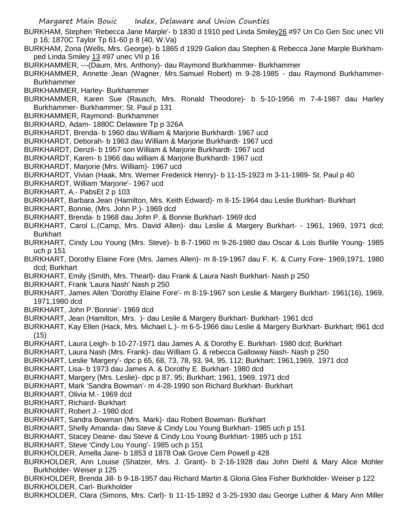- BURKHAM, Stephen 'Rebecca Jane Marple'- b 1830 d 1910 ped Linda Smiley26 #97 Un Co Gen Soc unec VII p 16; 1870C Taylor Tp 61-60 p 8 (40, W.Va)
- BURKHAM, Zona (Wells, Mrs. George)- b 1865 d 1929 Galion dau Stephen & Rebecca Jane Marple Burkhamped Linda Smiley 13 #97 unec VII p 16
- BURKHAMMER, ---(Daum, Mrs. Anthony)- dau Raymond Burkhammer- Burkhammer
- BURKHAMMER, Annette Jean (Wagner, Mrs.Samuel Robert) m 9-28-1985 dau Raymond Burkhammer-Burkhammer
- BURKHAMMER, Harley- Burkhammer
- BURKHAMMER, Karen Sue (Rausch, Mrs. Ronald Theodore)- b 5-10-1956 m 7-4-1987 dau Harley Burkhammer- Burkhammer; St. Paul p 131
- BURKHAMMER, Raymond- Burkhammer
- BURKHARD, Adam- 1880C Delaware Tp p 326A
- BURKHARDT, Brenda- b 1960 dau William & Marjorie Burkhardt- 1967 ucd
- BURKHARDT, Deborah- b 1963 dau William & Marjorie Burkhardt- 1967 ucd
- BURKHARDT, Denzil- b 1957 son William & Marjorie Burkhardt- 1967 ucd
- BURKHARDT, Karen- b 1966 dau william & Marjorie Burkhardt- 1967 ucd
- BURKHARDT, Marjorie (Mrs. William)- 1967 ucd
- BURKHARDT, Vivian (Haak, Mrs. Werner Frederick Henry)- b 11-15-1923 m 3-11-1989- St. Paul p 40
- BURKHARDT, William 'Marjorie'- 1967 ucd
- BURKHART, A.- PabsEt 2 p 103
- BURKHART, Barbara Jean (Hamilton, Mrs. Keith Edward)- m 8-15-1964 dau Leslie Burkhart- Burkhart
- BURKHART, Bonnie, (Mrs. John P.)- 1969 dcd
- BURKHART, Brenda- b 1968 dau John P. & Bonnie Burkhart- 1969 dcd
- BURKHART, Carol L.(Camp, Mrs. David Allen)- dau Leslie & Margery Burkhart- 1961, 1969, 1971 dcd; **Burkhart**
- BURKHART, Cindy Lou Young (Mrs. Steve)- b 8-7-1960 m 9-26-1980 dau Oscar & Lois Burlile Young- 1985 uch p 151
- BURKHART, Dorothy Elaine Fore (Mrs. James Allen)- m 8-19-1967 dau F. K. & Curry Fore- 1969,1971, 1980 dcd; Burkhart
- BURKHART, Emily (Smith, Mrs. Thearl)- dau Frank & Laura Nash Burkhart- Nash p 250
- BURKHART, Frank 'Laura Nash' Nash p 250
- BURKHART, James Allen 'Dorothy Elaine Fore'- m 8-19-1967 son Leslie & Margery Burkhart- 1961(16), 1969, 1971,1980 dcd
- BURKHART, John P.'Bonnie'- 1969 dcd
- BURKHART, Jean (Hamilton, Mrs. )- dau Leslie & Margery Burkhart- Burkhart- 1961 dcd
- BURKHART, Kay Ellen (Hack, Mrs. Michael L.)- m 6-5-1966 dau Leslie & Margery Burkhart- Burkhart; l961 dcd (15)
- BURKHART, Laura Leigh- b 10-27-1971 dau James A. & Dorothy E. Burkhart- 1980 dcd; Burkhart
- BURKHART, Laura Nash (Mrs. Frank)- dau William G. & rebecca Galloway Nash- Nash p 250
- BURKHART, Leslie 'Margery'- dpc p 65, 68, 73, 78, 93, 94, 95, 112; Burkhart; 1961,1969, 1971 dcd
- BURKHART, Lisa- b 1973 dau James A. & Dorothy E. Burkhart- 1980 dcd
- BURKHART, Margery (Mrs. Leslie)- dpc p 87, 95; Burkhart; 1961, 1969, 1971 dcd
- BURKHART, Mark 'Sandra Bowman'- m 4-28-1990 son Richard Burkhart- Burkhart
- BURKHART, Olivia M.- 1969 dcd
- BURKHART, Richard- Burkhart
- BURKHART, Robert J.- 1980 dcd
- BURKHART, Sandra Bowman (Mrs. Mark)- dau Robert Bowman- Burkhart
- BURKHART, Shelly Amanda- dau Steve & Cindy Lou Young Burkhart- 1985 uch p 151
- BURKHART, Stacey Deane- dau Steve & Cindy Lou Young Burkhart- 1985 uch p 151
- BURKHART, Steve 'Cindy Lou Young'- 1985 uch p 151
- BURKHOLDER, Amella Jane- b 1853 d 1878 Oak Grove Cem Powell p 428
- BURKHOLDER, Ann Louise (Shatzer, Mrs. J. Grant)- b 2-16-1928 dau John Diehl & Mary Alice Mohler Burkholder- Weiser p 125
- BURKHOLDER, Brenda Jill- b 9-18-1957 dau Richard Martin & Gloria Glea Fisher Burkholder- Weiser p 122 BURKHOLDER, Carl- Burkholder
- BURKHOLDER, Clara (Simons, Mrs. Carl)- b 11-15-1892 d 3-25-1930 dau George Luther & Mary Ann Miller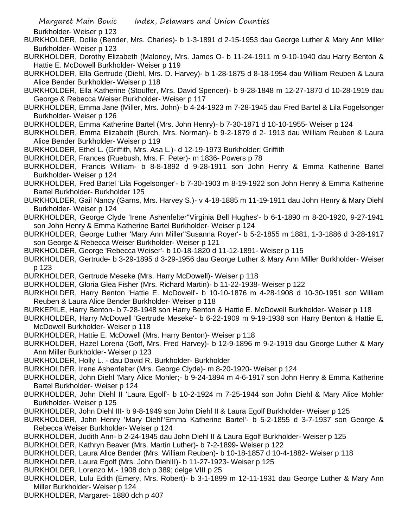Burkholder- Weiser p 123

- BURKHOLDER, Dollie (Bender, Mrs. Charles)- b 1-3-1891 d 2-15-1953 dau George Luther & Mary Ann Miller Burkholder- Weiser p 123
- BURKHOLDER, Dorothy Elizabeth (Maloney, Mrs. James O- b 11-24-1911 m 9-10-1940 dau Harry Benton & Hattie E. McDowell Burkholder- Weiser p 119
- BURKHOLDER, Ella Gertrude (Diehl, Mrs. D. Harvey)- b 1-28-1875 d 8-18-1954 dau William Reuben & Laura Alice Bender Burkholder- Weiser p 118
- BURKHOLDER, Ella Katherine (Stouffer, Mrs. David Spencer)- b 9-28-1848 m 12-27-1870 d 10-28-1919 dau George & Rebecca Weiser Burkholder- Weiser p 117
- BURKHOLDER, Emma Jane (Miller, Mrs. John)- b 4-24-1923 m 7-28-1945 dau Fred Bartel & Lila Fogelsonger Burkholder- Weiser p 126
- BURKHOLDER, Emma Katherine Bartel (Mrs. John Henry)- b 7-30-1871 d 10-10-1955- Weiser p 124
- BURKHOLDER, Emma Elizabeth (Burch, Mrs. Norman)- b 9-2-1879 d 2- 1913 dau William Reuben & Laura Alice Bender Burkholder- Weiser p 119
- BURKHOLDER, Ethel L. (Griffith, Mrs. Asa L.)- d 12-19-1973 Burkholder; Griffith
- BURKHOLDER, Frances (Ruebush, Mrs. F. Peter)- m 1836- Powers p 78
- BURKHOLDER, Francis William- b 8-8-1892 d 9-28-1911 son John Henry & Emma Katherine Bartel Burkholder- Weiser p 124
- BURKHOLDER, Fred Bartel 'Lila Fogelsonger'- b 7-30-1903 m 8-19-1922 son John Henry & Emma Katherine Bartel Burkholder- Burkholder 125
- BURKHOLDER, Gail Nancy (Garns, Mrs. Harvey S.)- v 4-18-1885 m 11-19-1911 dau John Henry & Mary Diehl Burkholder- Weiser p 124
- BURKHOLDER, George Clyde 'Irene Ashenfelter''Virginia Bell Hughes'- b 6-1-1890 m 8-20-1920, 9-27-1941 son John Henry & Emma Katherine Bartel Burkholder- Weiser p 124
- BURKHOLDER, George Luther 'Mary Ann Miller''Susanna Royer'- b 5-2-1855 m 1881, 1-3-1886 d 3-28-1917 son George & Rebecca Weiser Burkholder- Weiser p 121
- BURKHOLDER, George 'Rebecca Weiser'- b 10-18-1820 d 11-12-1891- Weiser p 115
- BURKHOLDER, Gertrude- b 3-29-1895 d 3-29-1956 dau George Luther & Mary Ann Miller Burkholder- Weiser p 123
- BURKHOLDER, Gertrude Meseke (Mrs. Harry McDowell)- Weiser p 118
- BURKHOLDER, Gloria Glea Fisher (Mrs. Richard Martin)- b 11-22-1938- Weiser p 122
- BURKHOLDER, Harry Benton 'Hattie E. McDowell'- b 10-10-1876 m 4-28-1908 d 10-30-1951 son William Reuben & Laura Alice Bender Burkholder- Weiser p 118
- BURKEPILE, Harry Benton- b 7-28-1948 son Harry Benton & Hattie E. McDowell Burkholder- Weiser p 118
- BURKHOLDER, Harry McDowell 'Gertrude Meseke'- b 6-22-1909 m 9-19-1938 son Harry Benton & Hattie E. McDowell Burkholder- Weiser p 118
- BURKHOLDER, Hattie E. McDowell (Mrs. Harry Benton)- Weiser p 118
- BURKHOLDER, Hazel Lorena (Goff, Mrs. Fred Harvey)- b 12-9-1896 m 9-2-1919 dau George Luther & Mary Ann Miller Burkholder- Weiser p 123
- BURKHOLDER, Holly L. dau David R. Burkholder- Burkholder
- BURKHOLDER, Irene Ashenfelter (Mrs. George Clyde)- m 8-20-1920- Weiser p 124
- BURKHOLDER, John Diehl 'Mary Alice Mohler;- b 9-24-1894 m 4-6-1917 son John Henry & Emma Katherine Bartel Burkholder- Weiser p 124
- BURKHOLDER, John Diehl II 'Laura Egolf'- b 10-2-1924 m 7-25-1944 son John Diehl & Mary Alice Mohler Burkholder- Weiser p 125
- BURKHOLDER, John Diehl III- b 9-8-1949 son John Diehl II & Laura Egolf Burkholder- Weiser p 125
- BURKHOLDER, John Henry 'Mary Diehl''Emma Katherine Bartel'- b 5-2-1855 d 3-7-1937 son George & Rebecca Weiser Burkholder- Weiser p 124
- BURKHOLDER, Judith Ann- b 2-24-1945 dau John Diehl II & Laura Egolf Burkholder- Weiser p 125
- BURKHOLDER, Kathryn Beaver (Mrs. Martin Luther)- b 7-2-1899- Weiser p 122
- BURKHOLDER, Laura Alice Bender (Mrs. William Reuben)- b 10-18-1857 d 10-4-1882- Weiser p 118
- BURKHOLDER, Laura Egolf (Mrs. John DiehlII)- b 11-27-1923- Weiser p 125
- BURKHOLDER, Lorenzo M.- 1908 dch p 389; delge VIII p 25
- BURKHOLDER, Lulu Edith (Emery, Mrs. Robert)- b 3-1-1899 m 12-11-1931 dau George Luther & Mary Ann Miller Burkholder- Weiser p 124
- BURKHOLDER, Margaret- 1880 dch p 407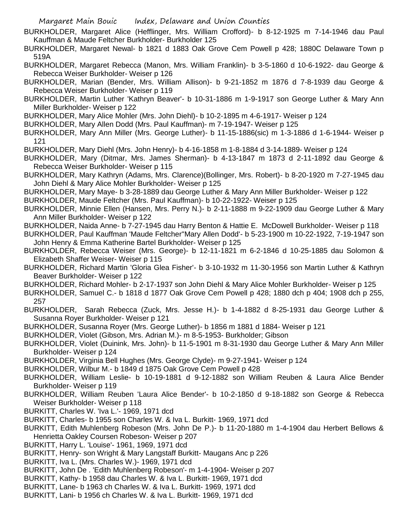- BURKHOLDER, Margaret Alice (Hefflinger, Mrs. William Crofford)- b 8-12-1925 m 7-14-1946 dau Paul Kauffman & Maude Feltcher Burkholder- Burkholder 125
- BURKHOLDER, Margaret Newal- b 1821 d 1883 Oak Grove Cem Powell p 428; 1880C Delaware Town p 519A
- BURKHOLDER, Margaret Rebecca (Manon, Mrs. William Franklin)- b 3-5-1860 d 10-6-1922- dau George & Rebecca Weiser Burkholder- Weiser p 126
- BURKHOLDER, Marian (Bender, Mrs. William Allison)- b 9-21-1852 m 1876 d 7-8-1939 dau George & Rebecca Weiser Burkholder- Weiser p 119
- BURKHOLDER, Martin Luther 'Kathryn Beaver'- b 10-31-1886 m 1-9-1917 son George Luther & Mary Ann Miller Burkholder- Weiser p 122

BURKHOLDER, Mary Alice Mohler (Mrs. John Diehl)- b 10-2-1895 m 4-6-1917- Weiser p 124

BURKHOLDER, Mary Allen Dodd (Mrs. Paul Kauffman)- m 7-19-1947- Weiser p 125

- BURKHOLDER, Mary Ann Miller (Mrs. George Luther)- b 11-15-1886(sic) m 1-3-1886 d 1-6-1944- Weiser p 121
- BURKHOLDER, Mary Diehl (Mrs. John Henry)- b 4-16-1858 m 1-8-1884 d 3-14-1889- Weiser p 124
- BURKHOLDER, Mary (Ditmar, Mrs. James Sherman)- b 4-13-1847 m 1873 d 2-11-1892 dau George & Rebecca Weiser Burkholder- Weiser p 115
- BURKHOLDER, Mary Kathryn (Adams, Mrs. Clarence)(Bollinger, Mrs. Robert)- b 8-20-1920 m 7-27-1945 dau John Diehl & Mary Alice Mohler Burkholder- Weiser p 125
- BURKHOLDER, Mary Maye- b 3-28-1889 dau George Luther & Mary Ann Miller Burkholder- Weiser p 122

BURKHOLDER, Maude Feltcher (Mrs. Paul Kauffman)- b 10-22-1922- Weiser p 125

BURKHOLDER, Minnie Ellen (Hansen, Mrs. Perry N.)- b 2-11-1888 m 9-22-1909 dau George Luther & Mary Ann Miller Burkholder- Weiser p 122

BURKHOLDER, Naida Anne- b 7-27-1945 dau Harry Benton & Hattie E. McDowell Burkholder- Weiser p 118

BURKHOLDER, Paul Kauffman 'Maude Feltcher''Mary Allen Dodd'- b 5-23-1900 m 10-22-1922, 7-19-1947 son John Henry & Emma Katherine Bartel Burkholder- Weiser p 125

- BURKHOLDER, Rebecca Weiser (Mrs. George)- b 12-11-1821 m 6-2-1846 d 10-25-1885 dau Solomon & Elizabeth Shaffer Weiser- Weiser p 115
- BURKHOLDER, Richard Martin 'Gloria Glea Fisher'- b 3-10-1932 m 11-30-1956 son Martin Luther & Kathryn Beaver Burkholder- Weiser p 122
- BURKHOLDER, Richard Mohler- b 2-17-1937 son John Diehl & Mary Alice Mohler Burkholder- Weiser p 125
- BURKHOLDER, Samuel C.- b 1818 d 1877 Oak Grove Cem Powell p 428; 1880 dch p 404; 1908 dch p 255, 257
- BURKHOLDER, Sarah Rebecca (Zuck, Mrs. Jesse H.)- b 1-4-1882 d 8-25-1931 dau George Luther & Susanna Royer Burkholder- Weiser p 121
- BURKHOLDER, Susanna Royer (Mrs. George Luther)- b 1856 m 1881 d 1884- Weiser p 121

BURKHOLDER, Violet (Gibson, Mrs. Adrian M.)- m 8-5-1953- Burkholder; Gibson

- BURKHOLDER, Violet (Duinink, Mrs. John)- b 11-5-1901 m 8-31-1930 dau George Luther & Mary Ann Miller Burkholder- Weiser p 124
- BURKHOLDER, Virginia Bell Hughes (Mrs. George Clyde)- m 9-27-1941- Weiser p 124
- BURKHOLDER, Wilbur M.- b 1849 d 1875 Oak Grove Cem Powell p 428
- BURKHOLDER, William Leslie- b 10-19-1881 d 9-12-1882 son William Reuben & Laura Alice Bender Burkholder- Weiser p 119
- BURKHOLDER, William Reuben 'Laura Alice Bender'- b 10-2-1850 d 9-18-1882 son George & Rebecca Weiser Burkholder- Weiser p 118
- BURKITT, Charles W. 'Iva L.'- 1969, 1971 dcd
- BURKITT, Charles- b 1955 son Charles W. & Iva L. Burkitt- 1969, 1971 dcd
- BURKITT, Edith Muhlenberg Robeson (Mrs. John De P.)- b 11-20-1880 m 1-4-1904 dau Herbert Bellows & Henrietta Oakley Coursen Robeson- Weiser p 207
- BURKITT, Harry L. 'Louise'- 1961, 1969, 1971 dcd
- BURKITT, Henry- son Wright & Mary Langstaff Burkitt- Maugans Anc p 226
- BURKITT, Iva L. (Mrs. Charles W.)- 1969, 1971 dcd
- BURKITT, John De . 'Edith Muhlenberg Robeson'- m 1-4-1904- Weiser p 207
- BURKITT, Kathy- b 1958 dau Charles W. & Iva L. Burkitt- 1969, 1971 dcd
- BURKITT, Lane- b 1963 ch Charles W. & Iva L. Burkitt- 1969, 1971 dcd
- BURKITT, Lani- b 1956 ch Charles W. & Iva L. Burkitt- 1969, 1971 dcd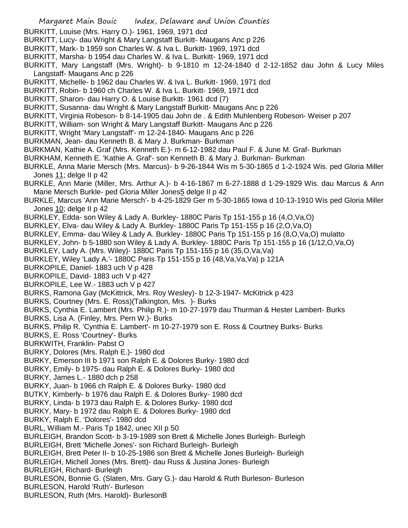- BURKITT, Louise (Mrs. Harry O.)- 1961, 1969, 1971 dcd
- BURKITT, Lucy- dau Wright & Mary Langstaff Burkitt- Maugans Anc p 226
- BURKITT, Mark- b 1959 son Charles W. & Iva L. Burkitt- 1969, 1971 dcd
- BURKITT, Marsha- b 1954 dau Charles W. & Iva L. Burkitt- 1969, 1971 dcd
- BURKITT, Mary Langstaff (Mrs. Wright)- b 9-1810 m 12-24-1840 d 2-12-1852 dau John & Lucy Miles Langstaff- Maugans Anc p 226
- BURKITT, Michelle- b 1962 dau Charles W. & Iva L. Burkitt- 1969, 1971 dcd
- BURKITT, Robin- b 1960 ch Charles W. & Iva L. Burkitt- 1969, 1971 dcd
- BURKITT, Sharon- dau Harry O. & Louise Burkitt- 1961 dcd (7)
- BURKITT, Susanna- dau Wright & Mary Langstaff Burkitt- Maugans Anc p 226
- BURKITT, Virginia Robeson- b 8-14-1905 dau John de . & Edith Muhlenberg Robeson- Weiser p 207
- BURKITT, William- son Wright & Mary Langstaff Burkitt- Maugans Anc p 226
- BURKITT, Wright 'Mary Langstaff'- m 12-24-1840- Maugans Anc p 226
- BURKMAN, Jean- dau Kenneth B. & Mary J. Burkman- Burkman
- BURKMAN, Kathie A. Graf (Mrs. Kenneth E.)- m 6-12-1982 dau Paul F. & June M. Graf- Burkman
- BURKHAM, Kenneth E. 'Kathie A. Graf'- son Kenneth B. & Mary J. Burkman- Burkman
- BURKLE, Anna Marie Mersch (Mrs. Marcus)- b 9-26-1844 Wis m 5-30-1865 d 1-2-1924 Wis. ped Gloria Miller Jones 11; delge II p 42
- BURKLE, Ann Marie (Miller, Mrs. Arthur A.)- b 4-16-1867 m 6-27-1888 d 1-29-1929 Wis. dau Marcus & Ann Marie Mersch Burkle- ped Gloria Miller Jones5 delge II p 42
- BURKLE, Marcus 'Ann Marie Mersch'- b 4-25-1829 Ger m 5-30-1865 Iowa d 10-13-1910 Wis ped Gloria Miller Jones 10; delge II p 42
- BURKLEY, Edda- son Wiley & Lady A. Burkley- 1880C Paris Tp 151-155 p 16 (4,O,Va,O)
- BURKLEY, Elva- dau Wiley & Lady A. Burkley- 1880C Paris Tp 151-155 p 16 (2,O,Va,O)
- BURKLEY, Emma- dau Wiley & Lady A. Burkley- 1880C Paris Tp 151-155 p 16 (8,O,Va,O) mulatto
- BURKLEY, John- b 5-1880 son Wiley & Lady A. Burkley- 1880C Paris Tp 151-155 p 16 (1/12,O,Va,O)
- BURKLEY, Lady A. (Mrs. Wiley)- 1880C Paris Tp 151-155 p 16 (35,O,Va,Va)
- BURKLEY, Wiley 'Lady A.'- 1880C Paris Tp 151-155 p 16 (48,Va,Va,Va) p 121A
- BURKOPILE, Daniel- 1883 uch V p 428
- BURKOPILE, David- 1883 uch V p 427
- BURKOPILE, Lee W.- 1883 uch V p 427
- BURKS, Ramona Gay (McKittrick, Mrs. Roy Wesley)- b 12-3-1947- McKitrick p 423
- BURKS, Courtney (Mrs. E. Ross)(Talkington, Mrs. )- Burks
- BURKS, Cynthia E. Lambert (Mrs. Philip R.)- m 10-27-1979 dau Thurman & Hester Lambert- Burks
- BURKS, Lisa A. (Finley, Mrs. Pern W.)- Burks
- BURKS, Philip R. 'Cynthia E. Lambert'- m 10-27-1979 son E. Ross & Courtney Burks- Burks
- BURKS, E. Ross 'Courtney'- Burks
- BURKWITH, Franklin- Pabst O
- BURKY, Dolores (Mrs. Ralph E.)- 1980 dcd
- BURKY, Emerson III b 1971 son Ralph E. & Dolores Burky- 1980 dcd
- BURKY, Emily- b 1975- dau Ralph E. & Dolores Burky- 1980 dcd
- BURKY, James L.- 1880 dch p 258
- BURKY, Juan- b 1966 ch Ralph E. & Dolores Burky- 1980 dcd
- BUTKY, Kimberly- b 1976 dau Ralph E. & Dolores Burky- 1980 dcd
- BURKY, Linda- b 1973 dau Ralph E. & Dolores Burky- 1980 dcd
- BURKY, Mary- b 1972 dau Ralph E. & Dolores Burky- 1980 dcd
- BURKY, Ralph E. 'Dolores'- 1980 dcd
- BURL, William M.- Paris Tp 1842, unec XII p 50
- BURLEIGH, Brandon Scott- b 3-19-1989 son Brett & Michelle Jones Burleigh- Burleigh BURLEIGH, Brett 'Michelle Jones'- son Richard Burleigh- Burleigh
- 
- BURLEIGH, Brett Peter II- b 10-25-1986 son Brett & Michelle Jones Burleigh- Burleigh
- BURLEIGH, Michell Jones (Mrs. Brett)- dau Russ & Justina Jones- Burleigh
- BURLEIGH, Richard- Burleigh
- BURLESON, Bonnie G. (Slaten, Mrs. Gary G.)- dau Harold & Ruth Burleson- Burleson BURLESON, Harold 'Ruth'- Burleson
- BURLESON, Ruth (Mrs. Harold)- BurlesonB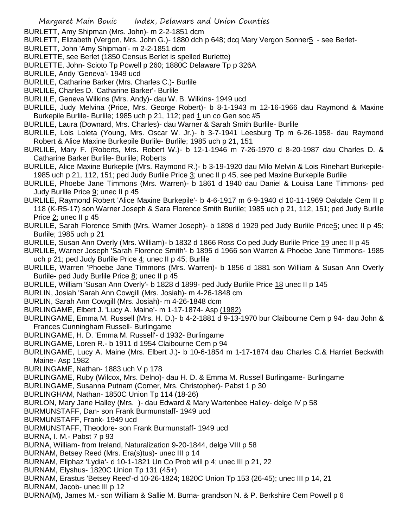BURLETT, Amy Shipman (Mrs. John)- m 2-2-1851 dcm

- BURLETT, Elizabeth (Vergon, Mrs. John G.)- 1880 dch p 648; dcq Mary Vergon Sonner5 see Berlet-
- BURLETT, John 'Amy Shipman'- m 2-2-1851 dcm
- BURLETTE, see Berlet (1850 Census Berlet is spelled Burlette)
- BURLETTE, John- Scioto Tp Powell p 260; 1880C Delaware Tp p 326A
- BURLILE, Andy 'Geneva'- 1949 ucd
- BURLILE, Catharine Barker (Mrs. Charles C.)- Burlile
- BURLILE, Charles D. 'Catharine Barker'- Burlile
- BURLILE, Geneva Wilkins (Mrs. Andy)- dau W. B. Wilkins- 1949 ucd
- BURLILE, Judy Melvina (Price, Mrs. George Robert)- b 8-1-1943 m 12-16-1966 dau Raymond & Maxine Burkepile Burlile- Burlile; 1985 uch p 21, 112; ped 1 un co Gen soc #5
- BURLILE, Laura (Downard, Mrs. Charles)- dau Warner & Sarah Smith Burlile- Burlile
- BURLILE, Lois Loleta (Young, Mrs. Oscar W. Jr.)- b 3-7-1941 Leesburg Tp m 6-26-1958- dau Raymond Robert & Alice Maxine Burkepile Burlile- Burlile; 1985 uch p 21, 151
- BURLILE, Mary F. (Roberts, Mrs. Robert W.)- b 12-1-1946 m 7-26-1970 d 8-20-1987 dau Charles D. & Catharine Barker Burlile- Burlile; Roberts
- BURLILE, Alice Maxine Burkepile (Mrs. Raymond R.)- b 3-19-1920 dau Milo Melvin & Lois Rinehart Burkepile-1985 uch p 21, 112, 151; ped Judy Burlile Price 3; unec II p 45, see ped Maxine Burkepile Burlile
- BURLILE, Phoebe Jane Timmons (Mrs. Warren)- b 1861 d 1940 dau Daniel & Louisa Lane Timmons- ped Judy Burlile Price 9; unec II p 45
- BURLILE, Raymond Robert 'Alice Maxine Burkepile'- b 4-6-1917 m 6-9-1940 d 10-11-1969 Oakdale Cem II p 118 (K-R5-17) son Warner Joseph & Sara Florence Smith Burlile; 1985 uch p 21, 112, 151; ped Judy Burlile Price 2; unec II p 45
- BURLILE, Sarah Florence Smith (Mrs. Warner Joseph)- b 1898 d 1929 ped Judy Burlile Price5; unec II p 45; Burlile; 1985 uch p 21
- BURLILE, Susan Ann Overly (Mrs. William)- b 1832 d 1866 Ross Co ped Judy Burlile Price 19 unec II p 45
- BURLILE, Warner Joseph 'Sarah Florence Smith'- b 1895 d 1966 son Warren & Phoebe Jane Timmons- 1985 uch p 21; ped Judy Burlile Price 4; unec II p 45; Burlile
- BURLILE, Warren 'Phoebe Jane Timmons (Mrs. Warren)- b 1856 d 1881 son William & Susan Ann Overly Burlile- ped Judy Burlile Price 8; unec II p 45
- BURLILE, William 'Susan Ann Overly'- b 1828 d 1899- ped Judy Burlile Price 18 unec II p 145
- BURLIN, Josiah 'Sarah Ann Cowgill (Mrs. Josiah)- m 4-26-1848 cm
- BURLIN, Sarah Ann Cowgill (Mrs. Josiah)- m 4-26-1848 dcm
- BURLINGAME, Elbert J. 'Lucy A. Maine'- m 1-17-1874- Asp (1982)
- BURLINGAME, Emma M. Russell (Mrs. H. D.)- b 4-2-1881 d 9-13-1970 bur Claibourne Cem p 94- dau John & Frances Cunningham Russell- Burlingame
- BURLINGAME, H. D. 'Emma M. Russell'- d 1932- Burlingame
- BURLINGAME, Loren R.- b 1911 d 1954 Claibourne Cem p 94
- BURLINGAME, Lucy A. Maine (Mrs. Elbert J.)- b 10-6-1854 m 1-17-1874 dau Charles C.& Harriet Beckwith Maine- Asp 1982
- BURLINGAME, Nathan- 1883 uch V p 178
- BURLINGAME, Ruby (Wilcox, Mrs. Delno)- dau H. D. & Emma M. Russell Burlingame- Burlingame
- BURLINGAME, Susanna Putnam (Corner, Mrs. Christopher)- Pabst 1 p 30
- BURLINGHAM, Nathan- 1850C Union Tp 114 (18-26)
- BURLON, Mary Jane Halley (Mrs. )- dau Edward & Mary Wartenbee Halley- delge IV p 58
- BURMUNSTAFF, Dan- son Frank Burmunstaff- 1949 ucd
- BURMUNSTAFF, Frank- 1949 ucd
- BURMUNSTAFF, Theodore- son Frank Burmunstaff- 1949 ucd
- BURNA, I. M.- Pabst 7 p 93
- BURNA, William- from Ireland, Naturalization 9-20-1844, delge VIII p 58
- BURNAM, Betsey Reed (Mrs. Era(s)tus)- unec III p 14
- BURNAM, Eliphaz 'Lydia'- d 10-1-1821 Un Co Prob will p 4; unec III p 21, 22
- BURNAM, Elyshus- 1820C Union Tp 131 (45+)
- BURNAM, Erastus 'Betsey Reed'-d 10-26-1824; 1820C Union Tp 153 (26-45); unec III p 14, 21
- BURNAM, Jacob- unec III p 12
- BURNA(M), James M.- son William & Sallie M. Burna- grandson N. & P. Berkshire Cem Powell p 6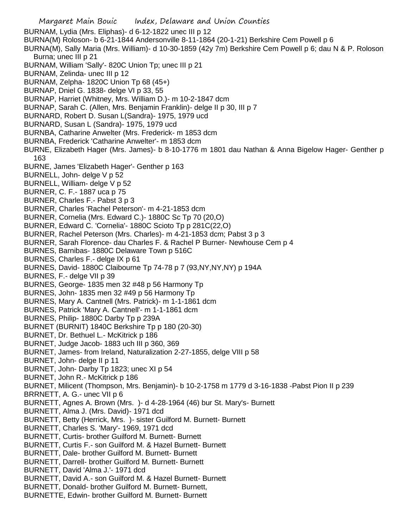Margaret Main Bouic Index, Delaware and Union Counties BURNAM, Lydia (Mrs. Eliphas)- d 6-12-1822 unec III p 12 BURNA(M) Roloson- b 6-21-1844 Andersonville 8-11-1864 (20-1-21) Berkshire Cem Powell p 6 BURNA(M), Sally Maria (Mrs. William)- d 10-30-1859 (42y 7m) Berkshire Cem Powell p 6; dau N & P. Roloson Burna; unec III p 21 BURNAM, William 'Sally'- 820C Union Tp; unec III p 21 BURNAM, Zelinda- unec III p 12 BURNAM, Zelpha- 1820C Union Tp 68 (45+) BURNAP, Dniel G. 1838- delge VI p 33, 55 BURNAP, Harriet (Whitney, Mrs. William D.)- m 10-2-1847 dcm BURNAP, Sarah C. (Allen, Mrs. Benjamin Franklin)- delge II p 30, III p 7 BURNARD, Robert D. Susan L(Sandra)- 1975, 1979 ucd BURNARD, Susan L (Sandra)- 1975, 1979 ucd BURNBA, Catharine Anwelter (Mrs. Frederick- m 1853 dcm BURNBA, Frederick 'Catharine Anwelter'- m 1853 dcm BURNE, Elizabeth Hager (Mrs. James)- b 8-10-1776 m 1801 dau Nathan & Anna Bigelow Hager- Genther p 163 BURNE, James 'Elizabeth Hager'- Genther p 163 BURNELL, John- delge V p 52 BURNELL, William- delge V p 52 BURNER, C. F.- 1887 uca p 75 BURNER, Charles F.- Pabst 3 p 3 BURNER, Charles 'Rachel Peterson'- m 4-21-1853 dcm BURNER, Cornelia (Mrs. Edward C.)- 1880C Sc Tp 70 (20,O) BURNER, Edward C. 'Cornelia'- 1880C Scioto Tp p 281C(22,O) BURNER, Rachel Peterson (Mrs. Charles)- m 4-21-1853 dcm; Pabst 3 p 3 BURNER, Sarah Florence- dau Charles F. & Rachel P Burner- Newhouse Cem p 4 BURNES, Barnibas- 1880C Delaware Town p 516C BURNES, Charles F.- delge IX p 61 BURNES, David- 1880C Claibourne Tp 74-78 p 7 (93,NY,NY,NY) p 194A BURNES, F.- delge VII p 39 BURNES, George- 1835 men 32 #48 p 56 Harmony Tp BURNES, John- 1835 men 32 #49 p 56 Harmony Tp BURNES, Mary A. Cantnell (Mrs. Patrick)- m 1-1-1861 dcm BURNES, Patrick 'Mary A. Cantnell'- m 1-1-1861 dcm BURNES, Philip- 1880C Darby Tp p 239A BURNET (BURNIT) 1840C Berkshire Tp p 180 (20-30) BURNET, Dr. Bethuel L.- McKitrick p 186 BURNET, Judge Jacob- 1883 uch III p 360, 369 BURNET, James- from Ireland, Naturalization 2-27-1855, delge VIII p 58 BURNET, John- delge II p 11 BURNET, John- Darby Tp 1823; unec XI p 54 BURNET, John R.- McKitrick p 186 BURNET, Milicent (Thompson, Mrs. Benjamin)- b 10-2-1758 m 1779 d 3-16-1838 -Pabst Pion II p 239 BRRNETT, A. G.- unec VII p 6 BURNETT, Agnes A. Brown (Mrs. )- d 4-28-1964 (46) bur St. Mary's- Burnett BURNETT, Alma J. (Mrs. David)- 1971 dcd BURNETT, Betty (Herrick, Mrs. )- sister Guilford M. Burnett- Burnett BURNETT, Charles S. 'Mary'- 1969, 1971 dcd BURNETT, Curtis- brother Guilford M. Burnett- Burnett BURNETT, Curtis F.- son Guilford M. & Hazel Burnett- Burnett BURNETT, Dale- brother Guilford M. Burnett- Burnett BURNETT, Darrell- brother Guilford M. Burnett- Burnett BURNETT, David 'Alma J.'- 1971 dcd BURNETT, David A.- son Guilford M. & Hazel Burnett- Burnett BURNETT, Donald- brother Guilford M. Burnett- Burnett, BURNETTE, Edwin- brother Guilford M. Burnett- Burnett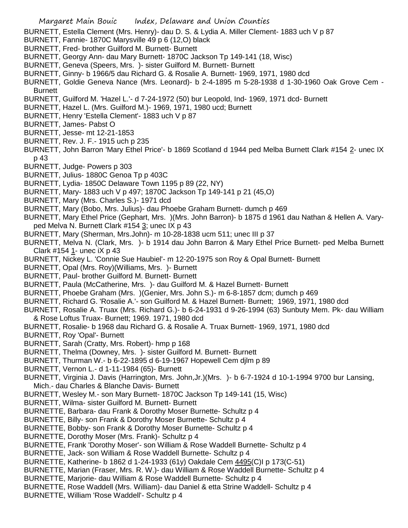BURNETT, Estella Clement (Mrs. Henry)- dau D. S. & Lydia A. Miller Clement- 1883 uch V p 87

- BURNETT, Fannie- 1870C Marysville 49 p 6 (12,O) black
- BURNETT, Fred- brother Guilford M. Burnett- Burnett
- BURNETT, Georgy Ann- dau Mary Burnett- 1870C Jackson Tp 149-141 (18, Wisc)
- BURNETT, Geneva (Speers, Mrs. )- sister Guilford M. Burnett- Burnett
- BURNETT, Ginny- b 1966/5 dau Richard G. & Rosalie A. Burnett- 1969, 1971, 1980 dcd
- BURNETT, Goldie Geneva Nance (Mrs. Leonard)- b 2-4-1895 m 5-28-1938 d 1-30-1960 Oak Grove Cem **Burnett**
- BURNETT, Guilford M. 'Hazel L.'- d 7-24-1972 (50) bur Leopold, Ind- 1969, 1971 dcd- Burnett
- BURNETT, Hazel L. (Mrs. Guilford M.)- 1969, 1971, 1980 ucd; Burnett
- BURNETT, Henry 'Estella Clement'- 1883 uch V p 87
- BURNETT, James- Pabst O
- BURNETT, Jesse- mt 12-21-1853
- BURNETT, Rev. J. F.- 1915 uch p 235
- BURNETT, John Barron 'Mary Ethel Price'- b 1869 Scotland d 1944 ped Melba Burnett Clark #154 2- unec IX p 43
- BURNETT, Judge- Powers p 303
- BURNETT, Julius- 1880C Genoa Tp p 403C
- BURNETT, Lydia- 1850C Delaware Town 1195 p 89 (22, NY)
- BURNETT, Mary- 1883 uch V p 497; 1870C Jackson Tp 149-141 p 21 (45,O)
- BURNETT, Mary (Mrs. Charles S.)- 1971 dcd
- BURNETT, Mary (Bobo, Mrs. Julius)- dau Phoebe Graham Burnett- dumch p 469
- BURNETT, Mary Ethel Price (Gephart, Mrs. )(Mrs. John Barron)- b 1875 d 1961 dau Nathan & Hellen A. Varyped Melva N. Burnett Clark  $\#154 \underline{3}$ ; unec IX p 43
- BURNETT, Mary (Sherman, Mrs.John)- m 10-28-1838 ucm 511; unec III p 37
- BURNETT, Melva N. (Clark, Mrs. )- b 1914 dau John Barron & Mary Ethel Price Burnett- ped Melba Burnett Clark #154 1- unec iX p 43
- BURNETT, Nickey L. 'Connie Sue Haubiel'- m 12-20-1975 son Roy & Opal Burnett- Burnett
- BURNETT, Opal (Mrs. Roy)(Williams, Mrs. )- Burnett
- BURNETT, Paul- brother Guilford M. Burnett- Burnett
- BURNETT, Paula (McCatherine, Mrs. )- dau Guilford M. & Hazel Burnett- Burnett
- BURNETT, Phoebe Graham (Mrs. )(Genier, Mrs. John S.)- m 6-8-1857 dcm; dumch p 469
- BURNETT, Richard G. 'Rosalie A.'- son Guilford M. & Hazel Burnett- Burnett; 1969, 1971, 1980 dcd
- BURNETT, Rosalie A. Truax (Mrs. Richard G.)- b 6-24-1931 d 9-26-1994 (63) Sunbuty Mem. Pk- dau William & Rose Loftus Truax- Burnett; 1969. 1971, 1980 dcd
- BURNETT, Rosalie- b 1968 dau Richard G. & Rosalie A. Truax Burnett- 1969, 1971, 1980 dcd
- BURNETT, Roy 'Opal'- Burnett
- BURNETT, Sarah (Cratty, Mrs. Robert)- hmp p 168
- BURNETT, Thelma (Downey, Mrs. )- sister Guilford M. Burnett- Burnett
- BURNETT, Thurman W.- b 6-22-1895 d 6-19-1967 Hopewell Cem djlm p 89
- BURNETT, Vernon L.- d 1-11-1984 (65)- Burnett
- BURNETT, Virginia J. Davis (Harrington, Mrs. John,Jr.)(Mrs. )- b 6-7-1924 d 10-1-1994 9700 bur Lansing, Mich.- dau Charles & Blanche Davis- Burnett
- BURNETT, Wesley M.- son Mary Burnett- 1870C Jackson Tp 149-141 (15, Wisc)
- BURNETT, Wilma- sister Guilford M. Burnett- Burnett
- BURNETTE, Barbara- dau Frank & Dorothy Moser Burnette- Schultz p 4
- BURNETTE, Billy- son Frank & Dorothy Moser Burnette- Schultz p 4
- BURNETTE, Bobby- son Frank & Dorothy Moser Burnette- Schultz p 4
- BURNETTE, Dorothy Moser (Mrs. Frank)- Schultz p 4
- BURNETTE, Frank 'Dorothy Moser'- son William & Rose Waddell Burnette- Schultz p 4
- BURNETTE, Jack- son William & Rose Waddell Burnette- Schultz p 4
- BURNETTE, Katherine- b 1862 d 1-24-1933 (61y) Oakdale Cem 4495(C)I p 173(C-51)
- BURNETTE, Marian (Fraser, Mrs. R. W.)- dau William & Rose Waddell Burnette- Schultz p 4
- BURNETTE, Marjorie- dau William & Rose Waddell Burnette- Schultz p 4
- BURNETTE, Rose Waddell (Mrs. William)- dau Daniel & etta Strine Waddell- Schultz p 4
- BURNETTE, William 'Rose Waddell'- Schultz p 4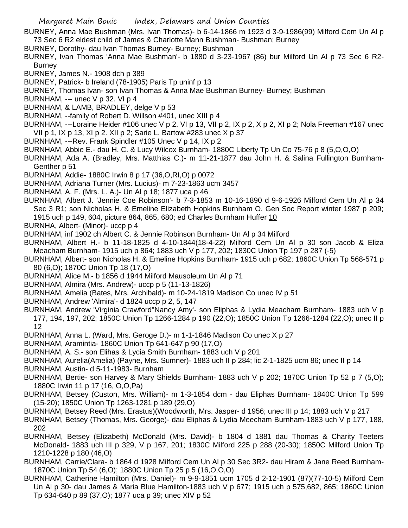- BURNEY, Anna Mae Bushman (Mrs. Ivan Thomas)- b 6-14-1866 m 1923 d 3-9-1986(99) Milford Cem Un Al p 73 Sec 6 R2 eldest child of James & Charlotte Mann Bushman- Bushman; Burney
- BURNEY, Dorothy- dau Ivan Thomas Burney- Burney; Bushman
- BURNEY, Ivan Thomas 'Anna Mae Bushman'- b 1880 d 3-23-1967 (86) bur Milford Un Al p 73 Sec 6 R2- Burney
- BURNEY, James N.- 1908 dch p 389
- BURNEY, Patrick- b Ireland (78-1905) Paris Tp uninf p 13
- BURNEY, Thomas Ivan- son Ivan Thomas & Anna Mae Bushman Burney- Burney; Bushman
- BURNHAM, --- unec V p 32. VI p 4
- BURNHAM, & LAMB, BRADLEY, delge V p 53
- BURNHAM, --family of Robert D. Willson #401, unec XIII p 4
- BURNHAM, ---Loraine Heider #106 unec V p 2. VI p 13, VII p 2, IX p 2, X p 2, XI p 2; Nola Freeman #167 unec VII p 1, IX p 13, XI p 2. XII p 2; Sarie L. Bartow #283 unec X p 37
- BURNHAM, ---Rev. Frank Spindler #105 Unec V p 14, IX p 2
- BURNHAM, Abbie E.- dau H. C. & Lucy Wilcox Burnham- 1880C Liberty Tp Un Co 75-76 p 8 (5,O,O,O)
- BURNHAM, Ada A. (Bradley, Mrs. Matthias C.)- m 11-21-1877 dau John H. & Salina Fullington Burnham-Genther p 51
- BURNHAM, Addie- 1880C Irwin 8 p 17 (36,O,RI,O) p 0072
- BURNHAM, Adriana Turner (Mrs. Lucius)- m 7-23-1863 ucm 3457
- BURNHAM, A. F. (Mrs. L. A.)- Un Al p 18; 1877 uca p 46
- BURNHAM, Albert J. 'Jennie Coe Robinson'- b 7-3-1853 m 10-16-1890 d 9-6-1926 Milford Cem Un Al p 34 Sec 3 R1; son Nicholas H. & Emeline Elizabeth Hopkins Burnham O. Gen Soc Report winter 1987 p 209; 1915 uch p 149, 604, picture 864, 865, 680; ed Charles Burnham Huffer 10
- BURNHA, Albert- (Minor)- uccp p 4
- BURNHAM, inf 1902 ch Albert C. & Jennie Robinson Burnham- Un Al p 34 Milford
- BURNHAM, Albert H.- b 11-18-1825 d 4-10-1844(18-4-22) Milford Cem Un Al p 30 son Jacob & Eliza Meacham Burnham- 1915 uch p 864; 1883 uch V p 177, 202; 1830C Union Tp 197 p 287 (-5)
- BURNHAM, Albert- son Nicholas H. & Emeline Hopkins Burnham- 1915 uch p 682; 1860C Union Tp 568-571 p 80 (6,O); 1870C Union Tp 18 (17,O)
- BURNHAM, Alice M.- b 1856 d 1944 Milford Mausoleum Un Al p 71
- BURNHAM, Almira (Mrs. Andrew)- uccp p 5 (11-13-1826)
- BURNHAM, Amelia (Bates, Mrs. Archibald)- m 10-24-1819 Madison Co unec IV p 51
- BURNHAM, Andrew 'Almira'- d 1824 uccp p 2, 5, 147
- BURNHAM, Andrew 'Virginia Crawford''Nancy Amy'- son Eliphas & Lydia Meacham Burnham- 1883 uch V p 177, 194, 197, 202; 1850C Union Tp 1266-1284 p 190 (22,O); 1850C Union Tp 1266-1284 (22,O); unec II p 12
- BURNHAM, Anna L. (Ward, Mrs. Geroge D.)- m 1-1-1846 Madison Co unec X p 27
- BURNHAM, Aramintia- 1860C Union Tp 641-647 p 90 (17,O)
- BURNHAM, A. S.- son Elihas & Lycia Smith Burnham- 1883 uch V p 201
- BURNHAM, Aurelia(Amelia) (Payne, Mrs. Sumner)- 1883 uch II p 284; lic 2-1-1825 ucm 86; unec II p 14
- BURNHAM, Austin- d 5-11-1983- Burnham
- BURNHAM, Bertie- son Harvey & Mary Shields Burnham- 1883 uch V p 202; 1870C Union Tp 52 p 7 (5,O); 1880C Irwin 11 p 17 (16, O,O,Pa)
- BURNHAM, Betsey (Custon, Mrs. William)- m 1-3-1854 dcm dau Eliphas Burnham- 1840C Union Tp 599 (15-20); 1850C Union Tp 1263-1281 p 189 (29,O)
- BURNHAM, Betsey Reed (Mrs. Erastus)(Woodworth, Mrs. Jasper- d 1956; unec III p 14; 1883 uch V p 217
- BURNHAM, Betsey (Thomas, Mrs. George)- dau Eliphas & Lydia Meecham Burnham-1883 uch V p 177, 188, 202
- BURNHAM, Betsey (Elizabeth) McDonald (Mrs. David)- b 1804 d 1881 dau Thomas & Charity Teeters McDonald- 1883 uch III p 329, V p 167, 201; 1830C Milford 225 p 288 (20-30); 1850C Milford Union Tp 1210-1228 p 180 (46,O)
- BURNHAM, Carrie/Clara- b 1864 d 1928 Milford Cem Un Al p 30 Sec 3R2- dau Hiram & Jane Reed Burnham-1870C Union Tp 54 (6,O); 1880C Union Tp 25 p 5 (16,O,O,O)
- BURNHAM, Catherine Hamilton (Mrs. Daniel)- m 9-9-1851 ucm 1705 d 2-12-1901 (87)(77-10-5) Milford Cem Un Al p 30- dau James & Maria Blue Hamilton-1883 uch V p 677; 1915 uch p 575,682, 865; 1860C Union Tp 634-640 p 89 (37,O); 1877 uca p 39; unec XIV p 52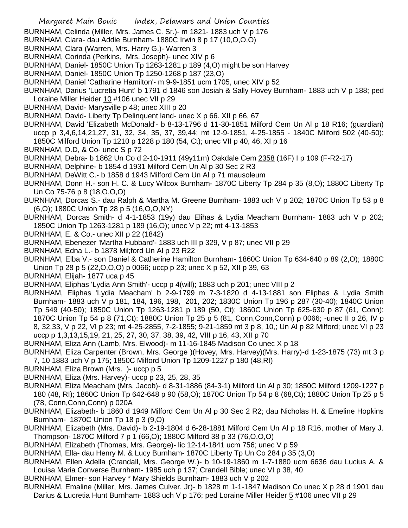- BURNHAM, Celinda (Miller, Mrs. James C. Sr.)- m 1821- 1883 uch V p 176
- BURNHAM, Clara- dau Addie Burnham- 1880C Irwin 8 p 17 (10,O,O,O)
- BURNHAM, Clara (Warren, Mrs. Harry G.)- Warren 3
- BURNHAM, Corinda (Perkins, Mrs. Joseph)- unec XIV p 6
- BURNHAM, Daniel- 1850C Union Tp 1263-1281 p 189 (4,O) might be son Harvey
- BURNHAM, Daniel- 1850C Union Tp 1250-1268 p 187 (23,O)
- BURNHAM, Daniel 'Catharine Hamilton'- m 9-9-1851 ucm 1705, unec XIV p 52
- BURNHAM, Darius 'Lucretia Hunt' b 1791 d 1846 son Josiah & Sally Hovey Burnham- 1883 uch V p 188; ped Loraine Miller Heider 10 #106 unec VII p 29
- BURNHAM, David- Marysville p 48; unec XIII p 20
- BURNHAM, David- Liberty Tp Delinquent land- unec X p 66. XII p 66, 67
- BURNHAM, David 'Elizabeth McDonald'- b 8-13-1796 d 11-30-1851 Milford Cem Un Al p 18 R16; (guardian) uccp p 3,4,6,14,21,27, 31, 32, 34, 35, 37, 39,44; mt 12-9-1851, 4-25-1855 - 1840C Milford 502 (40-50); 1850C Milford Union Tp 1210 p 1228 p 180 (54, Ct); unec VII p 40, 46, XI p 16
- BURNHAM, D.D, & Co- unec S p 72
- BURNHAM, Debra- b 1862 Un Co d 2-10-1911 (49y11m) Oakdale Cem 2358 (16F) I p 109 (F-R2-17)
- BURNHAM, Delphine- b 1854 d 1931 Milford Cem Un Al p 30 Sec 2 R3
- BURNHAM, DeWitt C.- b 1858 d 1943 Milford Cem Un Al p 71 mausoleum
- BURNHAM, Donn H.- son H. C. & Lucy Wilcox Burnham- 1870C Liberty Tp 284 p 35 (8,O); 1880C Liberty Tp Un Co 75-76 p 8 (18,O,O,O)
- BURNHAM, Dorcas S.- dau Ralph & Martha M. Greene Burnham- 1883 uch V p 202; 1870C Union Tp 53 p 8 (6,O); 1880C Union Tp 28 p 5 (16,O,O,NY)
- BURNHAM, Dorcas Smith- d 4-1-1853 (19y) dau Elihas & Lydia Meacham Burnham- 1883 uch V p 202; 1850C Union Tp 1263-1281 p 189 (16,O); unec V p 22; mt 4-13-1853
- BURNHAM, E. & Co.- unec XII p 22 (1842)
- BURNHAM, Ebenezer 'Martha Hubbard'- 1883 uch III p 329, V p 87; unec VII p 29
- BURNHAM, Edna L.- b 1878 Mil;ford Un Al p 23 R22
- BURNHAM, Elba V.- son Daniel & Catherine Hamilton Burnham- 1860C Union Tp 634-640 p 89 (2,O); 1880C Union Tp 28 p 5 (22,O,O,O) p 0066; uccp p 23; unec X p 52, XII p 39, 63
- BURNHAM, Elijah- 1877 uca p 45
- BURNHAM, Eliphas 'Lydia Ann Smith'- uccp p 4(will); 1883 uch p 201; unec VIII p 2
- BURNHAM, Eliphas 'Lydia Meacham' b 2-9-1799 m 7-3-1820 d 4-13-1881 son Eliphas & Lydia Smith Burnham- 1883 uch V p 181, 184, 196, 198, 201, 202; 1830C Union Tp 196 p 287 (30-40); 1840C Union Tp 549 (40-50); 1850C Union Tp 1263-1281 p 189 (50, Ct); 1860C Union Tp 625-630 p 87 (61, Conn); 1870C Union Tp 54 p 8 (71,Ct); 1880C Union Tp 25 p 5 (81, Conn,Conn,Conn) p 0066; -unec II p 26, IV p 8, 32,33, V p 22, VI p 23; mt 4-25-2855, 7-2-1855; 9-21-1859 mt 3 p 8, 10,; Un Al p 82 Milford; unec VI p 23 uccp p 1,3,13,15,19, 21, 25, 27, 30, 37, 38, 39, 42, VIII p 16, 43, XII p 70
- BURNHAM, Eliza Ann (Lamb, Mrs. Elwood)- m 11-16-1845 Madison Co unec X p 18
- BURNHAM, Eliza Carpenter (Brown, Mrs. George )(Hovey, Mrs. Harvey)(Mrs. Harry)-d 1-23-1875 (73) mt 3 p 7, 10 1883 uch V p 175; 1850C Milford Union Tp 1209-1227 p 180 (48,RI)
- BURNHAM, Eliza Brown (Mrs. )- uccp p 5
- BURNHAM, Eliza (Mrs. Harvey)- uccp p 23, 25, 28, 35
- BURNHAM, Eliza Meacham (Mrs. Jacob)- d 8-31-1886 (84-3-1) Milford Un Al p 30; 1850C Milford 1209-1227 p 180 (48, RI); 1860C Union Tp 642-648 p 90 (58,O); 1870C Union Tp 54 p 8 (68,Ct); 1880C Union Tp 25 p 5 (78, Conn,Conn,Conn) p 020A
- BURNHAM, Elizabeth- b 1860 d 1949 Milford Cem Un Al p 30 Sec 2 R2; dau Nicholas H. & Emeline Hopkins Burnham- 1870C Union Tp 18 p 3 (9,O)
- BURNHAM, Elizabeth (Mrs. David)- b 2-19-1804 d 6-28-1881 Milford Cem Un Al p 18 R16, mother of Mary J. Thompson- 1870C Milford 7 p 1 (66,O); 1880C Milford 38 p 33 (76,O,O,O)
- BURNHAM, Elizabeth (Thomas, Mrs. George)- lic 12-14-1841 ucm 756; unec V p 59
- BURNHAM, Ella- dau Henry M. & Lucy Burnham- 1870C Liberty Tp Un Co 284 p 35 (3,O)
- BURNHAM, Ellen Adella (Crandall, Mrs. George W.)- b 10-19-1860 m 1-7-1880 ucm 6636 dau Lucius A. & Louisa Maria Converse Burnham- 1985 uch p 137; Crandell Bible; unec VI p 38, 40
- BURNHAM, Elmer- son Harvey \* Mary Shields Burnham- 1883 uch V p 202
- BURNHAM, Emaline (Miller, Mrs. James Culver, Jr)- b 1828 m 1-1-1847 Madison Co unec X p 28 d 1901 dau Darius & Lucretia Hunt Burnham- 1883 uch V p 176; ped Loraine Miller Heider 5 #106 unec VII p 29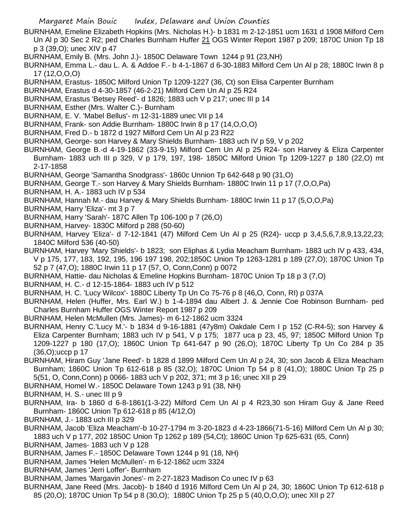- BURNHAM, Emeline Elizabeth Hopkins (Mrs. Nicholas H.)- b 1831 m 2-12-1851 ucm 1631 d 1908 Milford Cem Un Al p 30 Sec 2 R2; ped Charles Burnham Huffer 21 OGS Winter Report 1987 p 209; 1870C Union Tp 18 p 3 (39,O); unec XIV p 47
- BURNHAM, Emily B. (Mrs. John J.)- 1850C Delaware Town 1244 p 91 (23,NH)
- BURNHAM, Emma L.- dau L. A. & Addoe F.- b 4-1-1867 d 6-30-1883 Milford Cem Un Al p 28; 1880C Irwin 8 p 17 (12,O,O,O)
- BURNHAM, Erastus- 1850C Milford Union Tp 1209-1227 (36, Ct) son Elisa Carpenter Burnham
- BURNHAM, Erastus d 4-30-1857 (46-2-21) Milford Cem Un Al p 25 R24
- BURNHAM, Erastus 'Betsey Reed'- d 1826; 1883 uch V p 217; unec III p 14
- BURNHAM, Esther (Mrs. Walter C.)- Burnham
- BURNHAM, E. V. 'Mabel Bellus'- m 12-31-1889 unec VII p 14
- BURNHAM, Frank- son Addie Burnham- 1880C Irwin 8 p 17 (14,O,O,O)
- BURNHAM, Fred D.- b 1872 d 1927 Milford Cem Un Al p 23 R22
- BURNHAM, George- son Harvey & Mary Shields Burnham- 1883 uch IV p 59, V p 202
- BURNHAM, George B.-d 4-19-1862 (33-9-15) Milford Cem Un Al p 25 R24- son Harvey & Eliza Carpenter Burnham- 1883 uch III p 329, V p 179, 197, 198- 1850C Milford Union Tp 1209-1227 p 180 (22,O) mt 2-17-1858
- BURNHAM, George 'Samantha Snodgrass'- 1860c Unnion Tp 642-648 p 90 (31,O)
- BURNHAM, George T.- son Harvey & Mary Shields Burnham- 1880C Irwin 11 p 17 (7,O,O,Pa)
- BURNHAM, H. A.- 1883 uch IV p 534
- BURNHAM, Hannah M.- dau Harvey & Mary Shields Burnham- 1880C Irwin 11 p 17 (5,O,O,Pa)
- BURNHAM, Harry 'Eliza'- mt 3 p 7
- BURNHAM, Harry 'Sarah'- 187C Allen Tp 106-100 p 7 (26,O)
- BURNHAM, Harvey- 1830C Milford p 288 (50-60)
- BURNHAM, Harvey 'Eliza'- d 7-12-1841 (47) Milford Cem Un Al p 25 (R24)- uccp p 3,4,5,6,7,8,9,13,22,23; 1840C Milford 536 (40-50)
- BURNHAM, Harvey 'Mary Shields'- b 1823; son Eliphas & Lydia Meacham Burnham- 1883 uch IV p 433, 434, V p 175, 177, 183, 192, 195, 196 197 198, 202;1850C Union Tp 1263-1281 p 189 (27,O); 1870C Union Tp 52 p 7 (47,O); 1880C Irwin 11 p 17 (57, O, Conn,Conn) p 0072
- BURNHAM, Hattie- dau Nicholas & Emeline Hopkins Burnham- 1870C Union Tp 18 p 3 (7,O)
- BURNHAM, H. C.- d 12-15-1864- 1883 uch IV p 512
- BURNHAM, H. C. 'Lucy Wilcox'- 1880C Liberty Tp Un Co 75-76 p 8 (46,O, Conn, RI) p 037A
- BURNHAM, Helen (Huffer, Mrs. Earl W.) b 1-4-1894 dau Albert J. & Jennie Coe Robinson Burnham- ped Charles Burnham Huffer OGS Winter Report 1987 p 209
- BURNHAM, Helen McMullen (Mrs. James)- m 6-12-1862 ucm 3324
- BURNHAM, Henry C.'Lucy M.'- b 1834 d 9-16-1881 (47y8m) Oakdale Cem I p 152 (C-R4-5); son Harvey & Eliza Carpenter Burnham; 1883 uch IV p 541, V p 175; 1877 uca p 23, 45, 97; 1850C Milford Union Tp 1209-1227 p 180 (17,O); 1860C Union Tp 641-647 p 90 (26,O); 1870C Liberty Tp Un Co 284 p 35 (36,O);uccp p 17
- BURNHAM, Hiram Guy 'Jane Reed'- b 1828 d 1899 Milford Cem Un Al p 24, 30; son Jacob & Eliza Meacham Burnham; 1860C Union Tp 612-618 p 85 (32,O); 1870C Union Tp 54 p 8 (41,O); 1880C Union Tp 25 p 5(51, O, Conn,Conn) p 0066- 1883 uch V p 202, 371; mt 3 p 16; unec XII p 29
- BURNHAM, Homel W.- 1850C Delaware Town 1243 p 91 (38, NH)
- BURNHAM, H. S.- unec III p 9
- BURNHAM, Ira- b 1860 d 6-8-1861(1-3-22) Milford Cem Un Al p 4 R23,30 son Hiram Guy & Jane Reed Burnham- 1860C Union Tp 612-618 p 85 (4/12,O)
- BURNHAM, J.- 1883 uch III p 329
- BURNHAM, Jacob 'Eliza Meacham'-b 10-27-1794 m 3-20-1823 d 4-23-1866(71-5-16) Milford Cem Un Al p 30; 1883 uch V p 177, 202 1850C Union Tp 1262 p 189 (54,Ct); 1860C Union Tp 625-631 (65, Conn)
- BURNHAM, James- 1883 uch V p 128
- BURNHAM, James F.- 1850C Delaware Town 1244 p 91 (18, NH)
- BURNHAM, James 'Helen McMullen'- m 6-12-1862 ucm 3324
- BURNHAM, James 'Jerri Loffer'- Burnham
- BURNHAM, James 'Margavin Jones'- m 2-27-1823 Madison Co unec IV p 63
- BURNHAM, Jane Reed (Mrs. Jacob)- b 1840 d 1916 Milford Cem Un Al p 24, 30; 1860C Union Tp 612-618 p 85 (20,O); 1870C Union Tp 54 p 8 (30,O); 1880C Union Tp 25 p 5 (40,O,O,O); unec XII p 27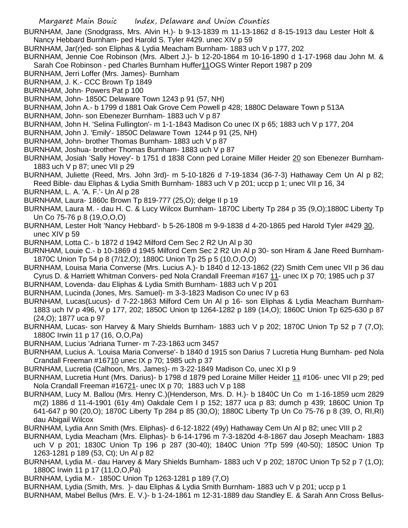BURNHAM, Jane (Snodgrass, Mrs. Alvin H.)- b 9-13-1839 m 11-13-1862 d 8-15-1913 dau Lester Holt & Nancy Hebbard Burnham- ped Harold S. Tyler #429. unec XIV p 59

BURNHAM, Jar(r)ed- son Eliphas & Lydia Meacham Burnham- 1883 uch V p 177, 202

BURNHAM, Jennie Coe Robinson (Mrs. Albert J.)- b 12-20-1864 m 10-16-1890 d 1-17-1968 dau John M. & Sarah Coe Robinson - ped Charles Burnham Huffer11OGS Winter Report 1987 p 209

- BURNHAM, Jerri Loffer (Mrs. James)- Burnham
- BURNHAM, J. K.- CCC Brown Tp 1849
- BURNHAM, John- Powers Pat p 100
- BURNHAM, John- 1850C Delaware Town 1243 p 91 (57, NH)
- BURNHAM, John A.- b 1799 d 1881 Oak Grove Cem Powell p 428; 1880C Delaware Town p 513A
- BURNHAM, John- son Ebenezer Burnham- 1883 uch V p 87
- BURNHAM, John H. 'Selina Fullington'- m 1-1-1843 Madison Co unec IX p 65; 1883 uch V p 177, 204
- BURNHAM, John J. 'Emily'- 1850C Delaware Town 1244 p 91 (25, NH)
- BURNHAM, John- brother Thomas Burnham- 1883 uch V p 87
- BURNHAM, Joshua- brother Thomas Burnham- 1883 uch V p 87
- BURNHAM, Josiah 'Sally Hovey'- b 1751 d 1838 Conn ped Loraine Miller Heider 20 son Ebenezer Burnham-1883 uch V p 87; unec VII p 29
- BURNHAM, Juliette (Reed, Mrs. John 3rd)- m 5-10-1826 d 7-19-1834 (36-7-3) Hathaway Cem Un Al p 82; Reed Bible- dau Eliphas & Lydia Smith Burnham- 1883 uch V p 201; uccp p 1; unec VII p 16, 34
- BURNHAM, L. A. 'A. F.'- Un Al p 28
- BURNHAM, Laura- 1860c Brown Tp 819-777 (25,O); delge II p 19
- BURNHAM, Laura M. dau H. C. & Lucy Wilcox Burnham- 1870C Liberty Tp 284 p 35 (9,O);1880C Liberty Tp Un Co 75-76 p 8 (19,O,O,O)
- BURNHAM, Lester Holt 'Nancy Hebbard'- b 5-26-1808 m 9-9-1838 d 4-20-1865 ped Harold Tyler #429 30, unec XIV p 59
- BURNHAM, Lotta C.- b 1872 d 1942 Milford Cem Sec 2 R2 Un Al p 30
- BURNHAM, Louie C.- b 10-1869 d 1945 Milford Cem Sec 2 R2 Un Al p 30- son Hiram & Jane Reed Burnham-1870C Union Tp 54 p 8 (7/12,O); 1880C Union Tp 25 p 5 (10,O,O,O)
- BURNHAM, Louisa Maria Converse (Mrs. Lucius A.)- b 1840 d 12-13-1862 (22) Smith Cem unec VII p 36 dau Cyrus D. & Harriett Whitman Convers- ped Nola Crandall Freeman #167 11- unec IX p 70; 1985 uch p 37
- BURNHAM, Lovenda- dau Eliphas & Lydia Smith Burnham- 1883 uch V p 201
- BURNHAM, Lucinda (Jones, Mrs. Samuel)- m 3-3-1823 Madison Co unec IV p 63
- BURNHAM, Lucas(Lucus)- d 7-22-1863 Milford Cem Un Al p 16- son Eliphas & Lydia Meacham Burnham-1883 uch IV p 496, V p 177, 202; 1850C Union tp 1264-1282 p 189 (14,O); 1860C Union Tp 625-630 p 87 (24,O); 1877 uca p 97
- BURNHAM, Lucas- son Harvey & Mary Shields Burnham- 1883 uch V p 202; 1870C Union Tp 52 p 7 (7,O); 1880C Irwin 11 p 17 (16, O,O,Pa)
- BURNHAM, Lucius 'Adriana Turner- m 7-23-1863 ucm 3457
- BURNHAM, Lucius A. 'Louisa Maria Converse'- b 1840 d 1915 son Darius 7 Lucretia Hung Burnham- ped Nola Crandall Freeman #16710 unec IX p 70; 1985 uch p 37
- BURNHAM, Lucretia (Calhoon, Mrs. James)- m 3-22-1849 Madison Co, unec XI p 9
- BURNHAM, Lucretia Hunt (Mrs. Darius)- b 1798 d 1879 ped Loraine Miller Heider 11 #106- unec VII p 29; ped Nola Crandall Freeman #16721- unec IX p 70; 1883 uch V p 188
- BURNHAM, Lucy M. Ballou (Mrs. Henry C.)(Henderson, Mrs. D. H.)- b 1840C Un Co m 1-16-1859 ucm 2829 m(2) 1886 d 11-4-1901 (61y 4m) Oakdale Cem I p 152; 1877 uca p 83; dumch p 439; 1860C Union Tp 641-647 p 90 (20,O); 1870C Liberty Tp 284 p 85 (30,O); 1880C Liberty Tp Un Co 75-76 p 8 (39, O, RI,RI) dau Abigail Wilcox
- BURNHAM, Lydia Ann Smith (Mrs. Eliphas)- d 6-12-1822 (49y) Hathaway Cem Un Al p 82; unec VIII p 2
- BURNHAM, Lydia Meacham (Mrs. Eliphas)- b 6-14-1796 m 7-3-1820d 4-8-1867 dau Joseph Meacham- 1883 uch V p 201; 1830C Union Tp 196 p 287 (30-40); 1840C Union ?Tp 599 (40-50); 1850C Union Tp 1263-1281 p 189 (53, Ct); Un Al p 82
- BURNHAM, Lydia M.- dau Harvey & Mary Shields Burnham- 1883 uch V p 202; 1870C Union Tp 52 p 7 (1,O); 1880C Irwin 11 p 17 (11,O,O,Pa)
- BURNHAM, Lydia M.- 1850C Union Tp 1263-1281 p 189 (7,O)
- BURNHAM, Lydia (Smith, Mrs. )- dau Eliphas & Lydia Smith Burnham- 1883 uch V p 201; uccp p 1
- BURNHAM, Mabel Bellus (Mrs. E. V.)- b 1-24-1861 m 12-31-1889 dau Standley E. & Sarah Ann Cross Bellus-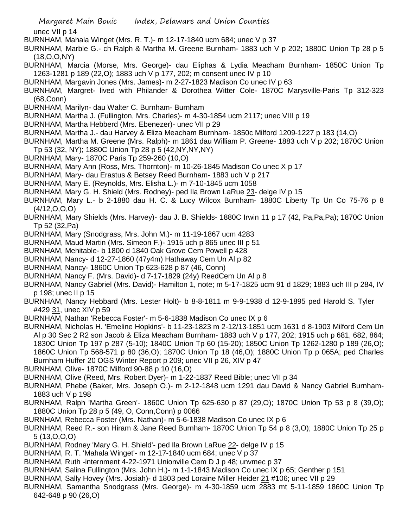unec VII p 14

- BURNHAM, Mahala Winget (Mrs. R. T.)- m 12-17-1840 ucm 684; unec V p 37
- BURNHAM, Marble G.- ch Ralph & Martha M. Greene Burnham- 1883 uch V p 202; 1880C Union Tp 28 p 5 (18,O,O,NY)
- BURNHAM, Marcia (Morse, Mrs. George)- dau Eliphas & Lydia Meacham Burnham- 1850C Union Tp 1263-1281 p 189 (22,O); 1883 uch V p 177, 202; m consent unec IV p 10
- BURNHAM, Margavin Jones (Mrs. James)- m 2-27-1823 Madison Co unec IV p 63
- BURNHAM, Margret- lived with Philander & Dorothea Witter Cole- 1870C Marysville-Paris Tp 312-323 (68,Conn)
- BURNHAM, Marilyn- dau Walter C. Burnham- Burnham
- BURNHAM, Martha J. (Fullington, Mrs. Charles)- m 4-30-1854 ucm 2117; unec VIII p 19
- BURNHAM, Martha Hebberd (Mrs. Ebenezer)- unec VII p 29
- BURNHAM, Martha J.- dau Harvey & Eliza Meacham Burnham- 1850c Milford 1209-1227 p 183 (14,O)
- BURNHAM, Martha M. Greene (Mrs. Ralph)- m 1861 dau William P. Greene- 1883 uch V p 202; 1870C Union Tp 53 (32, NY); 1880C Union Tp 28 p 5 (42,NY,NY,NY)
- BURNHAM, Mary- 1870C Paris Tp 259-260 (10,O)
- BURNHAM, Mary Ann (Ross, Mrs. Thornton)- m 10-26-1845 Madison Co unec X p 17
- BURNHAM, Mary- dau Erastus & Betsey Reed Burnham- 1883 uch V p 217
- BURNHAM, Mary E. (Reynolds, Mrs. Elisha L.)- m 7-10-1845 ucm 1058
- BURNHAM, Mary G. H. Shield (Mrs. Rodney)- ped Ila Brown LaRue 23- delge IV p 15
- BURNHAM, Mary L.- b 2-1880 dau H. C. & Lucy Wilcox Burnham- 1880C Liberty Tp Un Co 75-76 p 8 (4/12,O,O,O)
- BURNHAM, Mary Shields (Mrs. Harvey)- dau J. B. Shields- 1880C Irwin 11 p 17 (42, Pa,Pa,Pa); 1870C Union Tp 52 (32,Pa)
- BURNHAM, Mary (Snodgrass, Mrs. John M.)- m 11-19-1867 ucm 4283
- BURNHAM, Maud Martin (Mrs. Simeon F.)- 1915 uch p 865 unec III p 51
- BURNHAM, Mehitable- b 1800 d 1840 Oak Grove Cem Powell p 428
- BURNHAM, Nancy- d 12-27-1860 (47y4m) Hathaway Cem Un Al p 82
- BURNHAM, Nancy- 1860C Union Tp 623-628 p 87 (46, Conn)
- BURNHAM, Nancy F. (Mrs. David)- d 7-17-1829 (24y) ReedCem Un Al p 8
- BURNHAM, Nancy Gabriel (Mrs. David)- Hamilton 1, note; m 5-17-1825 ucm 91 d 1829; 1883 uch III p 284, IV p 198; unec II p 15
- BURNHAM, Nancy Hebbard (Mrs. Lester Holt)- b 8-8-1811 m 9-9-1938 d 12-9-1895 ped Harold S. Tyler #429 31, unec XIV p 59
- BURNHAM, Nathan 'Rebecca Foster'- m 5-6-1838 Madison Co unec IX p 6
- BURNHAM, Nicholas H. 'Emeline Hopkins'- b 11-23-1823 m 2-12/13-1851 ucm 1631 d 8-1903 Milford Cem Un Al p 30 Sec 2 R2 son Jacob & Eliza Meacham Burnham- 1883 uch V p 177, 202; 1915 uch p 681, 682, 864; 1830C Union Tp 197 p 287 (5-10); 1840C Union Tp 60 (15-20); 1850C Union Tp 1262-1280 p 189 (26,O); 1860C Union Tp 568-571 p 80 (36,O); 1870C Union Tp 18 (46,O); 1880C Union Tp p 065A; ped Charles Burnham Huffer 20 OGS Winter Report p 209; unec VII p 26, XIV p 47
- BURNHAM, Olive- 1870C Milford 90-88 p 10 (16,O)
- BURNHAM, Olive (Reed, Mrs. Robert Dyer)- m 1-22-1837 Reed Bible; unec VII p 34
- BURNHAM, Phebe (Baker, Mrs. Joseph O.)- m 2-12-1848 ucm 1291 dau David & Nancy Gabriel Burnham-1883 uch V p 198
- BURNHAM, Ralph 'Martha Green'- 1860C Union Tp 625-630 p 87 (29,O); 1870C Union Tp 53 p 8 (39,O); 1880C Union Tp 28 p 5 (49, O, Conn,Conn) p 0066
- BURNHAM, Rebecca Foster (Mrs. Nathan)- m 5-6-1838 Madison Co unec IX p 6
- BURNHAM, Reed R.- son Hiram & Jane Reed Burnham- 1870C Union Tp 54 p 8 (3,O); 1880C Union Tp 25 p 5 (13,O,O,O)
- BURNHAM, Rodney 'Mary G. H. Shield'- ped Ila Brown LaRue 22- delge IV p 15
- BURNHAM, R. T. 'Mahala Winget'- m 12-17-1840 ucm 684; unec V p 37
- BURNHAM, Ruth -internment 4-22-1971 Unionville Cem D J p 48; unvmec p 37
- BURNHAM, Salina Fullington (Mrs. John H.)- m 1-1-1843 Madison Co unec IX p 65; Genther p 151
- BURNHAM, Sally Hovey (Mrs. Josiah)- d 1803 ped Loraine Miller Heider 21 #106; unec VII p 29
- BURNHAM, Samantha Snodgrass (Mrs. George)- m 4-30-1859 ucm 2883 mt 5-11-1859 1860C Union Tp 642-648 p 90 (26,O)